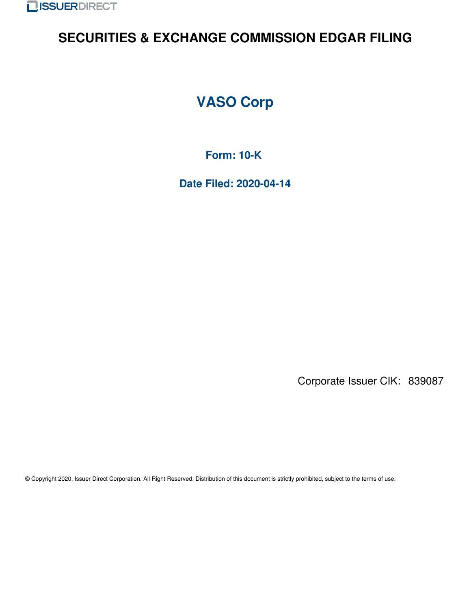

# **SECURITIES & EXCHANGE COMMISSION EDGAR FILING**

# **VASO Corp**

**Form: 10-K**

**Date Filed: 2020-04-14**

Corporate Issuer CIK: 839087

© Copyright 2020, Issuer Direct Corporation. All Right Reserved. Distribution of this document is strictly prohibited, subject to the terms of use.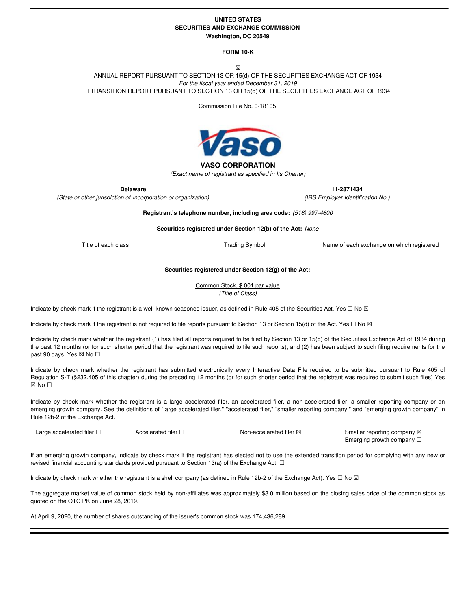## **UNITED STATES SECURITIES AND EXCHANGE COMMISSION Washington, DC 20549**

## **FORM 10-K**

☒

ANNUAL REPORT PURSUANT TO SECTION 13 OR 15(d) OF THE SECURITIES EXCHANGE ACT OF 1934 *For the fiscal year ended December 31, 2019* ☐ TRANSITION REPORT PURSUANT TO SECTION 13 OR 15(d) OF THE SECURITIES EXCHANGE ACT OF 1934

Commission File No. 0-18105



## **VASO CORPORATION**

*(Exact name of registrant as specified in Its Charter)*

*(State or other jurisdiction of incorporation or organization) (IRS Employer Identification No.)*

**Delaware 11-2871434**

**Registrant's telephone number, including area code:** *(516) 997-4600*

**Securities registered under Section 12(b) of the Act:** *None*

Title of each class Trading Symbol Name of each exchange on which registered Name of each exchange on which registered

## **Securities registered under Section 12(g) of the Act:**

Common Stock, \$.001 par value *(Title of Class)*

Indicate by check mark if the registrant is a well-known seasoned issuer, as defined in Rule 405 of the Securities Act. Yes  $\Box$  No  $\boxtimes$ 

Indicate by check mark if the registrant is not required to file reports pursuant to Section 13 or Section 15(d) of the Act. Yes  $\Box$  No  $\boxtimes$ 

Indicate by check mark whether the registrant (1) has filed all reports required to be filed by Section 13 or 15(d) of the Securities Exchange Act of 1934 during the past 12 months (or for such shorter period that the registrant was required to file such reports), and (2) has been subject to such filing requirements for the past 90 days. Yes ⊠ No □

Indicate by check mark whether the registrant has submitted electronically every Interactive Data File required to be submitted pursuant to Rule 405 of Regulation S-T (§232.405 of this chapter) during the preceding 12 months (or for such shorter period that the registrant was required to submit such files) Yes  $\boxtimes$  No  $\Box$ 

Indicate by check mark whether the registrant is a large accelerated filer, an accelerated filer, a non-accelerated filer, a smaller reporting company or an emerging growth company. See the definitions of "large accelerated filer," "accelerated filer," "smaller reporting company," and "emerging growth company" in Rule 12b-2 of the Exchange Act.

Large accelerated filer □ Accelerated filer □ Non-accelerated filer ⊠ Smaller reporting company ⊠

Emerging growth company □

If an emerging growth company, indicate by check mark if the registrant has elected not to use the extended transition period for complying with any new or revised financial accounting standards provided pursuant to Section 13(a) of the Exchange Act.  $\Box$ 

Indicate by check mark whether the registrant is a shell company (as defined in Rule 12b-2 of the Exchange Act). Yes  $\Box$  No  $\boxtimes$ 

The aggregate market value of common stock held by non-affiliates was approximately \$3.0 million based on the closing sales price of the common stock as quoted on the OTC PK on June 28, 2019.

At April 9, 2020, the number of shares outstanding of the issuer's common stock was 174,436,289.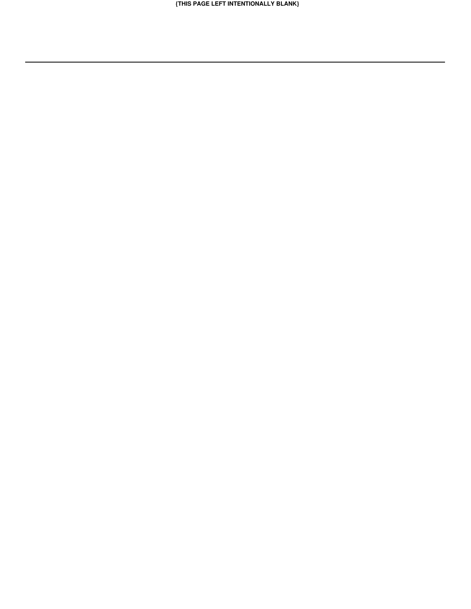**{THIS PAGE LEFT INTENTIONALLY BLANK}**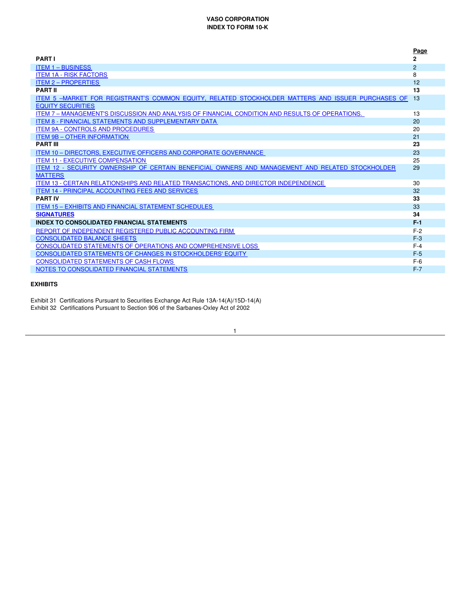# **VASO CORPORATION INDEX TO FORM 10-K**

|                                                                                                    | Page           |
|----------------------------------------------------------------------------------------------------|----------------|
| <b>PARTI</b>                                                                                       | $\overline{2}$ |
| <b>ITEM 1 - BUSINESS</b>                                                                           | 2              |
| <b>ITEM 1A - RISK FACTORS</b>                                                                      | 8              |
| <b>ITEM 2 - PROPERTIES</b>                                                                         | 12             |
| <b>PART II</b>                                                                                     | 13             |
| ITEM 5 -MARKET FOR REGISTRANT'S COMMON EQUITY. RELATED STOCKHOLDER MATTERS AND ISSUER PURCHASES OF | 13             |
| <b>EQUITY SECURITIES</b>                                                                           |                |
| ITEM 7 – MANAGEMENT'S DISCUSSION AND ANALYSIS OF FINANCIAL CONDITION AND RESULTS OF OPERATIONS.    | 13             |
| <b>ITEM 8 - FINANCIAL STATEMENTS AND SUPPLEMENTARY DATA</b>                                        | 20             |
| <b>ITEM 9A - CONTROLS AND PROCEDURES</b>                                                           | 20             |
| <b>ITEM 9B - OTHER INFORMATION</b>                                                                 | 21             |
| <b>PART III</b>                                                                                    | 23             |
| ITEM 10 - DIRECTORS, EXECUTIVE OFFICERS AND CORPORATE GOVERNANCE                                   | 23             |
| <b>ITEM 11 - EXECUTIVE COMPENSATION</b>                                                            | 25             |
| ITEM 12 - SECURITY OWNERSHIP OF CERTAIN BENEFICIAL OWNERS AND MANAGEMENT AND RELATED STOCKHOLDER   | 29             |
| <b>MATTERS</b>                                                                                     |                |
| ITEM 13 - CERTAIN RELATIONSHIPS AND RELATED TRANSACTIONS, AND DIRECTOR INDEPENDENCE                | 30             |
| <b>ITEM 14 - PRINCIPAL ACCOUNTING FEES AND SERVICES</b>                                            | 32             |
| <b>PART IV</b>                                                                                     | 33             |
| <b>ITEM 15 – EXHIBITS AND FINANCIAL STATEMENT SCHEDULES</b>                                        | 33             |
| <b>SIGNATURES</b>                                                                                  | 34             |
| <b>INDEX TO CONSOLIDATED FINANCIAL STATEMENTS</b>                                                  | $F-1$          |
| REPORT OF INDEPENDENT REGISTERED PUBLIC ACCOUNTING FIRM                                            | $F-2$          |
| <b>CONSOLIDATED BALANCE SHEETS</b>                                                                 | $F-3$          |
| CONSOLIDATED STATEMENTS OF OPERATIONS AND COMPREHENSIVE LOSS                                       | $F-4$          |
| <b>CONSOLIDATED STATEMENTS OF CHANGES IN STOCKHOLDERS' EQUITY</b>                                  | $F-5$          |
| <b>CONSOLIDATED STATEMENTS OF CASH FLOWS</b>                                                       | $F-6$          |
| NOTES TO CONSOLIDATED FINANCIAL STATEMENTS                                                         | $F-7$          |

# **EXHIBITS**

Exhibit 31 Certifications Pursuant to Securities Exchange Act Rule 13A-14(A)/15D-14(A) Exhibit 32 Certifications Pursuant to Section 906 of the Sarbanes-Oxley Act of 2002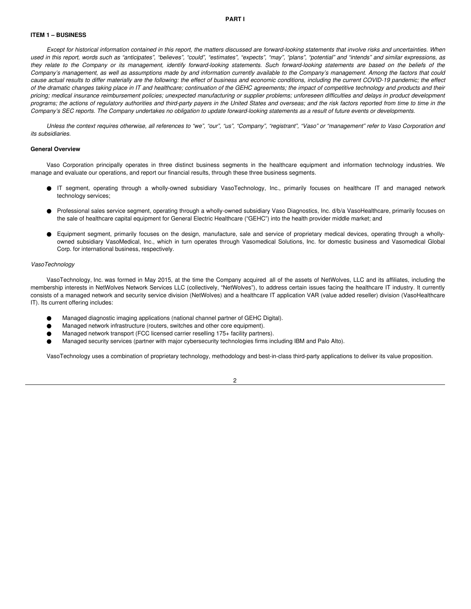## <span id="page-4-0"></span>**ITEM 1 – BUSINESS**

Except for historical information contained in this report, the matters discussed are forward-looking statements that involve risks and uncertainties. When used in this report, words such as "anticipates", "believes", "could", "estimates", "expects", "may", "plans", "potential" and "intends" and similar expressions, as they relate to the Company or its management, identify forward-looking statements. Such forward-looking statements are based on the beliefs of the Company's management, as well as assumptions made by and information currently available to the Company's management. Among the factors that could cause actual results to differ materially are the following: the effect of business and economic conditions, including the current COVID-19 pandemic; the effect of the dramatic changes taking place in IT and healthcare; continuation of the GEHC agreements; the impact of competitive technology and products and their pricing; medical insurance reimbursement policies; unexpected manufacturing or supplier problems; unforeseen difficulties and delays in product development programs; the actions of regulatory authorities and third-party payers in the United States and overseas; and the risk factors reported from time to time in the Company's SEC reports. The Company undertakes no obligation to update forward-looking statements as a result of future events or developments.

Unless the context requires otherwise, all references to "we", "our", "us", "Company", "registrant", "Vaso" or "management" refer to Vaso Corporation and *its subsidiaries.*

## **General Overview**

Vaso Corporation principally operates in three distinct business segments in the healthcare equipment and information technology industries. We manage and evaluate our operations, and report our financial results, through these three business segments.

- IT segment, operating through a wholly-owned subsidiary VasoTechnology, Inc., primarily focuses on healthcare IT and managed network technology services;
- Professional sales service segment, operating through a wholly-owned subsidiary Vaso Diagnostics, Inc. d/b/a VasoHealthcare, primarily focuses on the sale of healthcare capital equipment for General Electric Healthcare ("GEHC") into the health provider middle market; and
- Equipment segment, primarily focuses on the design, manufacture, sale and service of proprietary medical devices, operating through a whollyowned subsidiary VasoMedical, Inc., which in turn operates through Vasomedical Solutions, Inc. for domestic business and Vasomedical Global Corp. for international business, respectively.

#### *VasoTechnology*

VasoTechnology, Inc. was formed in May 2015, at the time the Company acquired all of the assets of NetWolves, LLC and its affiliates, including the membership interests in NetWolves Network Services LLC (collectively, "NetWolves"), to address certain issues facing the healthcare IT industry. It currently consists of a managed network and security service division (NetWolves) and a healthcare IT application VAR (value added reseller) division (VasoHealthcare IT). Its current offering includes:

- Managed diagnostic imaging applications (national channel partner of GEHC Digital).
- Managed network infrastructure (routers, switches and other core equipment).
- Managed network transport (FCC licensed carrier reselling 175+ facility partners).
- Managed security services (partner with major cybersecurity technologies firms including IBM and Palo Alto).

VasoTechnology uses a combination of proprietary technology, methodology and best-in-class third-party applications to deliver its value proposition.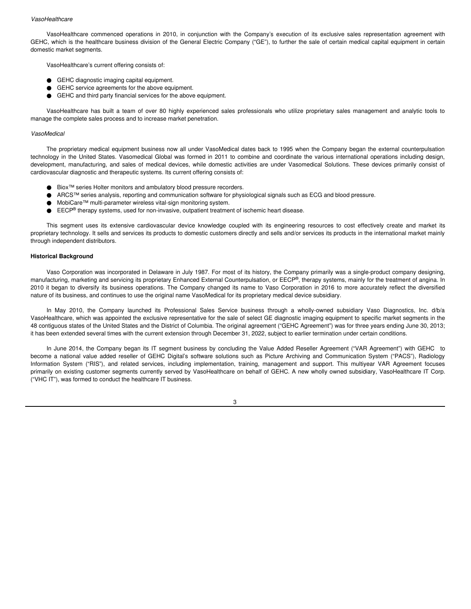#### *VasoHealthcare*

VasoHealthcare commenced operations in 2010, in conjunction with the Company's execution of its exclusive sales representation agreement with GEHC, which is the healthcare business division of the General Electric Company ("GE"), to further the sale of certain medical capital equipment in certain domestic market segments.

VasoHealthcare's current offering consists of:

- GEHC diagnostic imaging capital equipment.
- GEHC service agreements for the above equipment.
- GEHC and third party financial services for the above equipment.

VasoHealthcare has built a team of over 80 highly experienced sales professionals who utilize proprietary sales management and analytic tools to manage the complete sales process and to increase market penetration.

#### *VasoMedical*

The proprietary medical equipment business now all under VasoMedical dates back to 1995 when the Company began the external counterpulsation technology in the United States. Vasomedical Global was formed in 2011 to combine and coordinate the various international operations including design, development, manufacturing, and sales of medical devices, while domestic activities are under Vasomedical Solutions. These devices primarily consist of cardiovascular diagnostic and therapeutic systems. Its current offering consists of:

- Biox<sup>™</sup> series Holter monitors and ambulatory blood pressure recorders.
- ARCS™ series analysis, reporting and communication software for physiological signals such as ECG and blood pressure.
- MobiCare™ multi-parameter wireless vital-sign monitoring system.
- EECP<sup>®</sup> therapy systems, used for non-invasive, outpatient treatment of ischemic heart disease.

This segment uses its extensive cardiovascular device knowledge coupled with its engineering resources to cost effectively create and market its proprietary technology. It sells and services its products to domestic customers directly and sells and/or services its products in the international market mainly through independent distributors.

#### **Historical Background**

Vaso Corporation was incorporated in Delaware in July 1987. For most of its history, the Company primarily was a single-product company designing, manufacturing, marketing and servicing its proprietary Enhanced External Counterpulsation, or EECP®, therapy systems, mainly for the treatment of angina. In 2010 it began to diversify its business operations. The Company changed its name to Vaso Corporation in 2016 to more accurately reflect the diversified nature of its business, and continues to use the original name VasoMedical for its proprietary medical device subsidiary.

In May 2010, the Company launched its Professional Sales Service business through a wholly-owned subsidiary Vaso Diagnostics, Inc. d/b/a VasoHealthcare, which was appointed the exclusive representative for the sale of select GE diagnostic imaging equipment to specific market segments in the 48 contiguous states of the United States and the District of Columbia. The original agreement ("GEHC Agreement") was for three years ending June 30, 2013; it has been extended several times with the current extension through December 31, 2022, subject to earlier termination under certain conditions.

In June 2014, the Company began its IT segment business by concluding the Value Added Reseller Agreement ("VAR Agreement") with GEHC to become a national value added reseller of GEHC Digital's software solutions such as Picture Archiving and Communication System ("PACS"), Radiology Information System ("RIS"), and related services, including implementation, training, management and support. This multiyear VAR Agreement focuses primarily on existing customer segments currently served by VasoHealthcare on behalf of GEHC. A new wholly owned subsidiary, VasoHealthcare IT Corp. ("VHC IT"), was formed to conduct the healthcare IT business.

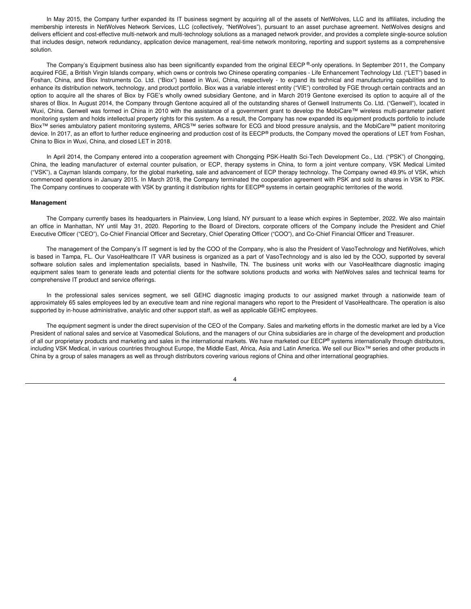In May 2015, the Company further expanded its IT business segment by acquiring all of the assets of NetWolves, LLC and its affiliates, including the membership interests in NetWolves Network Services, LLC (collectively, "NetWolves"), pursuant to an asset purchase agreement. NetWolves designs and delivers efficient and cost-effective multi-network and multi-technology solutions as a managed network provider, and provides a complete single-source solution that includes design, network redundancy, application device management, real-time network monitoring, reporting and support systems as a comprehensive solution.

The Company's Equipment business also has been significantly expanded from the original EECP ®-only operations. In September 2011, the Company acquired FGE, a British Virgin Islands company, which owns or controls two Chinese operating companies - Life Enhancement Technology Ltd. ("LET") based in Foshan, China, and Biox Instruments Co. Ltd. ("Biox") based in Wuxi, China, respectively - to expand its technical and manufacturing capabilities and to enhance its distribution network, technology, and product portfolio. Biox was a variable interest entity ("VIE") controlled by FGE through certain contracts and an option to acquire all the shares of Biox by FGE's wholly owned subsidiary Gentone, and in March 2019 Gentone exercised its option to acquire all of the shares of Biox. In August 2014, the Company through Gentone acquired all of the outstanding shares of Genwell Instruments Co. Ltd. ("Genwell"), located in Wuxi, China. Genwell was formed in China in 2010 with the assistance of a government grant to develop the MobiCare™ wireless multi-parameter patient monitoring system and holds intellectual property rights for this system. As a result, the Company has now expanded its equipment products portfolio to include Biox™ series ambulatory patient monitoring systems, ARCS™ series software for ECG and blood pressure analysis, and the MobiCare™ patient monitoring device. In 2017, as an effort to further reduce engineering and production cost of its EECP® products, the Company moved the operations of LET from Foshan, China to Biox in Wuxi, China, and closed LET in 2018.

In April 2014, the Company entered into a cooperation agreement with Chongqing PSK-Health Sci-Tech Development Co., Ltd. ("PSK") of Chongqing, China, the leading manufacturer of external counter pulsation, or ECP, therapy systems in China, to form a joint venture company, VSK Medical Limited ("VSK"), a Cayman Islands company, for the global marketing, sale and advancement of ECP therapy technology. The Company owned 49.9% of VSK, which commenced operations in January 2015. In March 2018, the Company terminated the cooperation agreement with PSK and sold its shares in VSK to PSK. The Company continues to cooperate with VSK by granting it distribution rights for EECP® systems in certain geographic territories of the world.

#### **Management**

The Company currently bases its headquarters in Plainview, Long Island, NY pursuant to a lease which expires in September, 2022. We also maintain an office in Manhattan, NY until May 31, 2020. Reporting to the Board of Directors, corporate officers of the Company include the President and Chief Executive Officer ("CEO"), Co-Chief Financial Officer and Secretary, Chief Operating Officer ("COO"), and Co-Chief Financial Officer and Treasurer.

The management of the Company's IT segment is led by the COO of the Company, who is also the President of VasoTechnology and NetWolves, which is based in Tampa, FL. Our VasoHealthcare IT VAR business is organized as a part of VasoTechnology and is also led by the COO, supported by several software solution sales and implementation specialists, based in Nashville, TN. The business unit works with our VasoHealthcare diagnostic imaging equipment sales team to generate leads and potential clients for the software solutions products and works with NetWolves sales and technical teams for comprehensive IT product and service offerings.

In the professional sales services segment, we sell GEHC diagnostic imaging products to our assigned market through a nationwide team of approximately 65 sales employees led by an executive team and nine regional managers who report to the President of VasoHealthcare. The operation is also supported by in-house administrative, analytic and other support staff, as well as applicable GEHC employees.

The equipment segment is under the direct supervision of the CEO of the Company. Sales and marketing efforts in the domestic market are led by a Vice President of national sales and service at Vasomedical Solutions, and the managers of our China subsidiaries are in charge of the development and production of all our proprietary products and marketing and sales in the international markets. We have marketed our EECP® systems internationally through distributors, including VSK Medical, in various countries throughout Europe, the Middle East, Africa, Asia and Latin America. We sell our Biox™ series and other products in China by a group of sales managers as well as through distributors covering various regions of China and other international geographies.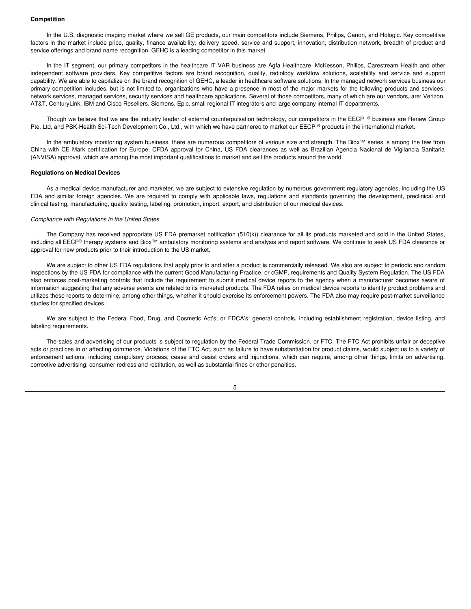#### **Competition**

In the U.S. diagnostic imaging market where we sell GE products, our main competitors include Siemens, Philips, Canon, and Hologic. Key competitive factors in the market include price, quality, finance availability, delivery speed, service and support, innovation, distribution network, breadth of product and service offerings and brand name recognition. GEHC is a leading competitor in this market.

In the IT segment, our primary competitors in the healthcare IT VAR business are Agfa Healthcare, McKesson, Philips, Carestream Health and other independent software providers. Key competitive factors are brand recognition, quality, radiology workflow solutions, scalability and service and support capability. We are able to capitalize on the brand recognition of GEHC, a leader in healthcare software solutions. In the managed network services business our primary competition includes, but is not limited to, organizations who have a presence in most of the major markets for the following products and services: network services, managed services, security services and healthcare applications. Several of those competitors, many of which are our vendors, are: Verizon, AT&T, CenturyLink, IBM and Cisco Resellers, Siemens, Epic, small regional IT integrators and large company internal IT departments.

Though we believe that we are the industry leader of external counterpulsation technology, our competitors in the EECP ® business are Renew Group Pte. Ltd, and PSK-Health Sci-Tech Development Co., Ltd., with which we have partnered to market our EECP ® products in the international market.

In the ambulatory monitoring system business, there are numerous competitors of various size and strength. The Biox™ series is among the few from China with CE Mark certification for Europe, CFDA approval for China, US FDA clearances as well as Brazilian Agencia Nacional de Vigilancia Sanitaria (ANVISA) approval, which are among the most important qualifications to market and sell the products around the world.

#### **Regulations on Medical Devices**

As a medical device manufacturer and marketer, we are subject to extensive regulation by numerous government regulatory agencies, including the US FDA and similar foreign agencies. We are required to comply with applicable laws, regulations and standards governing the development, preclinical and clinical testing, manufacturing, quality testing, labeling, promotion, import, export, and distribution of our medical devices.

#### *Compliance with Regulations in the United States*

The Company has received appropriate US FDA premarket notification (510(k)) clearance for all its products marketed and sold in the United States, including all EECP® therapy systems and Biox™ ambulatory monitoring systems and analysis and report software. We continue to seek US FDA clearance or approval for new products prior to their introduction to the US market.

We are subject to other US FDA regulations that apply prior to and after a product is commercially released. We also are subject to periodic and random inspections by the US FDA for compliance with the current Good Manufacturing Practice, or cGMP, requirements and Quality System Regulation. The US FDA also enforces post-marketing controls that include the requirement to submit medical device reports to the agency when a manufacturer becomes aware of information suggesting that any adverse events are related to its marketed products. The FDA relies on medical device reports to identify product problems and utilizes these reports to determine, among other things, whether it should exercise its enforcement powers. The FDA also may require post-market surveillance studies for specified devices.

We are subject to the Federal Food, Drug, and Cosmetic Act's, or FDCA's, general controls, including establishment registration, device listing, and labeling requirements.

The sales and advertising of our products is subject to regulation by the Federal Trade Commission, or FTC. The FTC Act prohibits unfair or deceptive acts or practices in or affecting commerce. Violations of the FTC Act, such as failure to have substantiation for product claims, would subject us to a variety of enforcement actions, including compulsory process, cease and desist orders and injunctions, which can require, among other things, limits on advertising, corrective advertising, consumer redress and restitution, as well as substantial fines or other penalties.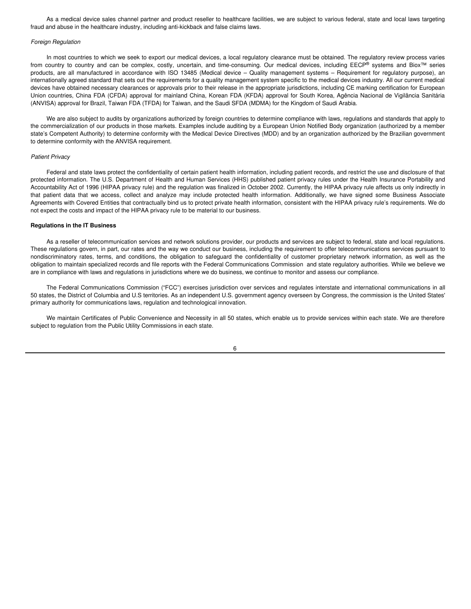As a medical device sales channel partner and product reseller to healthcare facilities, we are subject to various federal, state and local laws targeting fraud and abuse in the healthcare industry, including anti-kickback and false claims laws.

## *Foreign Regulation*

In most countries to which we seek to export our medical devices, a local regulatory clearance must be obtained. The regulatory review process varies from country to country and can be complex, costly, uncertain, and time-consuming. Our medical devices, including EECP® systems and Biox™ series products, are all manufactured in accordance with ISO 13485 (Medical device – Quality management systems – Requirement for regulatory purpose), an internationally agreed standard that sets out the requirements for a quality management system specific to the medical devices industry. All our current medical devices have obtained necessary clearances or approvals prior to their release in the appropriate jurisdictions, including CE marking certification for European Union countries, China FDA (CFDA) approval for mainland China, Korean FDA (KFDA) approval for South Korea, Agência Nacional de Vigilância Sanitária (ANVISA) approval for Brazil, Taiwan FDA (TFDA) for Taiwan, and the Saudi SFDA (MDMA) for the Kingdom of Saudi Arabia.

We are also subject to audits by organizations authorized by foreign countries to determine compliance with laws, regulations and standards that apply to the commercialization of our products in those markets. Examples include auditing by a European Union Notified Body organization (authorized by a member state's Competent Authority) to determine conformity with the Medical Device Directives (MDD) and by an organization authorized by the Brazilian government to determine conformity with the ANVISA requirement.

#### *Patient Privacy*

Federal and state laws protect the confidentiality of certain patient health information, including patient records, and restrict the use and disclosure of that protected information. The U.S. Department of Health and Human Services (HHS) published patient privacy rules under the Health Insurance Portability and Accountability Act of 1996 (HIPAA privacy rule) and the regulation was finalized in October 2002. Currently, the HIPAA privacy rule affects us only indirectly in that patient data that we access, collect and analyze may include protected health information. Additionally, we have signed some Business Associate Agreements with Covered Entities that contractually bind us to protect private health information, consistent with the HIPAA privacy rule's requirements. We do not expect the costs and impact of the HIPAA privacy rule to be material to our business.

#### **Regulations in the IT Business**

As a reseller of telecommunication services and network solutions provider, our products and services are subject to federal, state and local regulations. These regulations govern, in part, our rates and the way we conduct our business, including the requirement to offer telecommunications services pursuant to nondiscriminatory rates, terms, and conditions, the obligation to safeguard the confidentiality of customer proprietary network information, as well as the obligation to maintain specialized records and file reports with the Federal Communications Commission and state regulatory authorities. While we believe we are in compliance with laws and regulations in jurisdictions where we do business, we continue to monitor and assess our compliance.

The Federal Communications Commission ("FCC") exercises jurisdiction over services and regulates interstate and international communications in all 50 states, the District of Columbia and U.S territories. As an independent U.S. government agency overseen by Congress, the commission is the United States' primary authority for communications laws, regulation and technological innovation.

We maintain Certificates of Public Convenience and Necessity in all 50 states, which enable us to provide services within each state. We are therefore subject to regulation from the Public Utility Commissions in each state.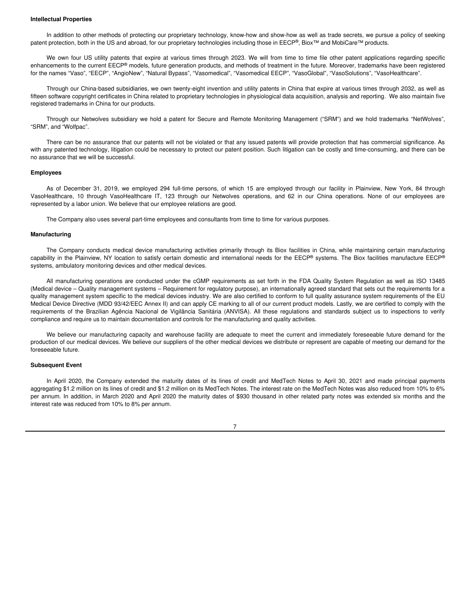#### **Intellectual Properties**

In addition to other methods of protecting our proprietary technology, know-how and show-how as well as trade secrets, we pursue a policy of seeking patent protection, both in the US and abroad, for our proprietary technologies including those in EECP®, Biox™ and MobiCare™ products.

We own four US utility patents that expire at various times through 2023. We will from time to time file other patent applications regarding specific enhancements to the current EECP<sup>®</sup> models, future generation products, and methods of treatment in the future. Moreover, trademarks have been registered for the names "Vaso", "EECP", "AngioNew", "Natural Bypass", "Vasomedical", "Vasomedical EECP", "VasoGlobal", "VasoSolutions", "VasoHealthcare".

Through our China-based subsidiaries, we own twenty-eight invention and utility patents in China that expire at various times through 2032, as well as fifteen software copyright certificates in China related to proprietary technologies in physiological data acquisition, analysis and reporting. We also maintain five registered trademarks in China for our products.

Through our Netwolves subsidiary we hold a patent for Secure and Remote Monitoring Management ("SRM") and we hold trademarks "NetWolves", "SRM", and "Wolfpac".

There can be no assurance that our patents will not be violated or that any issued patents will provide protection that has commercial significance. As with any patented technology, litigation could be necessary to protect our patent position. Such litigation can be costly and time-consuming, and there can be no assurance that we will be successful.

## **Employees**

As of December 31, 2019, we employed 294 full-time persons, of which 15 are employed through our facility in Plainview, New York, 84 through VasoHealthcare, 10 through VasoHealthcare IT, 123 through our Netwolves operations, and 62 in our China operations. None of our employees are represented by a labor union. We believe that our employee relations are good.

The Company also uses several part-time employees and consultants from time to time for various purposes.

#### **Manufacturing**

The Company conducts medical device manufacturing activities primarily through its Biox facilities in China, while maintaining certain manufacturing capability in the Plainview, NY location to satisfy certain domestic and international needs for the EECP® systems. The Biox facilities manufacture EECP® systems, ambulatory monitoring devices and other medical devices.

All manufacturing operations are conducted under the cGMP requirements as set forth in the FDA Quality System Regulation as well as ISO 13485 (Medical device – Quality management systems – Requirement for regulatory purpose), an internationally agreed standard that sets out the requirements for a quality management system specific to the medical devices industry. We are also certified to conform to full quality assurance system requirements of the EU Medical Device Directive (MDD 93/42/EEC Annex II) and can apply CE marking to all of our current product models. Lastly, we are certified to comply with the requirements of the Brazilian Agência Nacional de Vigilância Sanitária (ANVISA). All these regulations and standards subject us to inspections to verify compliance and require us to maintain documentation and controls for the manufacturing and quality activities.

We believe our manufacturing capacity and warehouse facility are adequate to meet the current and immediately foreseeable future demand for the production of our medical devices. We believe our suppliers of the other medical devices we distribute or represent are capable of meeting our demand for the foreseeable future.

#### **Subsequent Event**

In April 2020, the Company extended the maturity dates of its lines of credit and MedTech Notes to April 30, 2021 and made principal payments aggregating \$1.2 million on its lines of credit and \$1.2 million on its MedTech Notes. The interest rate on the MedTech Notes was also reduced from 10% to 6% per annum. In addition, in March 2020 and April 2020 the maturity dates of \$930 thousand in other related party notes was extended six months and the interest rate was reduced from 10% to 8% per annum.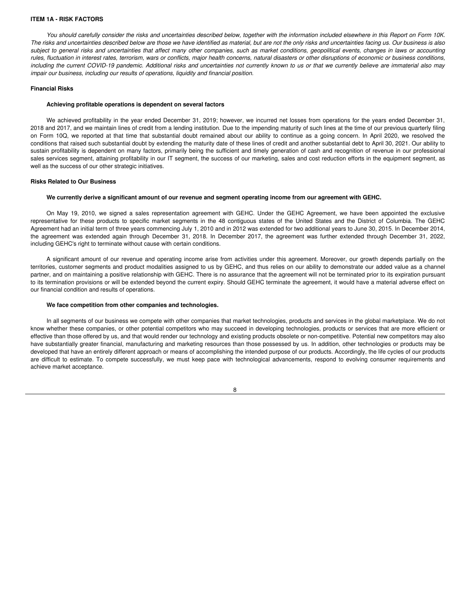## <span id="page-10-0"></span>**ITEM 1A - RISK FACTORS**

You should carefully consider the risks and uncertainties described below, together with the information included elsewhere in this Report on Form 10K. The risks and uncertainties described below are those we have identified as material, but are not the only risks and uncertainties facing us. Our business is also subject to general risks and uncertainties that affect many other companies, such as market conditions, geopolitical events, changes in laws or accounting rules, fluctuation in interest rates, terrorism, wars or conflicts, major health concerns, natural disasters or other disruptions of economic or business conditions, including the current COVID-19 pandemic. Additional risks and uncertainties not currently known to us or that we currently believe are immaterial also may *impair our business, including our results of operations, liquidity and financial position.*

#### **Financial Risks**

## **Achieving profitable operations is dependent on several factors**

We achieved profitability in the year ended December 31, 2019; however, we incurred net losses from operations for the years ended December 31, 2018 and 2017, and we maintain lines of credit from a lending institution. Due to the impending maturity of such lines at the time of our previous quarterly filing on Form 10Q, we reported at that time that substantial doubt remained about our ability to continue as a going concern. In April 2020, we resolved the conditions that raised such substantial doubt by extending the maturity date of these lines of credit and another substantial debt to April 30, 2021. Our ability to sustain profitability is dependent on many factors, primarily being the sufficient and timely generation of cash and recognition of revenue in our professional sales services segment, attaining profitability in our IT segment, the success of our marketing, sales and cost reduction efforts in the equipment segment, as well as the success of our other strategic initiatives.

### **Risks Related to Our Business**

## We currently derive a significant amount of our revenue and segment operating income from our agreement with GEHC.

On May 19, 2010, we signed a sales representation agreement with GEHC. Under the GEHC Agreement, we have been appointed the exclusive representative for these products to specific market segments in the 48 contiguous states of the United States and the District of Columbia. The GEHC Agreement had an initial term of three years commencing July 1, 2010 and in 2012 was extended for two additional years to June 30, 2015. In December 2014, the agreement was extended again through December 31, 2018. In December 2017, the agreement was further extended through December 31, 2022, including GEHC's right to terminate without cause with certain conditions.

A significant amount of our revenue and operating income arise from activities under this agreement. Moreover, our growth depends partially on the territories, customer segments and product modalities assigned to us by GEHC, and thus relies on our ability to demonstrate our added value as a channel partner, and on maintaining a positive relationship with GEHC. There is no assurance that the agreement will not be terminated prior to its expiration pursuant to its termination provisions or will be extended beyond the current expiry. Should GEHC terminate the agreement, it would have a material adverse effect on our financial condition and results of operations.

#### **We face competition from other companies and technologies.**

In all segments of our business we compete with other companies that market technologies, products and services in the global marketplace. We do not know whether these companies, or other potential competitors who may succeed in developing technologies, products or services that are more efficient or effective than those offered by us, and that would render our technology and existing products obsolete or non-competitive. Potential new competitors may also have substantially greater financial, manufacturing and marketing resources than those possessed by us. In addition, other technologies or products may be developed that have an entirely different approach or means of accomplishing the intended purpose of our products. Accordingly, the life cycles of our products are difficult to estimate. To compete successfully, we must keep pace with technological advancements, respond to evolving consumer requirements and achieve market acceptance.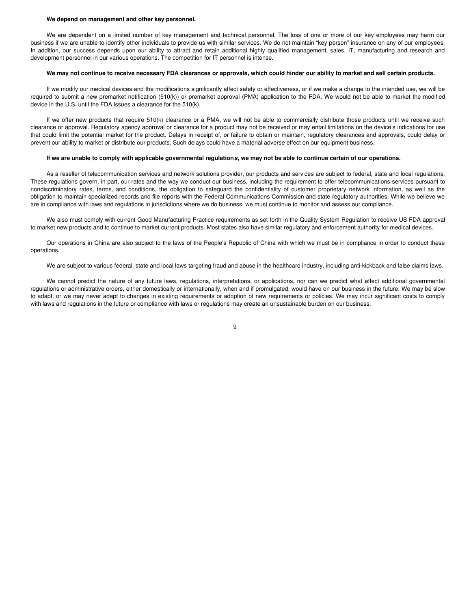#### **We depend on management and other key personnel.**

We are dependent on a limited number of key management and technical personnel. The loss of one or more of our key employees may harm our business if we are unable to identify other individuals to provide us with similar services. We do not maintain "key person" insurance on any of our employees. In addition, our success depends upon our ability to attract and retain additional highly qualified management, sales, IT, manufacturing and research and development personnel in our various operations. The competition for IT personnel is intense.

#### We may not continue to receive necessary FDA clearances or approvals, which could hinder our ability to market and sell certain products.

If we modify our medical devices and the modifications significantly affect safety or effectiveness, or if we make a change to the intended use, we will be required to submit a new premarket notification (510(k)) or premarket approval (PMA) application to the FDA. We would not be able to market the modified device in the U.S. until the FDA issues a clearance for the 510(k).

If we offer new products that require 510(k) clearance or a PMA, we will not be able to commercially distribute those products until we receive such clearance or approval. Regulatory agency approval or clearance for a product may not be received or may entail limitations on the device's indications for use that could limit the potential market for the product. Delays in receipt of, or failure to obtain or maintain, regulatory clearances and approvals, could delay or prevent our ability to market or distribute our products. Such delays could have a material adverse effect on our equipment business.

#### If we are unable to comply with applicable governmental regulations, we may not be able to continue certain of our operations.

As a reseller of telecommunication services and network solutions provider, our products and services are subject to federal, state and local regulations. These regulations govern, in part, our rates and the way we conduct our business, including the requirement to offer telecommunications services pursuant to nondiscriminatory rates, terms, and conditions, the obligation to safeguard the confidentiality of customer proprietary network information, as well as the obligation to maintain specialized records and file reports with the Federal Communications Commission and state regulatory authorities. While we believe we are in compliance with laws and regulations in jurisdictions where we do business, we must continue to monitor and assess our compliance.

We also must comply with current Good Manufacturing Practice requirements as set forth in the Quality System Regulation to receive US FDA approval to market new products and to continue to market current products. Most states also have similar regulatory and enforcement authority for medical devices.

Our operations in China are also subject to the laws of the People's Republic of China with which we must be in compliance in order to conduct these operations.

We are subject to various federal, state and local laws targeting fraud and abuse in the healthcare industry, including anti-kickback and false claims laws.

We cannot predict the nature of any future laws, regulations, interpretations, or applications, nor can we predict what effect additional governmental regulations or administrative orders, either domestically or internationally, when and if promulgated, would have on our business in the future. We may be slow to adapt, or we may never adapt to changes in existing requirements or adoption of new requirements or policies. We may incur significant costs to comply with laws and regulations in the future or compliance with laws or regulations may create an unsustainable burden on our business.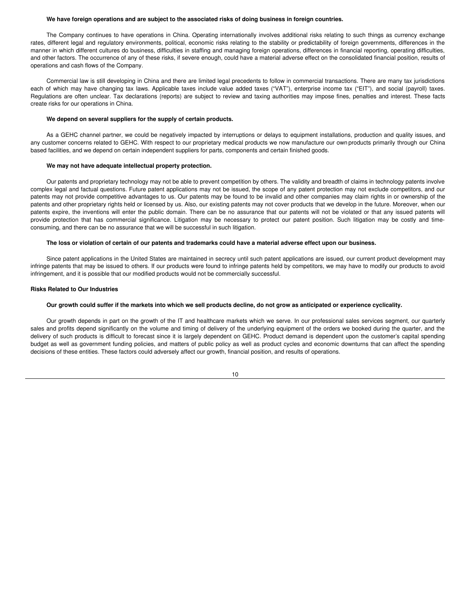#### We have foreign operations and are subject to the associated risks of doing business in foreign countries.

The Company continues to have operations in China. Operating internationally involves additional risks relating to such things as currency exchange rates, different legal and regulatory environments, political, economic risks relating to the stability or predictability of foreign governments, differences in the manner in which different cultures do business, difficulties in staffing and managing foreign operations, differences in financial reporting, operating difficulties, and other factors. The occurrence of any of these risks, if severe enough, could have a material adverse effect on the consolidated financial position, results of operations and cash flows of the Company.

Commercial law is still developing in China and there are limited legal precedents to follow in commercial transactions. There are many tax jurisdictions each of which may have changing tax laws. Applicable taxes include value added taxes ("VAT"), enterprise income tax ("EIT"), and social (payroll) taxes. Regulations are often unclear. Tax declarations (reports) are subject to review and taxing authorities may impose fines, penalties and interest. These facts create risks for our operations in China.

#### **We depend on several suppliers for the supply of certain products.**

As a GEHC channel partner, we could be negatively impacted by interruptions or delays to equipment installations, production and quality issues, and any customer concerns related to GEHC. With respect to our proprietary medical products we now manufacture our own products primarily through our China based facilities, and we depend on certain independent suppliers for parts, components and certain finished goods.

#### **We may not have adequate intellectual property protection.**

Our patents and proprietary technology may not be able to prevent competition by others. The validity and breadth of claims in technology patents involve complex legal and factual questions. Future patent applications may not be issued, the scope of any patent protection may not exclude competitors, and our patents may not provide competitive advantages to us. Our patents may be found to be invalid and other companies may claim rights in or ownership of the patents and other proprietary rights held or licensed by us. Also, our existing patents may not cover products that we develop in the future. Moreover, when our patents expire, the inventions will enter the public domain. There can be no assurance that our patents will not be violated or that any issued patents will provide protection that has commercial significance. Litigation may be necessary to protect our patent position. Such litigation may be costly and timeconsuming, and there can be no assurance that we will be successful in such litigation.

#### The loss or violation of certain of our patents and trademarks could have a material adverse effect upon our business.

Since patent applications in the United States are maintained in secrecy until such patent applications are issued, our current product development may infringe patents that may be issued to others. If our products were found to infringe patents held by competitors, we may have to modify our products to avoid infringement, and it is possible that our modified products would not be commercially successful.

#### **Risks Related to Our Industries**

### Our growth could suffer if the markets into which we sell products decline, do not grow as anticipated or experience cyclicality.

Our growth depends in part on the growth of the IT and healthcare markets which we serve. In our professional sales services segment, our quarterly sales and profits depend significantly on the volume and timing of delivery of the underlying equipment of the orders we booked during the quarter, and the delivery of such products is difficult to forecast since it is largely dependent on GEHC. Product demand is dependent upon the customer's capital spending budget as well as government funding policies, and matters of public policy as well as product cycles and economic downturns that can affect the spending decisions of these entities. These factors could adversely affect our growth, financial position, and results of operations.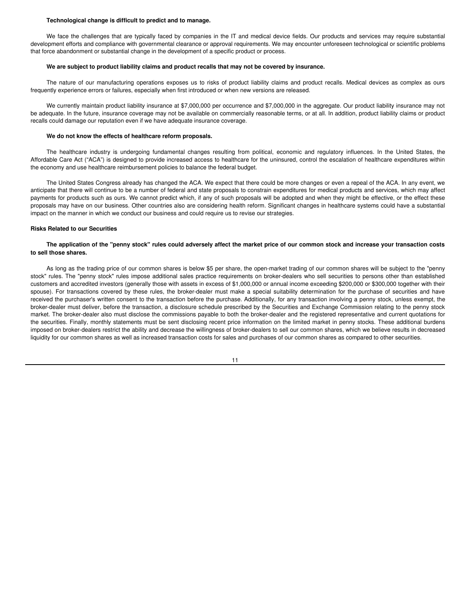#### **Technological change is difficult to predict and to manage.**

We face the challenges that are typically faced by companies in the IT and medical device fields. Our products and services may require substantial development efforts and compliance with governmental clearance or approval requirements. We may encounter unforeseen technological or scientific problems that force abandonment or substantial change in the development of a specific product or process.

#### **We are subject to product liability claims and product recalls that may not be covered by insurance.**

The nature of our manufacturing operations exposes us to risks of product liability claims and product recalls. Medical devices as complex as ours frequently experience errors or failures, especially when first introduced or when new versions are released.

We currently maintain product liability insurance at \$7,000,000 per occurrence and \$7,000,000 in the aggregate. Our product liability insurance may not be adequate. In the future, insurance coverage may not be available on commercially reasonable terms, or at all. In addition, product liability claims or product recalls could damage our reputation even if we have adequate insurance coverage.

#### **We do not know the effects of healthcare reform proposals.**

The healthcare industry is undergoing fundamental changes resulting from political, economic and regulatory influences. In the United States, the Affordable Care Act ("ACA") is designed to provide increased access to healthcare for the uninsured, control the escalation of healthcare expenditures within the economy and use healthcare reimbursement policies to balance the federal budget.

The United States Congress already has changed the ACA. We expect that there could be more changes or even a repeal of the ACA. In any event, we anticipate that there will continue to be a number of federal and state proposals to constrain expenditures for medical products and services, which may affect payments for products such as ours. We cannot predict which, if any of such proposals will be adopted and when they might be effective, or the effect these proposals may have on our business. Other countries also are considering health reform. Significant changes in healthcare systems could have a substantial impact on the manner in which we conduct our business and could require us to revise our strategies.

#### **Risks Related to our Securities**

## The application of the "penny stock" rules could adversely affect the market price of our common stock and increase your transaction costs **to sell those shares.**

As long as the trading price of our common shares is below \$5 per share, the open-market trading of our common shares will be subject to the "penny stock" rules. The "penny stock" rules impose additional sales practice requirements on broker-dealers who sell securities to persons other than established customers and accredited investors (generally those with assets in excess of \$1,000,000 or annual income exceeding \$200,000 or \$300,000 together with their spouse). For transactions covered by these rules, the broker-dealer must make a special suitability determination for the purchase of securities and have received the purchaser's written consent to the transaction before the purchase. Additionally, for any transaction involving a penny stock, unless exempt, the broker-dealer must deliver, before the transaction, a disclosure schedule prescribed by the Securities and Exchange Commission relating to the penny stock market. The broker-dealer also must disclose the commissions payable to both the broker-dealer and the registered representative and current quotations for the securities. Finally, monthly statements must be sent disclosing recent price information on the limited market in penny stocks. These additional burdens imposed on broker-dealers restrict the ability and decrease the willingness of broker-dealers to sell our common shares, which we believe results in decreased liquidity for our common shares as well as increased transaction costs for sales and purchases of our common shares as compared to other securities.

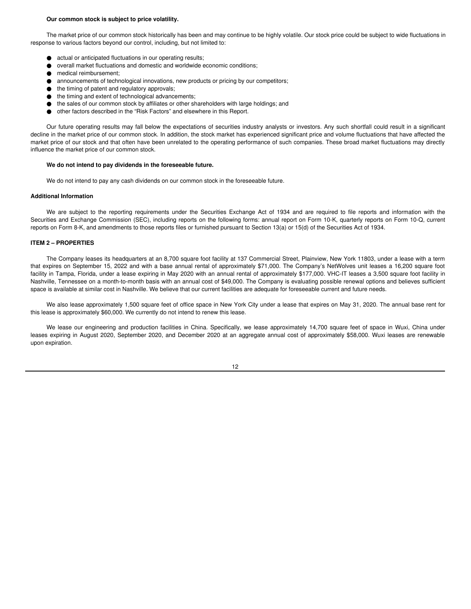#### **Our common stock is subject to price volatility.**

The market price of our common stock historically has been and may continue to be highly volatile. Our stock price could be subject to wide fluctuations in response to various factors beyond our control, including, but not limited to:

- actual or anticipated fluctuations in our operating results;
- overall market fluctuations and domestic and worldwide economic conditions;
- medical reimbursement;
- announcements of technological innovations, new products or pricing by our competitors;
- the timing of patent and regulatory approvals;
- the timing and extent of technological advancements;
- the sales of our common stock by affiliates or other shareholders with large holdings; and
- other factors described in the "Risk Factors" and elsewhere in this Report.

Our future operating results may fall below the expectations of securities industry analysts or investors. Any such shortfall could result in a significant decline in the market price of our common stock. In addition, the stock market has experienced significant price and volume fluctuations that have affected the market price of our stock and that often have been unrelated to the operating performance of such companies. These broad market fluctuations may directly influence the market price of our common stock.

#### **We do not intend to pay dividends in the foreseeable future.**

We do not intend to pay any cash dividends on our common stock in the foreseeable future.

#### **Additional Information**

We are subject to the reporting requirements under the Securities Exchange Act of 1934 and are required to file reports and information with the Securities and Exchange Commission (SEC), including reports on the following forms: annual report on Form 10-K, quarterly reports on Form 10-Q, current reports on Form 8-K, and amendments to those reports files or furnished pursuant to Section 13(a) or 15(d) of the Securities Act of 1934.

#### <span id="page-14-0"></span>**ITEM 2 – PROPERTIES**

The Company leases its headquarters at an 8,700 square foot facility at 137 Commercial Street, Plainview, New York 11803, under a lease with a term that expires on September 15, 2022 and with a base annual rental of approximately \$71,000. The Company's NetWolves unit leases a 16,200 square foot facility in Tampa, Florida, under a lease expiring in May 2020 with an annual rental of approximately \$177,000. VHC-IT leases a 3,500 square foot facility in Nashville, Tennessee on a month-to-month basis with an annual cost of \$49,000. The Company is evaluating possible renewal options and believes sufficient space is available at similar cost in Nashville. We believe that our current facilities are adequate for foreseeable current and future needs.

We also lease approximately 1,500 square feet of office space in New York City under a lease that expires on May 31, 2020. The annual base rent for this lease is approximately \$60,000. We currently do not intend to renew this lease.

We lease our engineering and production facilities in China. Specifically, we lease approximately 14,700 square feet of space in Wuxi, China under leases expiring in August 2020, September 2020, and December 2020 at an aggregate annual cost of approximately \$58,000. Wuxi leases are renewable upon expiration.

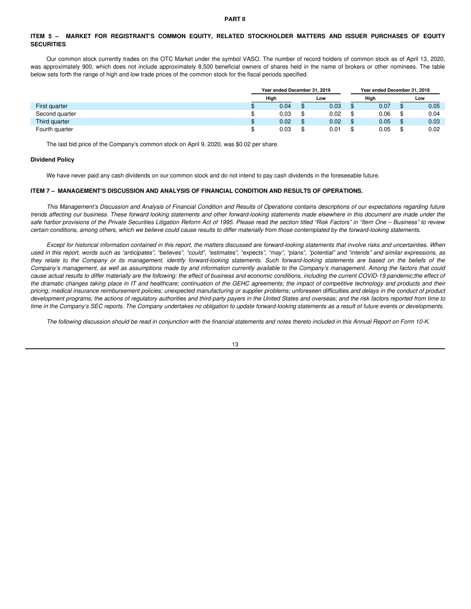## **PART II**

# <span id="page-15-0"></span>**ITEM 5 – MARKET FOR REGISTRANT'S COMMON EQUITY, RELATED STOCKHOLDER MATTERS AND ISSUER PURCHASES OF EQUITY SECURITIES**

Our common stock currently trades on the OTC Market under the symbol VASO. The number of record holders of common stock as of April 13, 2020, was approximately 900, which does not include approximately 8,500 beneficial owners of shares held in the name of brokers or other nominees. The table below sets forth the range of high and low trade prices of the common stock for the fiscal periods specified.

|                |    | Year ended December 31, 2019 |             |      | Year ended December 31, 2018 |      |             |      |
|----------------|----|------------------------------|-------------|------|------------------------------|------|-------------|------|
|                |    | Hiah                         |             | Low  |                              | Hiah |             | Low  |
| First quarter  | Φ  | 0.04                         | $\triangle$ | 0.03 | \$                           | 0.07 |             | 0.05 |
| Second quarter | \$ | 0.03                         | \$          | 0.02 | \$                           | 0.06 | $\triangle$ | 0.04 |
| Third quarter  | \$ | 0.02                         | \$.         | 0.02 | \$.                          | 0.05 | ۰D          | 0.03 |
| Fourth quarter | \$ | 0.03                         | ◠           | 0.01 | \$                           | 0.05 |             | 0.02 |

The last bid price of the Company's common stock on April 9, 2020, was \$0.02 per share.

#### **Dividend Policy**

We have never paid any cash dividends on our common stock and do not intend to pay cash dividends in the foreseeable future.

## <span id="page-15-1"></span>**ITEM 7 – MANAGEMENT'S DISCUSSION AND ANALYSIS OF FINANCIAL CONDITION AND RESULTS OF OPERATIONS.**

This Management's Discussion and Analysis of Financial Condition and Results of Operations contains descriptions of our expectations regarding future trends affecting our business. These forward looking statements and other forward-looking statements made elsewhere in this document are made under the safe harbor provisions of the Private Securities Litigation Reform Act of 1995. Please read the section titled "Risk Factors" in "Item One - Business" to review certain conditions, among others, which we believe could cause results to differ materially from those contemplated by the forward-looking statements.

Except for historical information contained in this report, the matters discussed are forward-looking statements that involve risks and uncertainties. When used in this report, words such as "anticipates", "believes", "could", "estimates", "expects", "may", "plans", "potential" and "intends" and similar expressions, as they relate to the Company or its management, identify forward-looking statements. Such forward-looking statements are based on the beliefs of the Company's management, as well as assumptions made by and information currently available to the Company's management. Among the factors that could cause actual results to differ materially are the following: the effect of business and economic conditions, including the current COVID-19 pandemic;the effect of the dramatic changes taking place in IT and healthcare; continuation of the GEHC agreements; the impact of competitive technology and products and their pricing; medical insurance reimbursement policies; unexpected manufacturing or supplier problems; unforeseen difficulties and delays in the conduct of product development programs; the actions of regulatory authorities and third-party payers in the United States and overseas; and the risk factors reported from time to time in the Company's SEC reports. The Company undertakes no obligation to update forward-looking statements as a result of future events or developments.

The following discussion should be read in conjunction with the financial statements and notes thereto included in this Annual Report on Form 10-K.

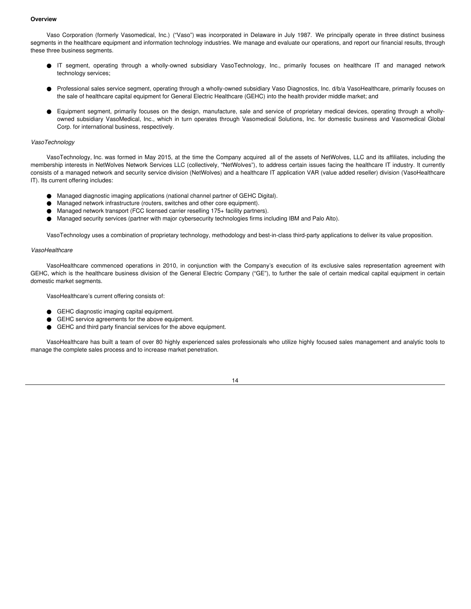#### **Overview**

Vaso Corporation (formerly Vasomedical, Inc.) ("Vaso") was incorporated in Delaware in July 1987. We principally operate in three distinct business segments in the healthcare equipment and information technology industries. We manage and evaluate our operations, and report our financial results, through these three business segments.

- IT segment, operating through a wholly-owned subsidiary VasoTechnology, Inc., primarily focuses on healthcare IT and managed network technology services;
- Professional sales service segment, operating through a wholly-owned subsidiary Vaso Diagnostics, Inc. d/b/a VasoHealthcare, primarily focuses on the sale of healthcare capital equipment for General Electric Healthcare (GEHC) into the health provider middle market; and
- Equipment segment, primarily focuses on the design, manufacture, sale and service of proprietary medical devices, operating through a whollyowned subsidiary VasoMedical, Inc., which in turn operates through Vasomedical Solutions, Inc. for domestic business and Vasomedical Global Corp. for international business, respectively.

#### *VasoTechnology*

VasoTechnology, Inc. was formed in May 2015, at the time the Company acquired all of the assets of NetWolves, LLC and its affiliates, including the membership interests in NetWolves Network Services LLC (collectively, "NetWolves"), to address certain issues facing the healthcare IT industry. It currently consists of a managed network and security service division (NetWolves) and a healthcare IT application VAR (value added reseller) division (VasoHealthcare IT). Its current offering includes:

- Managed diagnostic imaging applications (national channel partner of GEHC Digital).
- Managed network infrastructure (routers, switches and other core equipment).
- Managed network transport (FCC licensed carrier reselling 175+ facility partners).
- Managed security services (partner with major cybersecurity technologies firms including IBM and Palo Alto).

VasoTechnology uses a combination of proprietary technology, methodology and best-in-class third-party applications to deliver its value proposition.

## *VasoHealthcare*

VasoHealthcare commenced operations in 2010, in conjunction with the Company's execution of its exclusive sales representation agreement with GEHC, which is the healthcare business division of the General Electric Company ("GE"), to further the sale of certain medical capital equipment in certain domestic market segments.

VasoHealthcare's current offering consists of:

- GEHC diagnostic imaging capital equipment.
- GEHC service agreements for the above equipment.
- GEHC and third party financial services for the above equipment.

VasoHealthcare has built a team of over 80 highly experienced sales professionals who utilize highly focused sales management and analytic tools to manage the complete sales process and to increase market penetration.

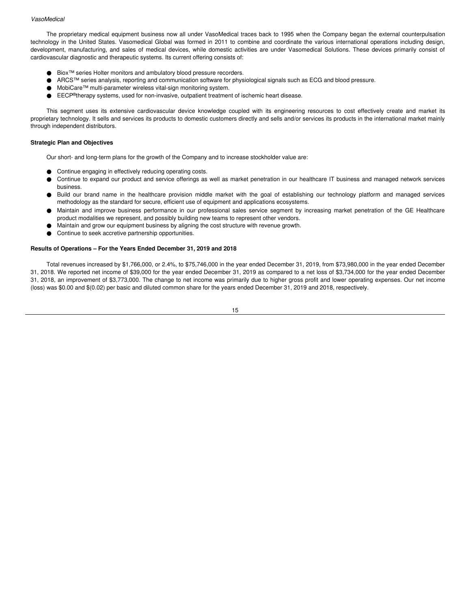#### *VasoMedical*

The proprietary medical equipment business now all under VasoMedical traces back to 1995 when the Company began the external counterpulsation technology in the United States. Vasomedical Global was formed in 2011 to combine and coordinate the various international operations including design, development, manufacturing, and sales of medical devices, while domestic activities are under Vasomedical Solutions. These devices primarily consist of cardiovascular diagnostic and therapeutic systems. Its current offering consists of:

- Biox<sup>™</sup> series Holter monitors and ambulatory blood pressure recorders.
- ARCS<sup>™</sup> series analysis, reporting and communication software for physiological signals such as ECG and blood pressure.
- MobiCare™ multi-parameter wireless vital-sign monitoring system.
- EECP<sup>®</sup>therapy systems, used for non-invasive, outpatient treatment of ischemic heart disease.

This segment uses its extensive cardiovascular device knowledge coupled with its engineering resources to cost effectively create and market its proprietary technology. It sells and services its products to domestic customers directly and sells and/or services its products in the international market mainly through independent distributors.

# **Strategic Plan and Objectives**

Our short- and long-term plans for the growth of the Company and to increase stockholder value are:

- Continue engaging in effectively reducing operating costs.
- Continue to expand our product and service offerings as well as market penetration in our healthcare IT business and managed network services business.
- Build our brand name in the healthcare provision middle market with the goal of establishing our technology platform and managed services methodology as the standard for secure, efficient use of equipment and applications ecosystems.
- Maintain and improve business performance in our professional sales service segment by increasing market penetration of the GE Healthcare product modalities we represent, and possibly building new teams to represent other vendors.
- Maintain and grow our equipment business by aligning the cost structure with revenue growth.
- Continue to seek accretive partnership opportunities.

## **Results of Operations – For the Years Ended December 31, 2019 and 2018**

Total revenues increased by \$1,766,000, or 2.4%, to \$75,746,000 in the year ended December 31, 2019, from \$73,980,000 in the year ended December 31, 2018. We reported net income of \$39,000 for the year ended December 31, 2019 as compared to a net loss of \$3,734,000 for the year ended December 31, 2018, an improvement of \$3,773,000. The change to net income was primarily due to higher gross profit and lower operating expenses. Our net income (loss) was \$0.00 and \$(0.02) per basic and diluted common share for the years ended December 31, 2019 and 2018, respectively.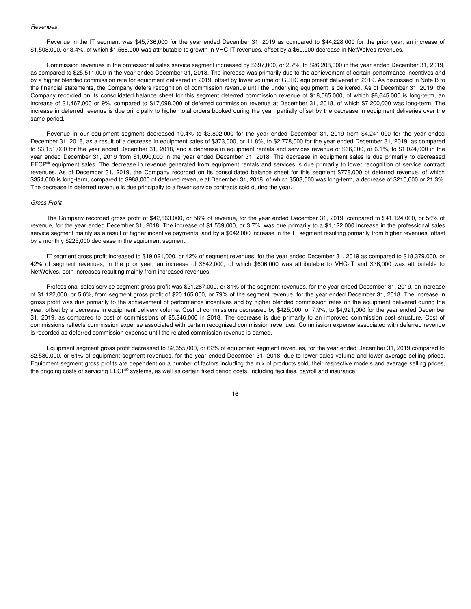## *Revenues*

Revenue in the IT segment was \$45,736,000 for the year ended December 31, 2019 as compared to \$44,228,000 for the prior year, an increase of \$1,508,000, or 3.4%, of which \$1,568,000 was attributable to growth in VHC-IT revenues, offset by a \$60,000 decrease in NetWolves revenues.

Commission revenues in the professional sales service segment increased by \$697,000, or 2.7%, to \$26,208,000 in the year ended December 31, 2019, as compared to \$25,511,000 in the year ended December 31, 2018. The increase was primarily due to the achievement of certain performance incentives and by a higher blended commission rate for equipment delivered in 2019, offset by lower volume of GEHC equipment delivered in 2019. As discussed in Note B to the financial statements, the Company defers recognition of commission revenue until the underlying equipment is delivered. As of December 31, 2019, the Company recorded on its consolidated balance sheet for this segment deferred commission revenue of \$18,565,000, of which \$6,645,000 is long-term, an increase of \$1,467,000 or 9%, compared to \$17,098,000 of deferred commission revenue at December 31, 2018, of which \$7,200,000 was long-term. The increase in deferred revenue is due principally to higher total orders booked during the year, partially offset by the decrease in equipment deliveries over the same period.

Revenue in our equipment segment decreased 10.4% to \$3,802,000 for the year ended December 31, 2019 from \$4,241,000 for the year ended December 31, 2018, as a result of a decrease in equipment sales of \$373,000, or 11.8%, to \$2,778,000 for the year ended December 31, 2019, as compared to \$3,151,000 for the year ended December 31, 2018, and a decrease in equipment rentals and services revenue of \$66,000, or 6.1%, to \$1,024,000 in the year ended December 31, 2019 from \$1,090,000 in the year ended December 31, 2018. The decrease in equipment sales is due primarily to decreased EECP® equipment sales. The decrease in revenue generated from equipment rentals and services is due primarily to lower recognition of service contract revenues. As of December 31, 2019, the Company recorded on its consolidated balance sheet for this segment \$778,000 of deferred revenue, of which \$354,000 is long-term, compared to \$988,000 of deferred revenue at December 31, 2018, of which \$503,000 was long-term, a decrease of \$210,000 or 21.3%. The decrease in deferred revenue is due principally to a fewer service contracts sold during the year.

#### *Gross Profit*

The Company recorded gross profit of \$42,663,000, or 56% of revenue, for the year ended December 31, 2019, compared to \$41,124,000, or 56% of revenue, for the year ended December 31, 2018. The increase of \$1,539,000, or 3.7%, was due primarily to a \$1,122,000 increase in the professional sales service segment mainly as a result of higher incentive payments, and by a \$642,000 increase in the IT segment resulting primarily from higher revenues, offset by a monthly \$225,000 decrease in the equipment segment.

IT segment gross profit increased to \$19,021,000, or 42% of segment revenues, for the year ended December 31, 2019 as compared to \$18,379,000, or 42% of segment revenues, in the prior year, an increase of \$642,000, of which \$606,000 was attributable to VHC-IT and \$36,000 was attributable to NetWolves, both increases resulting mainly from increased revenues.

Professional sales service segment gross profit was \$21,287,000, or 81% of the segment revenues, for the year ended December 31, 2019, an increase of \$1,122,000, or 5.6%, from segment gross profit of \$20,165,000, or 79% of the segment revenue, for the year ended December 31, 2018. The increase in gross profit was due primarily to the achievement of performance incentives and by higher blended commission rates on the equipment delivered during the year, offset by a decrease in equipment delivery volume. Cost of commissions decreased by \$425,000, or 7.9%, to \$4,921,000 for the year ended December 31, 2019, as compared to cost of commissions of \$5,346,000 in 2018. The decrease is due primarily to an improved commission cost structure. Cost of commissions reflects commission expense associated with certain recognized commission revenues. Commission expense associated with deferred revenue is recorded as deferred commission expense until the related commission revenue is earned.

Equipment segment gross profit decreased to \$2,355,000, or 62% of equipment segment revenues, for the year ended December 31, 2019 compared to \$2,580,000, or 61% of equipment segment revenues, for the year ended December 31, 2018, due to lower sales volume and lower average selling prices. Equipment segment gross profits are dependent on a number of factors including the mix of products sold, their respective models and average selling prices, the ongoing costs of servicing EECP® systems, as well as certain fixed period costs, including facilities, payroll and insurance.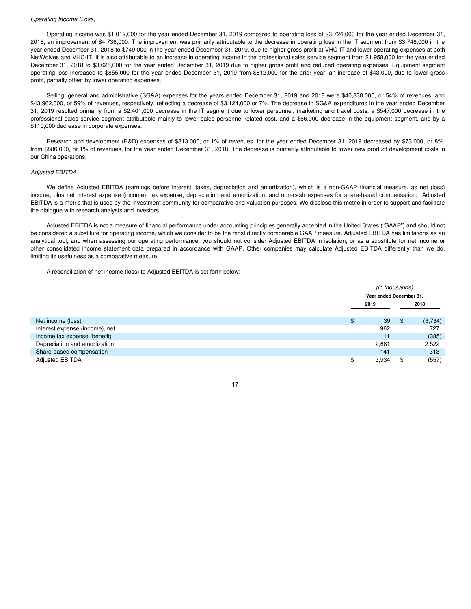#### *Operating Income (Loss)*

Operating income was \$1,012,000 for the year ended December 31, 2019 compared to operating loss of \$3,724,000 for the year ended December 31, 2018, an improvement of \$4,736,000. The improvement was primarily attributable to the decrease in operating loss in the IT segment from \$3,748,000 in the year ended December 31, 2018 to \$749,000 in the year ended December 31, 2019, due to higher gross profit at VHC-IT and lower operating expenses at both NetWolves and VHC-IT. It is also attributable to an increase in operating income in the professional sales service segment from \$1,958,000 for the year ended December 31, 2018 to \$3,626,000 for the year ended December 31, 2019 due to higher gross profit and reduced operating expenses. Equipment segment operating loss increased to \$855,000 for the year ended December 31, 2019 from \$812,000 for the prior year, an increase of \$43,000, due to lower gross profit, partially offset by lower operating expenses.

Selling, general and administrative (SG&A) expenses for the years ended December 31, 2019 and 2018 were \$40,838,000, or 54% of revenues, and \$43,962,000, or 59% of revenues, respectively, reflecting a decrease of \$3,124,000 or 7%. The decrease in SG&A expenditures in the year ended December 31, 2019 resulted primarily from a \$2,401,000 decrease in the IT segment due to lower personnel, marketing and travel costs, a \$547,000 decrease in the professional sales service segment attributable mainly to lower sales personnel-related cost, and a \$66,000 decrease in the equipment segment, and by a \$110,000 decrease in corporate expenses.

Research and development (R&D) expenses of \$813,000, or 1% of revenues, for the year ended December 31, 2019 decreased by \$73,000, or 8%, from \$886,000, or 1% of revenues, for the year ended December 31, 2018. The decrease is primarily attributable to lower new product development costs in our China operations.

#### *Adjusted EBITDA*

We define Adjusted EBITDA (earnings before interest, taxes, depreciation and amortization), which is a non-GAAP financial measure, as net (loss) income, plus net interest expense (income), tax expense, depreciation and amortization, and non-cash expenses for share-based compensation. Adjusted EBITDA is a metric that is used by the investment community for comparative and valuation purposes. We disclose this metric in order to support and facilitate the dialogue with research analysts and investors.

Adjusted EBITDA is not a measure of financial performance under accounting principles generally accepted in the United States ("GAAP") and should not be considered a substitute for operating income, which we consider to be the most directly comparable GAAP measure. Adjusted EBITDA has limitations as an analytical tool, and when assessing our operating performance, you should not consider Adjusted EBITDA in isolation, or as a substitute for net income or other consolidated income statement data prepared in accordance with GAAP. Other companies may calculate Adjusted EBITDA differently than we do, limiting its usefulness as a comparative measure.

A reconciliation of net income (loss) to Adjusted EBITDA is set forth below:

|                                | (in thousands) |                         |    |         |  |  |
|--------------------------------|----------------|-------------------------|----|---------|--|--|
|                                |                | Year ended December 31, |    |         |  |  |
|                                |                | 2019                    |    | 2018    |  |  |
|                                |                |                         |    |         |  |  |
| Net income (loss)              | \$             | 39                      | \$ | (3,734) |  |  |
| Interest expense (income), net |                | 962                     |    | 727     |  |  |
| Income tax expense (benefit)   |                | 111                     |    | (385)   |  |  |
| Depreciation and amortization  |                | 2,681                   |    | 2,522   |  |  |
| Share-based compensation       |                | 141                     |    | 313     |  |  |
| <b>Adjusted EBITDA</b>         |                | 3.934                   |    | (557)   |  |  |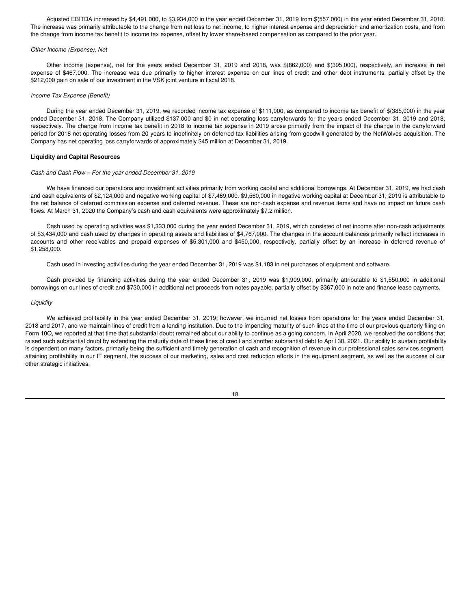Adjusted EBITDA increased by \$4,491,000, to \$3,934,000 in the year ended December 31, 2019 from \$(557,000) in the year ended December 31, 2018. The increase was primarily attributable to the change from net loss to net income, to higher interest expense and depreciation and amortization costs, and from the change from income tax benefit to income tax expense, offset by lower share-based compensation as compared to the prior year.

#### *Other Income (Expense), Net*

Other income (expense), net for the years ended December 31, 2019 and 2018, was \$(862,000) and \$(395,000), respectively, an increase in net expense of \$467,000. The increase was due primarily to higher interest expense on our lines of credit and other debt instruments, partially offset by the \$212,000 gain on sale of our investment in the VSK joint venture in fiscal 2018.

#### *Income Tax Expense (Benefit)*

During the year ended December 31, 2019, we recorded income tax expense of \$111,000, as compared to income tax benefit of \$(385,000) in the year ended December 31, 2018. The Company utilized \$137,000 and \$0 in net operating loss carryforwards for the years ended December 31, 2019 and 2018, respectively. The change from income tax benefit in 2018 to income tax expense in 2019 arose primarily from the impact of the change in the carryforward period for 2018 net operating losses from 20 years to indefinitely on deferred tax liabilities arising from goodwill generated by the NetWolves acquisition. The Company has net operating loss carryforwards of approximately \$45 million at December 31, 2019.

## **Liquidity and Capital Resources**

## *Cash and Cash Flow – For the year ended December 31, 2019*

We have financed our operations and investment activities primarily from working capital and additional borrowings. At December 31, 2019, we had cash and cash equivalents of \$2,124,000 and negative working capital of \$7,469,000. \$9,560,000 in negative working capital at December 31, 2019 is attributable to the net balance of deferred commission expense and deferred revenue. These are non-cash expense and revenue items and have no impact on future cash flows. At March 31, 2020 the Company's cash and cash equivalents were approximately \$7.2 million.

Cash used by operating activities was \$1,333,000 during the year ended December 31, 2019, which consisted of net income after non-cash adjustments of \$3,434,000 and cash used by changes in operating assets and liabilities of \$4,767,000. The changes in the account balances primarily reflect increases in accounts and other receivables and prepaid expenses of \$5,301,000 and \$450,000, respectively, partially offset by an increase in deferred revenue of \$1,258,000.

Cash used in investing activities during the year ended December 31, 2019 was \$1,183 in net purchases of equipment and software.

Cash provided by financing activities during the year ended December 31, 2019 was \$1,909,000, primarily attributable to \$1,550,000 in additional borrowings on our lines of credit and \$730,000 in additional net proceeds from notes payable, partially offset by \$367,000 in note and finance lease payments.

## *Liquidity*

We achieved profitability in the year ended December 31, 2019; however, we incurred net losses from operations for the years ended December 31, 2018 and 2017, and we maintain lines of credit from a lending institution. Due to the impending maturity of such lines at the time of our previous quarterly filing on Form 10Q, we reported at that time that substantial doubt remained about our ability to continue as a going concern. In April 2020, we resolved the conditions that raised such substantial doubt by extending the maturity date of these lines of credit and another substantial debt to April 30, 2021. Our ability to sustain profitability is dependent on many factors, primarily being the sufficient and timely generation of cash and recognition of revenue in our professional sales services segment, attaining profitability in our IT segment, the success of our marketing, sales and cost reduction efforts in the equipment segment, as well as the success of our other strategic initiatives.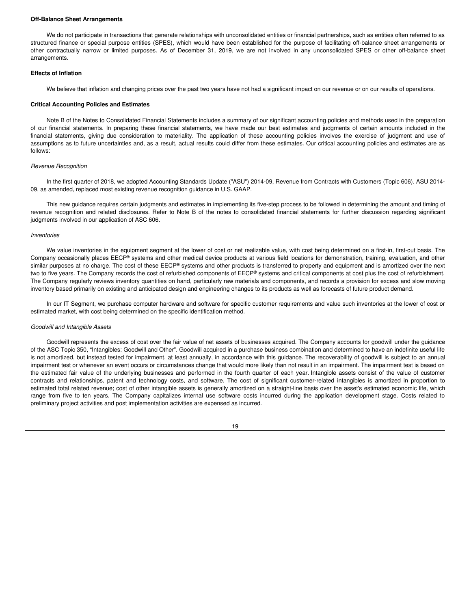#### **Off-Balance Sheet Arrangements**

We do not participate in transactions that generate relationships with unconsolidated entities or financial partnerships, such as entities often referred to as structured finance or special purpose entities (SPES), which would have been established for the purpose of facilitating off-balance sheet arrangements or other contractually narrow or limited purposes. As of December 31, 2019, we are not involved in any unconsolidated SPES or other off-balance sheet arrangements.

#### **Effects of Inflation**

We believe that inflation and changing prices over the past two years have not had a significant impact on our revenue or on our results of operations.

#### **Critical Accounting Policies and Estimates**

Note B of the Notes to Consolidated Financial Statements includes a summary of our significant accounting policies and methods used in the preparation of our financial statements. In preparing these financial statements, we have made our best estimates and judgments of certain amounts included in the financial statements, giving due consideration to materiality. The application of these accounting policies involves the exercise of judgment and use of assumptions as to future uncertainties and, as a result, actual results could differ from these estimates. Our critical accounting policies and estimates are as follows:

#### *Revenue Recognition*

In the first quarter of 2018, we adopted Accounting Standards Update ("ASU") 2014-09, Revenue from Contracts with Customers (Topic 606). ASU 2014- 09, as amended, replaced most existing revenue recognition guidance in U.S. GAAP.

This new guidance requires certain judgments and estimates in implementing its five-step process to be followed in determining the amount and timing of revenue recognition and related disclosures. Refer to Note B of the notes to consolidated financial statements for further discussion regarding significant judgments involved in our application of ASC 606.

#### *Inventories*

We value inventories in the equipment segment at the lower of cost or net realizable value, with cost being determined on a first-in, first-out basis. The Company occasionally places EECP® systems and other medical device products at various field locations for demonstration, training, evaluation, and other similar purposes at no charge. The cost of these EECP® systems and other products is transferred to property and equipment and is amortized over the next two to five years. The Company records the cost of refurbished components of EECP® systems and critical components at cost plus the cost of refurbishment. The Company regularly reviews inventory quantities on hand, particularly raw materials and components, and records a provision for excess and slow moving inventory based primarily on existing and anticipated design and engineering changes to its products as well as forecasts of future product demand.

In our IT Segment, we purchase computer hardware and software for specific customer requirements and value such inventories at the lower of cost or estimated market, with cost being determined on the specific identification method.

## *Goodwill and Intangible Assets*

Goodwill represents the excess of cost over the fair value of net assets of businesses acquired. The Company accounts for goodwill under the guidance of the ASC Topic 350, "Intangibles: Goodwill and Other". Goodwill acquired in a purchase business combination and determined to have an indefinite useful life is not amortized, but instead tested for impairment, at least annually, in accordance with this guidance. The recoverability of goodwill is subject to an annual impairment test or whenever an event occurs or circumstances change that would more likely than not result in an impairment. The impairment test is based on the estimated fair value of the underlying businesses and performed in the fourth quarter of each year. Intangible assets consist of the value of customer contracts and relationships, patent and technology costs, and software. The cost of significant customer-related intangibles is amortized in proportion to estimated total related revenue; cost of other intangible assets is generally amortized on a straight-line basis over the asset's estimated economic life, which range from five to ten years. The Company capitalizes internal use software costs incurred during the application development stage. Costs related to preliminary project activities and post implementation activities are expensed as incurred.

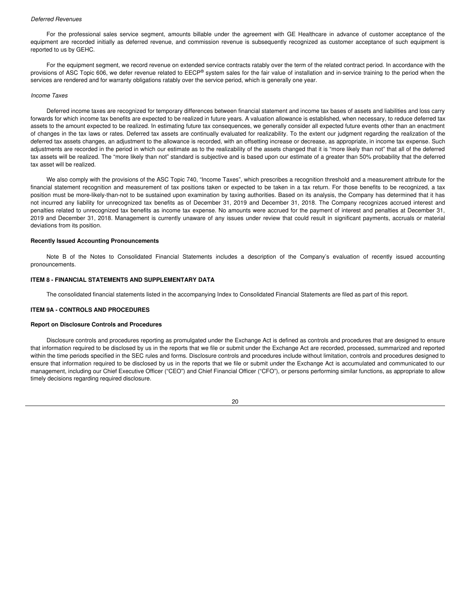#### *Deferred Revenues*

For the professional sales service segment, amounts billable under the agreement with GE Healthcare in advance of customer acceptance of the equipment are recorded initially as deferred revenue, and commission revenue is subsequently recognized as customer acceptance of such equipment is reported to us by GEHC.

For the equipment segment, we record revenue on extended service contracts ratably over the term of the related contract period. In accordance with the provisions of ASC Topic 606, we defer revenue related to EECP® system sales for the fair value of installation and in-service training to the period when the services are rendered and for warranty obligations ratably over the service period, which is generally one year.

#### *Income Taxes*

Deferred income taxes are recognized for temporary differences between financial statement and income tax bases of assets and liabilities and loss carry forwards for which income tax benefits are expected to be realized in future years. A valuation allowance is established, when necessary, to reduce deferred tax assets to the amount expected to be realized. In estimating future tax consequences, we generally consider all expected future events other than an enactment of changes in the tax laws or rates. Deferred tax assets are continually evaluated for realizability. To the extent our judgment regarding the realization of the deferred tax assets changes, an adjustment to the allowance is recorded, with an offsetting increase or decrease, as appropriate, in income tax expense. Such adjustments are recorded in the period in which our estimate as to the realizability of the assets changed that it is "more likely than not" that all of the deferred tax assets will be realized. The "more likely than not" standard is subjective and is based upon our estimate of a greater than 50% probability that the deferred tax asset will be realized.

We also comply with the provisions of the ASC Topic 740, "Income Taxes", which prescribes a recognition threshold and a measurement attribute for the financial statement recognition and measurement of tax positions taken or expected to be taken in a tax return. For those benefits to be recognized, a tax position must be more-likely-than-not to be sustained upon examination by taxing authorities. Based on its analysis, the Company has determined that it has not incurred any liability for unrecognized tax benefits as of December 31, 2019 and December 31, 2018. The Company recognizes accrued interest and penalties related to unrecognized tax benefits as income tax expense. No amounts were accrued for the payment of interest and penalties at December 31, 2019 and December 31, 2018. Management is currently unaware of any issues under review that could result in significant payments, accruals or material deviations from its position.

## **Recently Issued Accounting Pronouncements**

Note B of the Notes to Consolidated Financial Statements includes a description of the Company's evaluation of recently issued accounting pronouncements.

#### <span id="page-22-0"></span>**ITEM 8 - FINANCIAL STATEMENTS AND SUPPLEMENTARY DATA**

The consolidated financial statements listed in the accompanying Index to Consolidated Financial Statements are filed as part of this report.

#### <span id="page-22-1"></span>**ITEM 9A - CONTROLS AND PROCEDURES**

### **Report on Disclosure Controls and Procedures**

Disclosure controls and procedures reporting as promulgated under the Exchange Act is defined as controls and procedures that are designed to ensure that information required to be disclosed by us in the reports that we file or submit under the Exchange Act are recorded, processed, summarized and reported within the time periods specified in the SEC rules and forms. Disclosure controls and procedures include without limitation, controls and procedures designed to ensure that information required to be disclosed by us in the reports that we file or submit under the Exchange Act is accumulated and communicated to our management, including our Chief Executive Officer ("CEO") and Chief Financial Officer ("CFO"), or persons performing similar functions, as appropriate to allow timely decisions regarding required disclosure.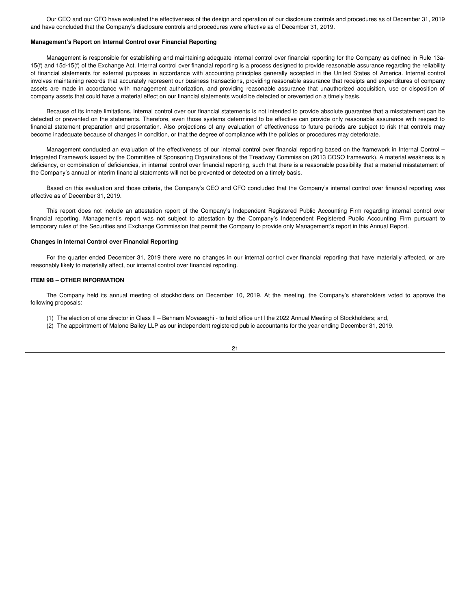Our CEO and our CFO have evaluated the effectiveness of the design and operation of our disclosure controls and procedures as of December 31, 2019 and have concluded that the Company's disclosure controls and procedures were effective as of December 31, 2019.

## **Management's Report on Internal Control over Financial Reporting**

Management is responsible for establishing and maintaining adequate internal control over financial reporting for the Company as defined in Rule 13a-15(f) and 15d-15(f) of the Exchange Act. Internal control over financial reporting is a process designed to provide reasonable assurance regarding the reliability of financial statements for external purposes in accordance with accounting principles generally accepted in the United States of America. Internal control involves maintaining records that accurately represent our business transactions, providing reasonable assurance that receipts and expenditures of company assets are made in accordance with management authorization, and providing reasonable assurance that unauthorized acquisition, use or disposition of company assets that could have a material effect on our financial statements would be detected or prevented on a timely basis.

Because of its innate limitations, internal control over our financial statements is not intended to provide absolute guarantee that a misstatement can be detected or prevented on the statements. Therefore, even those systems determined to be effective can provide only reasonable assurance with respect to financial statement preparation and presentation. Also projections of any evaluation of effectiveness to future periods are subject to risk that controls may become inadequate because of changes in condition, or that the degree of compliance with the policies or procedures may deteriorate.

Management conducted an evaluation of the effectiveness of our internal control over financial reporting based on the framework in Internal Control – Integrated Framework issued by the Committee of Sponsoring Organizations of the Treadway Commission (2013 COSO framework). A material weakness is a deficiency, or combination of deficiencies, in internal control over financial reporting, such that there is a reasonable possibility that a material misstatement of the Company's annual or interim financial statements will not be prevented or detected on a timely basis.

Based on this evaluation and those criteria, the Company's CEO and CFO concluded that the Company's internal control over financial reporting was effective as of December 31, 2019.

This report does not include an attestation report of the Company's Independent Registered Public Accounting Firm regarding internal control over financial reporting. Management's report was not subject to attestation by the Company's Independent Registered Public Accounting Firm pursuant to temporary rules of the Securities and Exchange Commission that permit the Company to provide only Management's report in this Annual Report.

## **Changes in Internal Control over Financial Reporting**

For the quarter ended December 31, 2019 there were no changes in our internal control over financial reporting that have materially affected, or are reasonably likely to materially affect, our internal control over financial reporting.

#### <span id="page-23-0"></span>**ITEM 9B – OTHER INFORMATION**

The Company held its annual meeting of stockholders on December 10, 2019. At the meeting, the Company's shareholders voted to approve the following proposals:

- (1) The election of one director in Class II Behnam Movaseghi to hold office until the 2022 Annual Meeting of Stockholders; and,
- (2) The appointment of Malone Bailey LLP as our independent registered public accountants for the year ending December 31, 2019.

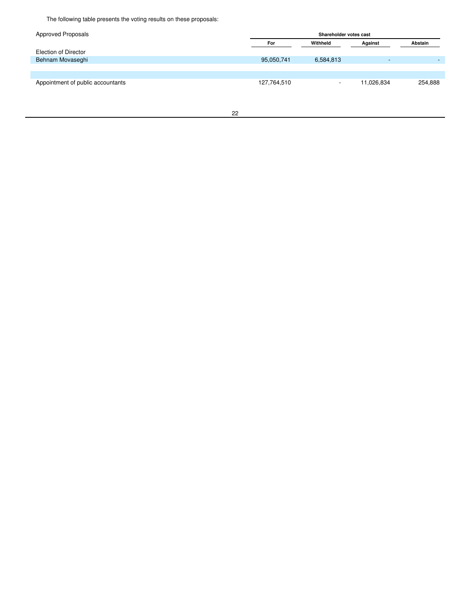The following table presents the voting results on these proposals:

| Approved Proposals                | Shareholder votes cast |                          |                          |         |  |  |
|-----------------------------------|------------------------|--------------------------|--------------------------|---------|--|--|
|                                   | For                    | Withheld                 | Against                  | Abstain |  |  |
| Election of Director              |                        |                          |                          |         |  |  |
| Behnam Movaseghi                  | 95,050,741             | 6,584,813                | $\overline{\phantom{a}}$ |         |  |  |
|                                   |                        |                          |                          |         |  |  |
|                                   |                        |                          |                          |         |  |  |
| Appointment of public accountants | 127,764,510            | $\overline{\phantom{0}}$ | 11,026,834               | 254,888 |  |  |
|                                   |                        |                          |                          |         |  |  |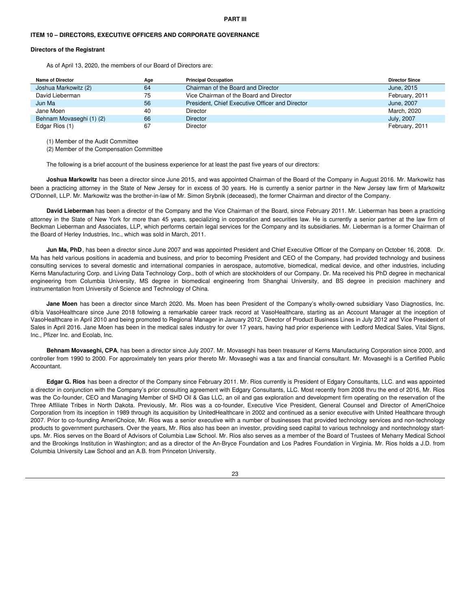#### **PART III**

## <span id="page-25-0"></span>**ITEM 10 – DIRECTORS, EXECUTIVE OFFICERS AND CORPORATE GOVERNANCE**

#### **Directors of the Registrant**

As of April 13, 2020, the members of our Board of Directors are:

| <b>Name of Director</b>  | Age | <b>Principal Occupation</b>                     | <b>Director Since</b> |
|--------------------------|-----|-------------------------------------------------|-----------------------|
| Joshua Markowitz (2)     | 64  | Chairman of the Board and Director              | June, 2015            |
| David Lieberman          | 75  | Vice Chairman of the Board and Director         | February, 2011        |
| Jun Ma                   | 56  | President, Chief Executive Officer and Director | June, 2007            |
| Jane Moen                | 40  | <b>Director</b>                                 | March, 2020           |
| Behnam Movaseghi (1) (2) | 66  | <b>Director</b>                                 | <b>July, 2007</b>     |
| Edgar Rios (1)           | 67  | Director                                        | February, 2011        |

(1) Member of the Audit Committee

(2) Member of the Compensation Committee

The following is a brief account of the business experience for at least the past five years of our directors:

**Joshua Markowitz** has been a director since June 2015, and was appointed Chairman of the Board of the Company in August 2016. Mr. Markowitz has been a practicing attorney in the State of New Jersey for in excess of 30 years. He is currently a senior partner in the New Jersey law firm of Markowitz O'Donnell, LLP. Mr. Markowitz was the brother-in-law of Mr. Simon Srybnik (deceased), the former Chairman and director of the Company.

**David Lieberman** has been a director of the Company and the Vice Chairman of the Board, since February 2011. Mr. Lieberman has been a practicing attorney in the State of New York for more than 45 years, specializing in corporation and securities law. He is currently a senior partner at the law firm of Beckman Lieberman and Associates, LLP, which performs certain legal services for the Company and its subsidiaries. Mr. Lieberman is a former Chairman of the Board of Herley Industries, Inc., which was sold in March, 2011.

**Jun Ma, PhD**, has been a director since June 2007 and was appointed President and Chief Executive Officer of the Company on October 16, 2008. Dr. Ma has held various positions in academia and business, and prior to becoming President and CEO of the Company, had provided technology and business consulting services to several domestic and international companies in aerospace, automotive, biomedical, medical device, and other industries, including Kerns Manufacturing Corp. and Living Data Technology Corp., both of which are stockholders of our Company. Dr. Ma received his PhD degree in mechanical engineering from Columbia University, MS degree in biomedical engineering from Shanghai University, and BS degree in precision machinery and instrumentation from University of Science and Technology of China.

**Jane Moen** has been a director since March 2020. Ms. Moen has been President of the Company's wholly-owned subsidiary Vaso Diagnostics, Inc. d/b/a VasoHealthcare since June 2018 following a remarkable career track record at VasoHealthcare, starting as an Account Manager at the inception of VasoHealthcare in April 2010 and being promoted to Regional Manager in January 2012, Director of Product Business Lines in July 2012 and Vice President of Sales in April 2016. Jane Moen has been in the medical sales industry for over 17 years, having had prior experience with Ledford Medical Sales, Vital Signs, Inc., Pfizer Inc. and Ecolab, Inc.

**Behnam Movaseghi, CPA**, has been a director since July 2007. Mr. Movaseghi has been treasurer of Kerns Manufacturing Corporation since 2000, and controller from 1990 to 2000. For approximately ten years prior thereto Mr. Movaseghi was a tax and financial consultant. Mr. Movaseghi is a Certified Public Accountant.

**Edgar G. Rios** has been a director of the Company since February 2011. Mr. Rios currently is President of Edgary Consultants, LLC. and was appointed a director in conjunction with the Company's prior consulting agreement with Edgary Consultants, LLC. Most recently from 2008 thru the end of 2016, Mr. Rios was the Co-founder, CEO and Managing Member of SHD Oil & Gas LLC, an oil and gas exploration and development firm operating on the reservation of the Three Affiliate Tribes in North Dakota. Previously, Mr. Rios was a co-founder, Executive Vice President, General Counsel and Director of AmeriChoice Corporation from its inception in 1989 through its acquisition by UnitedHealthcare in 2002 and continued as a senior executive with United Healthcare through 2007. Prior to co-founding AmeriChoice, Mr. Rios was a senior executive with a number of businesses that provided technology services and non-technology products to government purchasers. Over the years, Mr. Rios also has been an investor, providing seed capital to various technology and nontechnology startups. Mr. Rios serves on the Board of Advisors of Columbia Law School. Mr. Rios also serves as a member of the Board of Trustees of Meharry Medical School and the Brookings Institution in Washington; and as a director of the An-Bryce Foundation and Los Padres Foundation in Virginia. Mr. Rios holds a J.D. from Columbia University Law School and an A.B. from Princeton University.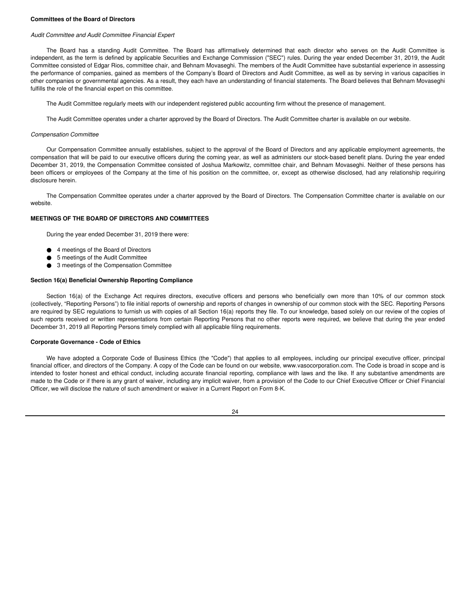#### **Committees of the Board of Directors**

## *Audit Committee and Audit Committee Financial Expert*

The Board has a standing Audit Committee. The Board has affirmatively determined that each director who serves on the Audit Committee is independent, as the term is defined by applicable Securities and Exchange Commission ("SEC") rules. During the year ended December 31, 2019, the Audit Committee consisted of Edgar Rios, committee chair, and Behnam Movaseghi. The members of the Audit Committee have substantial experience in assessing the performance of companies, gained as members of the Company's Board of Directors and Audit Committee, as well as by serving in various capacities in other companies or governmental agencies. As a result, they each have an understanding of financial statements. The Board believes that Behnam Movaseghi fulfills the role of the financial expert on this committee.

The Audit Committee regularly meets with our independent registered public accounting firm without the presence of management.

The Audit Committee operates under a charter approved by the Board of Directors. The Audit Committee charter is available on our website.

#### *Compensation Committee*

Our Compensation Committee annually establishes, subject to the approval of the Board of Directors and any applicable employment agreements, the compensation that will be paid to our executive officers during the coming year, as well as administers our stock-based benefit plans. During the year ended December 31, 2019, the Compensation Committee consisted of Joshua Markowitz, committee chair, and Behnam Movaseghi. Neither of these persons has been officers or employees of the Company at the time of his position on the committee, or, except as otherwise disclosed, had any relationship requiring disclosure herein.

The Compensation Committee operates under a charter approved by the Board of Directors. The Compensation Committee charter is available on our website.

## **MEETINGS OF THE BOARD OF DIRECTORS AND COMMITTEES**

During the year ended December 31, 2019 there were:

- 4 meetings of the Board of Directors
- 5 meetings of the Audit Committee
- 3 meetings of the Compensation Committee

#### **Section 16(a) Beneficial Ownership Reporting Compliance**

Section 16(a) of the Exchange Act requires directors, executive officers and persons who beneficially own more than 10% of our common stock (collectively, "Reporting Persons") to file initial reports of ownership and reports of changes in ownership of our common stock with the SEC. Reporting Persons are required by SEC regulations to furnish us with copies of all Section 16(a) reports they file. To our knowledge, based solely on our review of the copies of such reports received or written representations from certain Reporting Persons that no other reports were required, we believe that during the year ended December 31, 2019 all Reporting Persons timely complied with all applicable filing requirements.

#### **Corporate Governance - Code of Ethics**

We have adopted a Corporate Code of Business Ethics (the "Code") that applies to all employees, including our principal executive officer, principal financial officer, and directors of the Company. A copy of the Code can be found on our website, www.vasocorporation.com. The Code is broad in scope and is intended to foster honest and ethical conduct, including accurate financial reporting, compliance with laws and the like. If any substantive amendments are made to the Code or if there is any grant of waiver, including any implicit waiver, from a provision of the Code to our Chief Executive Officer or Chief Financial Officer, we will disclose the nature of such amendment or waiver in a Current Report on Form 8-K.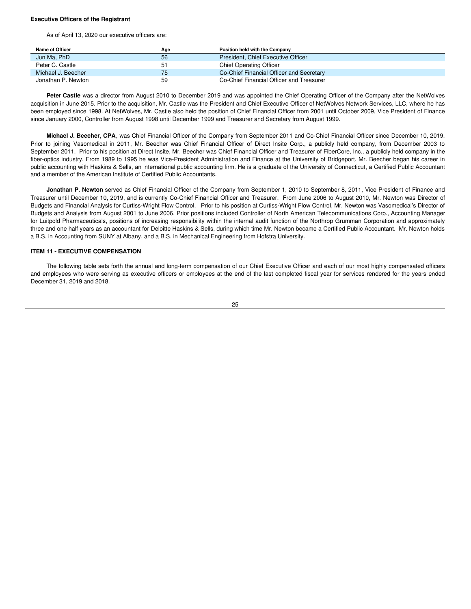#### **Executive Officers of the Registrant**

As of April 13, 2020 our executive officers are:

| Name of Officer    | Age | Position held with the Company           |
|--------------------|-----|------------------------------------------|
| Jun Ma, PhD        | 56  | President, Chief Executive Officer       |
| Peter C. Castle    | 51  | Chief Operating Officer                  |
| Michael J. Beecher | 75  | Co-Chief Financial Officer and Secretary |
| Jonathan P. Newton | 59  | Co-Chief Financial Officer and Treasurer |

**Peter Castle** was a director from August 2010 to December 2019 and was appointed the Chief Operating Officer of the Company after the NetWolves acquisition in June 2015. Prior to the acquisition, Mr. Castle was the President and Chief Executive Officer of NetWolves Network Services, LLC, where he has been employed since 1998. At NetWolves, Mr. Castle also held the position of Chief Financial Officer from 2001 until October 2009, Vice President of Finance since January 2000, Controller from August 1998 until December 1999 and Treasurer and Secretary from August 1999.

**Michael J. Beecher, CPA**, was Chief Financial Officer of the Company from September 2011 and Co-Chief Financial Officer since December 10, 2019. Prior to joining Vasomedical in 2011, Mr. Beecher was Chief Financial Officer of Direct Insite Corp., a publicly held company, from December 2003 to September 2011. Prior to his position at Direct Insite, Mr. Beecher was Chief Financial Officer and Treasurer of FiberCore, Inc., a publicly held company in the fiber-optics industry. From 1989 to 1995 he was Vice-President Administration and Finance at the University of Bridgeport. Mr. Beecher began his career in public accounting with Haskins & Sells, an international public accounting firm. He is a graduate of the University of Connecticut, a Certified Public Accountant and a member of the American Institute of Certified Public Accountants.

**Jonathan P. Newton** served as Chief Financial Officer of the Company from September 1, 2010 to September 8, 2011, Vice President of Finance and Treasurer until December 10, 2019, and is currently Co-Chief Financial Officer and Treasurer. From June 2006 to August 2010, Mr. Newton was Director of Budgets and Financial Analysis for Curtiss-Wright Flow Control. Prior to his position at Curtiss-Wright Flow Control, Mr. Newton was Vasomedical's Director of Budgets and Analysis from August 2001 to June 2006. Prior positions included Controller of North American Telecommunications Corp., Accounting Manager for Luitpold Pharmaceuticals, positions of increasing responsibility within the internal audit function of the Northrop Grumman Corporation and approximately three and one half years as an accountant for Deloitte Haskins & Sells, during which time Mr. Newton became a Certified Public Accountant. Mr. Newton holds a B.S. in Accounting from SUNY at Albany, and a B.S. in Mechanical Engineering from Hofstra University.

#### <span id="page-27-0"></span>**ITEM 11 - EXECUTIVE COMPENSATION**

The following table sets forth the annual and long-term compensation of our Chief Executive Officer and each of our most highly compensated officers and employees who were serving as executive officers or employees at the end of the last completed fiscal year for services rendered for the years ended December 31, 2019 and 2018.

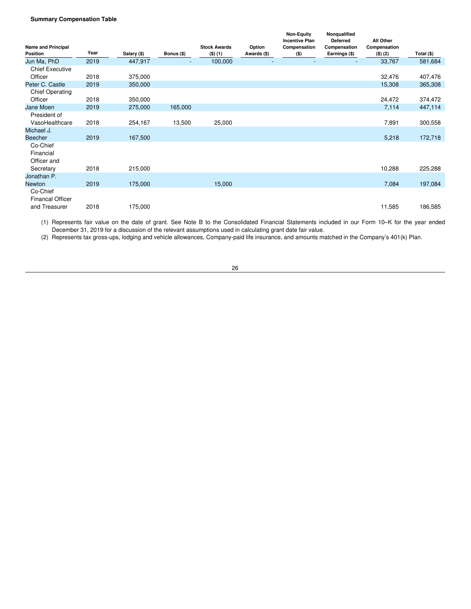# **Summary Compensation Table**

| <b>Name and Principal</b>                            |      |             |            | <b>Stock Awards</b> | Option      | Non-Equity<br><b>Incentive Plan</b><br>Compensation | Nonqualified<br><b>Deferred</b><br>Compensation | <b>All Other</b><br>Compensation |            |
|------------------------------------------------------|------|-------------|------------|---------------------|-------------|-----------------------------------------------------|-------------------------------------------------|----------------------------------|------------|
| <b>Position</b>                                      | Year | Salary (\$) | Bonus (\$) | $($ \$) $(1)$       | Awards (\$) | (\$)                                                | Earnings (\$)                                   | $($ \$) $(2)$                    | Total (\$) |
| Jun Ma, PhD                                          | 2019 | 447,917     |            | 100,000             |             |                                                     |                                                 | 33,767                           | 581,684    |
| <b>Chief Executive</b>                               |      |             |            |                     |             |                                                     |                                                 |                                  |            |
| Officer                                              | 2018 | 375,000     |            |                     |             |                                                     |                                                 | 32,476                           | 407,476    |
| Peter C. Castle                                      | 2019 | 350,000     |            |                     |             |                                                     |                                                 | 15,308                           | 365,308    |
| <b>Chief Operating</b>                               |      |             |            |                     |             |                                                     |                                                 |                                  |            |
| Officer                                              | 2018 | 350,000     |            |                     |             |                                                     |                                                 | 24,472                           | 374,472    |
| Jane Moen                                            | 2019 | 275,000     | 165,000    |                     |             |                                                     |                                                 | 7,114                            | 447,114    |
| President of                                         |      |             |            |                     |             |                                                     |                                                 |                                  |            |
| VasoHealthcare                                       | 2018 | 254,167     | 13,500     | 25,000              |             |                                                     |                                                 | 7,891                            | 300,558    |
| Michael J.                                           |      |             |            |                     |             |                                                     |                                                 |                                  |            |
| <b>Beecher</b>                                       | 2019 | 167,500     |            |                     |             |                                                     |                                                 | 5,218                            | 172,718    |
| Co-Chief<br>Financial<br>Officer and                 |      |             |            |                     |             |                                                     |                                                 |                                  |            |
| Secretary                                            | 2018 | 215,000     |            |                     |             |                                                     |                                                 | 10,288                           | 225,288    |
| Jonathan P.                                          |      |             |            |                     |             |                                                     |                                                 |                                  |            |
| Newton                                               | 2019 | 175,000     |            | 15,000              |             |                                                     |                                                 | 7,084                            | 197,084    |
| Co-Chief<br><b>Financal Officer</b><br>and Treasurer | 2018 | 175,000     |            |                     |             |                                                     |                                                 | 11,585                           | 186,585    |

(1) Represents fair value on the date of grant. See Note B to the Consolidated Financial Statements included in our Form 10–K for the year ended December 31, 2019 for a discussion of the relevant assumptions used in calculating grant date fair value.

(2) Represents tax gross-ups, lodging and vehicle allowances, Company-paid life insurance, and amounts matched in the Company's 401(k) Plan.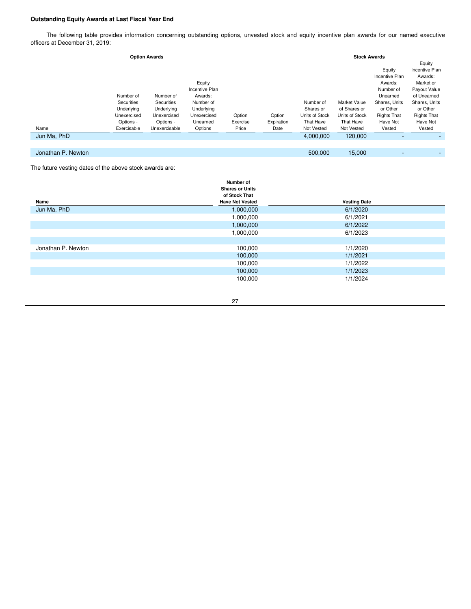# **Outstanding Equity Awards at Last Fiscal Year End**

The following table provides information concerning outstanding options, unvested stock and equity incentive plan awards for our named executive officers at December 31, 2019:

| <b>Option Awards</b> |             |               |                |          |            | <b>Stock Awards</b> |                     |                    |                    |
|----------------------|-------------|---------------|----------------|----------|------------|---------------------|---------------------|--------------------|--------------------|
|                      |             |               |                |          |            |                     |                     |                    | Equity             |
|                      |             |               |                |          |            |                     |                     | Equity             | Incentive Plan     |
|                      |             |               |                |          |            |                     |                     | Incentive Plan     | Awards:            |
|                      |             |               | Equity         |          |            |                     |                     | Awards:            | Market or          |
|                      |             |               | Incentive Plan |          |            |                     |                     | Number of          | Payout Value       |
|                      | Number of   | Number of     | Awards:        |          |            |                     |                     | Unearned           | of Unearned        |
|                      | Securities  | Securities    | Number of      |          |            | Number of           | <b>Market Value</b> | Shares, Units      | Shares, Units      |
|                      | Underlying  | Underlying    | Underlying     |          |            | Shares or           | of Shares or        | or Other           | or Other           |
|                      | Unexercised | Unexercised   | Unexercised    | Option   | Option     | Units of Stock      | Units of Stock      | <b>Rights That</b> | <b>Rights That</b> |
|                      | Options -   | Options -     | Unearned       | Exercise | Expiration | That Have           | That Have           | Have Not           | Have Not           |
| Name                 | Exercisable | Unexercisable | Options        | Price    | Date       | Not Vested          | Not Vested          | Vested             | Vested             |
| Jun Ma, PhD          |             |               |                |          |            | 4,000,000           | 120,000             |                    |                    |
|                      |             |               |                |          |            |                     |                     |                    |                    |
| Jonathan P. Newton   |             |               |                |          |            | 500,000             | 15,000              |                    |                    |

The future vesting dates of the above stock awards are:

|                    | Number of<br><b>Shares or Units</b><br>of Stock That |                     |
|--------------------|------------------------------------------------------|---------------------|
| Name               | <b>Have Not Vested</b>                               | <b>Vesting Date</b> |
| Jun Ma, PhD        | 1,000,000                                            | 6/1/2020            |
|                    | 1,000,000                                            | 6/1/2021            |
|                    | 1,000,000                                            | 6/1/2022            |
|                    | 1,000,000                                            | 6/1/2023            |
|                    |                                                      |                     |
| Jonathan P. Newton | 100,000                                              | 1/1/2020            |
|                    | 100,000                                              | 1/1/2021            |
|                    | 100,000                                              | 1/1/2022            |
|                    | 100,000                                              | 1/1/2023            |
|                    | 100,000                                              | 1/1/2024            |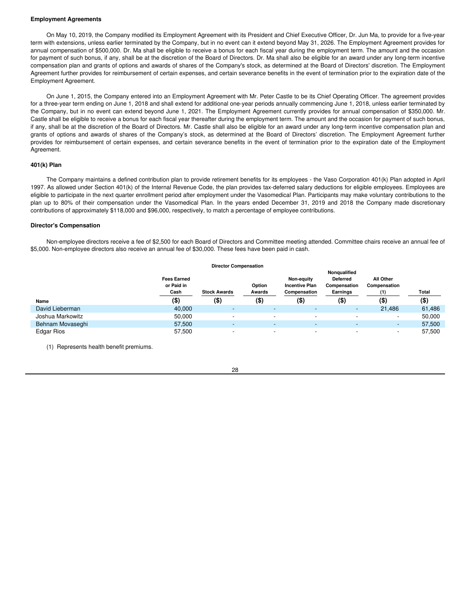#### **Employment Agreements**

On May 10, 2019, the Company modified its Employment Agreement with its President and Chief Executive Officer, Dr. Jun Ma, to provide for a five-year term with extensions, unless earlier terminated by the Company, but in no event can it extend beyond May 31, 2026. The Employment Agreement provides for annual compensation of \$500,000. Dr. Ma shall be eligible to receive a bonus for each fiscal year during the employment term. The amount and the occasion for payment of such bonus, if any, shall be at the discretion of the Board of Directors. Dr. Ma shall also be eligible for an award under any long-term incentive compensation plan and grants of options and awards of shares of the Company's stock, as determined at the Board of Directors' discretion. The Employment Agreement further provides for reimbursement of certain expenses, and certain severance benefits in the event of termination prior to the expiration date of the Employment Agreement.

On June 1, 2015, the Company entered into an Employment Agreement with Mr. Peter Castle to be its Chief Operating Officer. The agreement provides for a three-year term ending on June 1, 2018 and shall extend for additional one-year periods annually commencing June 1, 2018, unless earlier terminated by the Company, but in no event can extend beyond June 1, 2021. The Employment Agreement currently provides for annual compensation of \$350,000. Mr. Castle shall be eligible to receive a bonus for each fiscal year thereafter during the employment term. The amount and the occasion for payment of such bonus, if any, shall be at the discretion of the Board of Directors. Mr. Castle shall also be eligible for an award under any long-term incentive compensation plan and grants of options and awards of shares of the Company's stock, as determined at the Board of Directors' discretion. The Employment Agreement further provides for reimbursement of certain expenses, and certain severance benefits in the event of termination prior to the expiration date of the Employment Agreement.

#### **401(k) Plan**

The Company maintains a defined contribution plan to provide retirement benefits for its employees - the Vaso Corporation 401(k) Plan adopted in April 1997. As allowed under Section 401(k) of the Internal Revenue Code, the plan provides tax-deferred salary deductions for eligible employees. Employees are eligible to participate in the next quarter enrollment period after employment under the Vasomedical Plan. Participants may make voluntary contributions to the plan up to 80% of their compensation under the Vasomedical Plan. In the years ended December 31, 2019 and 2018 the Company made discretionary contributions of approximately \$118,000 and \$96,000, respectively, to match a percentage of employee contributions.

#### **Director's Compensation**

Non-employee directors receive a fee of \$2,500 for each Board of Directors and Committee meeting attended. Committee chairs receive an annual fee of \$5,000. Non-employee directors also receive an annual fee of \$30,000. These fees have been paid in cash.

| <b>Director Compensation</b> |                    |                          |                          |                                       |                          |                          |        |
|------------------------------|--------------------|--------------------------|--------------------------|---------------------------------------|--------------------------|--------------------------|--------|
|                              |                    |                          |                          |                                       | Nongualified             |                          |        |
|                              | <b>Fees Earned</b> |                          |                          | Non-equity                            | <b>Deferred</b>          | All Other                |        |
|                              | or Paid in<br>Cash | <b>Stock Awards</b>      | Option<br>Awards         | <b>Incentive Plan</b><br>Compensation | Compensation<br>Earnings | Compensation<br>(1)      | Total  |
| Name                         | (\$)               | $($ \$)                  | ( \$ )                   | ( \$ )                                | $($ \$)                  | $($ \$)                  | (\$)   |
| David Lieberman              | 40,000             | $\overline{\phantom{a}}$ | $\overline{\phantom{a}}$ | $\overline{\phantom{a}}$              | $\overline{\phantom{0}}$ | 21,486                   | 61,486 |
| Joshua Markowitz             | 50,000             | $\overline{\phantom{a}}$ | $\overline{\phantom{a}}$ | $\overline{\phantom{a}}$              | -                        | $\overline{\phantom{0}}$ | 50,000 |
| Behnam Movaseghi             | 57,500             | $\overline{\phantom{0}}$ |                          | -                                     |                          | $\overline{\phantom{a}}$ | 57,500 |
| Edgar Rios                   | 57,500             | $\overline{\phantom{0}}$ |                          | $\overline{\phantom{0}}$              |                          | $\overline{\phantom{a}}$ | 57,500 |

(1) Represents health benefit premiums.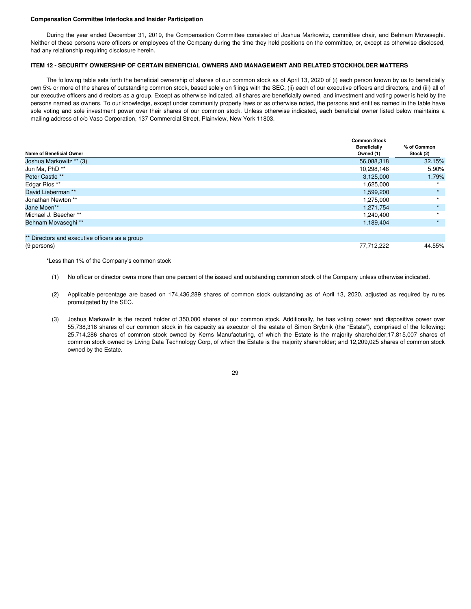#### **Compensation Committee Interlocks and Insider Participation**

During the year ended December 31, 2019, the Compensation Committee consisted of Joshua Markowitz, committee chair, and Behnam Movaseghi. Neither of these persons were officers or employees of the Company during the time they held positions on the committee, or, except as otherwise disclosed, had any relationship requiring disclosure herein.

## <span id="page-31-0"></span>**ITEM 12 - SECURITY OWNERSHIP OF CERTAIN BENEFICIAL OWNERS AND MANAGEMENT AND RELATED STOCKHOLDER MATTERS**

The following table sets forth the beneficial ownership of shares of our common stock as of April 13, 2020 of (i) each person known by us to beneficially own 5% or more of the shares of outstanding common stock, based solely on filings with the SEC, (ii) each of our executive officers and directors, and (iii) all of our executive officers and directors as a group. Except as otherwise indicated, all shares are beneficially owned, and investment and voting power is held by the persons named as owners. To our knowledge, except under community property laws or as otherwise noted, the persons and entities named in the table have sole voting and sole investment power over their shares of our common stock. Unless otherwise indicated, each beneficial owner listed below maintains a mailing address of c/o Vaso Corporation, 137 Commercial Street, Plainview, New York 11803.

|                                                | <b>Common Stock</b> |             |
|------------------------------------------------|---------------------|-------------|
|                                                | <b>Beneficially</b> | % of Common |
| <b>Name of Beneficial Owner</b>                | Owned (1)           | Stock (2)   |
| Joshua Markowitz ** (3)                        | 56,088,318          | 32.15%      |
| Jun Ma, PhD **                                 | 10,298,146          | 5.90%       |
| Peter Castle **                                | 3,125,000           | 1.79%       |
| Edgar Rios **                                  | 1,625,000           | $\star$     |
| David Lieberman **                             | 1,599,200           | $\star$     |
| Jonathan Newton **                             | 1,275,000           | $\star$     |
| Jane Moen**                                    | 1,271,754           | $\star$     |
| Michael J. Beecher **                          | 1,240,400           | $\star$     |
| Behnam Movaseghi **                            | 1,189,404           | $\star$     |
|                                                |                     |             |
| ** Directors and executive officers as a group |                     |             |
| (9 persons)                                    | 77,712,222          | 44.55%      |

\*Less than 1% of the Company's common stock

- (1) No officer or director owns more than one percent of the issued and outstanding common stock of the Company unless otherwise indicated.
- (2) Applicable percentage are based on 174,436,289 shares of common stock outstanding as of April 13, 2020, adjusted as required by rules promulgated by the SEC.
- (3) Joshua Markowitz is the record holder of 350,000 shares of our common stock. Additionally, he has voting power and dispositive power over 55,738,318 shares of our common stock in his capacity as executor of the estate of Simon Srybnik (the "Estate"), comprised of the following: 25,714,286 shares of common stock owned by Kerns Manufacturing, of which the Estate is the majority shareholder;17,815,007 shares of common stock owned by Living Data Technology Corp, of which the Estate is the majority shareholder; and 12,209,025 shares of common stock owned by the Estate.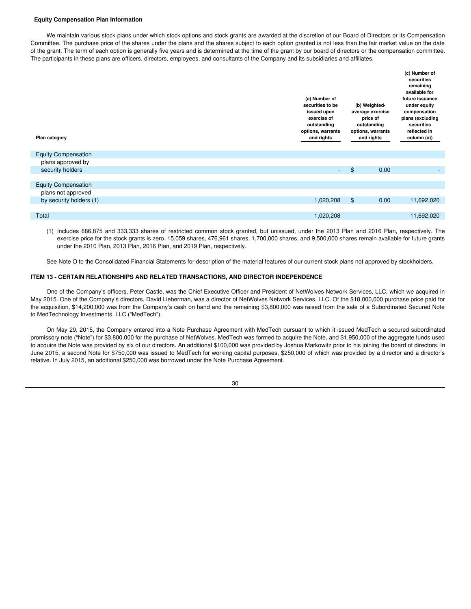#### **Equity Compensation Plan Information**

We maintain various stock plans under which stock options and stock grants are awarded at the discretion of our Board of Directors or its Compensation Committee. The purchase price of the shares under the plans and the shares subject to each option granted is not less than the fair market value on the date of the grant. The term of each option is generally five years and is determined at the time of the grant by our board of directors or the compensation committee. The participants in these plans are officers, directors, employees, and consultants of the Company and its subsidiaries and affiliates.

**(c) Number of**

| Plan category              | (a) Number of<br>securities to be<br>issued upon<br>exercise of<br>outstanding<br>options, warrants<br>and rights |               | (b) Weighted-<br>average exercise<br>price of<br>outstanding<br>options, warrants<br>and rights | $(v)$ is alleged of<br>securities<br>remaining<br>available for<br>future issuance<br>under equity<br>compensation<br>plans (excluding<br>securities<br>reflected in<br>column (a)) |
|----------------------------|-------------------------------------------------------------------------------------------------------------------|---------------|-------------------------------------------------------------------------------------------------|-------------------------------------------------------------------------------------------------------------------------------------------------------------------------------------|
| <b>Equity Compensation</b> |                                                                                                                   |               |                                                                                                 |                                                                                                                                                                                     |
| plans approved by          |                                                                                                                   |               |                                                                                                 |                                                                                                                                                                                     |
| security holders           | $\sim$                                                                                                            | \$            | 0.00                                                                                            | $\overline{\phantom{0}}$                                                                                                                                                            |
|                            |                                                                                                                   |               |                                                                                                 |                                                                                                                                                                                     |
| <b>Equity Compensation</b> |                                                                                                                   |               |                                                                                                 |                                                                                                                                                                                     |
| plans not approved         |                                                                                                                   |               |                                                                                                 |                                                                                                                                                                                     |
| by security holders (1)    | 1,020,208                                                                                                         | $\frac{1}{2}$ | 0.00                                                                                            | 11,692,020                                                                                                                                                                          |
|                            |                                                                                                                   |               |                                                                                                 |                                                                                                                                                                                     |
| Total                      | 1,020,208                                                                                                         |               |                                                                                                 | 11,692,020                                                                                                                                                                          |

(1) Includes 686,875 and 333,333 shares of restricted common stock granted, but unissued, under the 2013 Plan and 2016 Plan, respectively. The exercise price for the stock grants is zero. 15,059 shares, 476,961 shares, 1,700,000 shares, and 9,500,000 shares remain available for future grants under the 2010 Plan, 2013 Plan, 2016 Plan, and 2019 Plan, respectively.

See Note O to the Consolidated Financial Statements for description of the material features of our current stock plans not approved by stockholders.

## <span id="page-32-0"></span>**ITEM 13 - CERTAIN RELATIONSHIPS AND RELATED TRANSACTIONS, AND DIRECTOR INDEPENDENCE**

One of the Company's officers, Peter Castle, was the Chief Executive Officer and President of NetWolves Network Services, LLC, which we acquired in May 2015. One of the Company's directors, David Lieberman, was a director of NetWolves Network Services, LLC. Of the \$18,000,000 purchase price paid for the acquisition, \$14,200,000 was from the Company's cash on hand and the remaining \$3,800,000 was raised from the sale of a Subordinated Secured Note to MedTechnology Investments, LLC ("MedTech").

On May 29, 2015, the Company entered into a Note Purchase Agreement with MedTech pursuant to which it issued MedTech a secured subordinated promissory note ("Note") for \$3,800,000 for the purchase of NetWolves. MedTech was formed to acquire the Note, and \$1,950,000 of the aggregate funds used to acquire the Note was provided by six of our directors. An additional \$100,000 was provided by Joshua Markowitz prior to his joining the board of directors. In June 2015, a second Note for \$750,000 was issued to MedTech for working capital purposes, \$250,000 of which was provided by a director and a director's relative. In July 2015, an additional \$250,000 was borrowed under the Note Purchase Agreement.

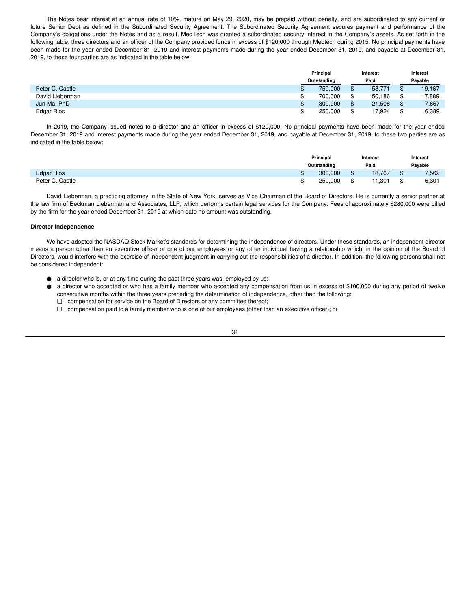The Notes bear interest at an annual rate of 10%, mature on May 29, 2020, may be prepaid without penalty, and are subordinated to any current or future Senior Debt as defined in the Subordinated Security Agreement. The Subordinated Security Agreement secures payment and performance of the Company's obligations under the Notes and as a result, MedTech was granted a subordinated security interest in the Company's assets. As set forth in the following table, three directors and an officer of the Company provided funds in excess of \$120,000 through Medtech during 2015. No principal payments have been made for the year ended December 31, 2019 and interest payments made during the year ended December 31, 2019, and payable at December 31, 2019, to these four parties are as indicated in the table below:

|                 | <b>Principal</b> |        | Interest |  | Interest |  |
|-----------------|------------------|--------|----------|--|----------|--|
|                 | Outstanding      |        | Paid     |  | Pavable  |  |
| Peter C. Castle | 750.000          | ≏      | 53.771   |  | 19.167   |  |
| David Lieberman | 700.000          | \$     | 50,186   |  | 17.889   |  |
| Jun Ma, PhD     | 300,000          | \$     | 21,508   |  | 7,667    |  |
| Edgar Rios      | 250,000          | ₼<br>æ | 17.924   |  | 6,389    |  |

In 2019, the Company issued notes to a director and an officer in excess of \$120,000. No principal payments have been made for the year ended December 31, 2019 and interest payments made during the year ended December 31, 2019, and payable at December 31, 2019, to these two parties are as indicated in the table below:

|                   | Principal   |  | Interest |    | Interest       |  |
|-------------------|-------------|--|----------|----|----------------|--|
|                   | Outstanding |  | Paid     |    | Pavable        |  |
| <b>Edgar Rios</b> | 300.000     |  | 18.767   | J. | 7,562          |  |
| Peter C. Castle   | 250,000     |  | .301     | w  | $6.30^{\circ}$ |  |

David Lieberman, a practicing attorney in the State of New York, serves as Vice Chairman of the Board of Directors. He is currently a senior partner at the law firm of Beckman Lieberman and Associates, LLP, which performs certain legal services for the Company. Fees of approximately \$280,000 were billed by the firm for the year ended December 31, 2019 at which date no amount was outstanding.

## **Director Independence**

We have adopted the NASDAQ Stock Market's standards for determining the independence of directors. Under these standards, an independent director means a person other than an executive officer or one of our employees or any other individual having a relationship which, in the opinion of the Board of Directors, would interfere with the exercise of independent judgment in carrying out the responsibilities of a director. In addition, the following persons shall not be considered independent:

- a director who is, or at any time during the past three years was, employed by us;
- a director who accepted or who has a family member who accepted any compensation from us in excess of \$100,000 during any period of twelve consecutive months within the three years preceding the determination of independence, other than the following:
	- □ compensation for service on the Board of Directors or any committee thereof;
	- ❑ compensation paid to a family member who is one of our employees (other than an executive officer); or

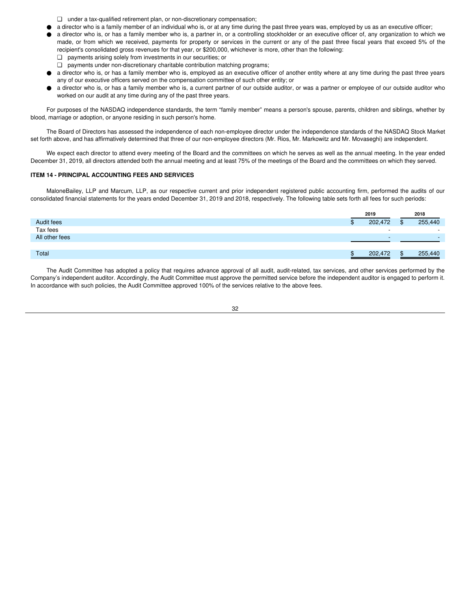❑ under a tax-qualified retirement plan, or non-discretionary compensation;

- a director who is a family member of an individual who is, or at any time during the past three years was, employed by us as an executive officer;
- a director who is, or has a family member who is, a partner in, or a controlling stockholder or an executive officer of, any organization to which we made, or from which we received, payments for property or services in the current or any of the past three fiscal years that exceed 5% of the recipient's consolidated gross revenues for that year, or \$200,000, whichever is more, other than the following:
	- ❑ payments arising solely from investments in our securities; or
	- ❑ payments under non-discretionary charitable contribution matching programs;
- a director who is, or has a family member who is, employed as an executive officer of another entity where at any time during the past three years any of our executive officers served on the compensation committee of such other entity; or
- a director who is, or has a family member who is, a current partner of our outside auditor, or was a partner or employee of our outside auditor who worked on our audit at any time during any of the past three years.

For purposes of the NASDAQ independence standards, the term "family member" means a person's spouse, parents, children and siblings, whether by blood, marriage or adoption, or anyone residing in such person's home.

The Board of Directors has assessed the independence of each non-employee director under the independence standards of the NASDAQ Stock Market set forth above, and has affirmatively determined that three of our non-employee directors (Mr. Rios, Mr. Markowitz and Mr. Movaseghi) are independent.

We expect each director to attend every meeting of the Board and the committees on which he serves as well as the annual meeting. In the year ended December 31, 2019, all directors attended both the annual meeting and at least 75% of the meetings of the Board and the committees on which they served.

## <span id="page-34-0"></span>**ITEM 14 - PRINCIPAL ACCOUNTING FEES AND SERVICES**

MaloneBailey, LLP and Marcum, LLP, as our respective current and prior independent registered public accounting firm, performed the audits of our consolidated financial statements for the years ended December 31, 2019 and 2018, respectively. The following table sets forth all fees for such periods:

|                | 2019                     |  | 2018                     |  |
|----------------|--------------------------|--|--------------------------|--|
| Audit fees     | 202,472                  |  | 255,440                  |  |
| Tax fees       | $\overline{\phantom{0}}$ |  | $\overline{\phantom{0}}$ |  |
| All other fees | $\sim$                   |  | $\overline{\phantom{0}}$ |  |
|                |                          |  |                          |  |
| Total          | 202,472                  |  | 255,440                  |  |
|                |                          |  |                          |  |

The Audit Committee has adopted a policy that requires advance approval of all audit, audit-related, tax services, and other services performed by the Company's independent auditor. Accordingly, the Audit Committee must approve the permitted service before the independent auditor is engaged to perform it. In accordance with such policies, the Audit Committee approved 100% of the services relative to the above fees.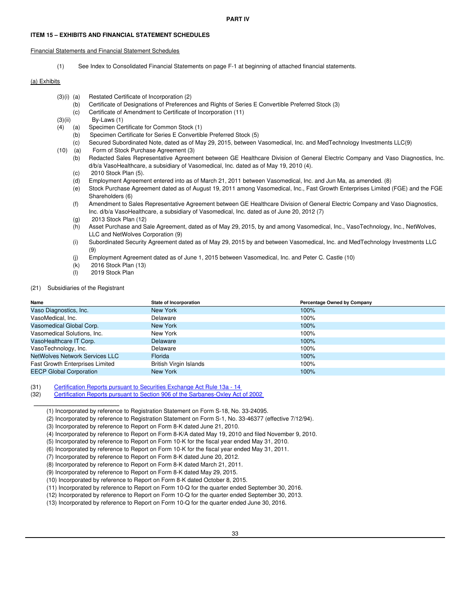## <span id="page-35-0"></span>**ITEM 15 – EXHIBITS AND FINANCIAL STATEMENT SCHEDULES**

## Financial Statements and Financial Statement Schedules

(1) See Index to Consolidated Financial Statements on page F-1 at beginning of attached financial statements.

## (a) Exhibits

- (3)(i) (a) Restated Certificate of Incorporation (2)
	- (b) Certificate of Designations of Preferences and Rights of Series E Convertible Preferred Stock (3)
	- (c) Certificate of Amendment to Certificate of Incorporation (11)
- (3)(ii) By-Laws (1)
- (4) (a) Specimen Certificate for Common Stock (1)
	- (b) Specimen Certificate for Series E Convertible Preferred Stock (5)
	- (c) Secured Subordinated Note, dated as of May 29, 2015, between Vasomedical, Inc. and MedTechnology Investments LLC(9)
- (10) (a) Form of Stock Purchase Agreement (3)
	- (b) Redacted Sales Representative Agreement between GE Healthcare Division of General Electric Company and Vaso Diagnostics, Inc. d/b/a VasoHealthcare, a subsidiary of Vasomedical, Inc. dated as of May 19, 2010 (4).
	- (c) 2010 Stock Plan (5).
	- (d) Employment Agreement entered into as of March 21, 2011 between Vasomedical, Inc. and Jun Ma, as amended. (8)
	- (e) Stock Purchase Agreement dated as of August 19, 2011 among Vasomedical, Inc., Fast Growth Enterprises Limited (FGE) and the FGE Shareholders (6)
	- (f) Amendment to Sales Representative Agreement between GE Healthcare Division of General Electric Company and Vaso Diagnostics, Inc. d/b/a VasoHealthcare, a subsidiary of Vasomedical, Inc. dated as of June 20, 2012 (7)
	- (g) 2013 Stock Plan (12)
	- (h) Asset Purchase and Sale Agreement, dated as of May 29, 2015, by and among Vasomedical, Inc., VasoTechnology, Inc., NetWolves, LLC and NetWolves Corporation (9)
	- (i) Subordinated Security Agreement dated as of May 29, 2015 by and between Vasomedical, Inc. and MedTechnology Investments LLC (9)
	- (j) Employment Agreement dated as of June 1, 2015 between Vasomedical, Inc. and Peter C. Castle (10)
	- (k) 2016 Stock Plan (13)
	- (l) 2019 Stock Plan

## (21) Subsidiaries of the Registrant

 $\mathcal{L}_\text{max}$  , where  $\mathcal{L}_\text{max}$  and  $\mathcal{L}_\text{max}$ 

| Name                                   | State of Incorporation | Percentage Owned by Company |
|----------------------------------------|------------------------|-----------------------------|
| Vaso Diagnostics, Inc.                 | New York               | 100%                        |
| VasoMedical, Inc.                      | Delaware               | 100%                        |
| Vasomedical Global Corp.               | New York               | 100%                        |
| Vasomedical Solutions, Inc.            | New York               | 100%                        |
| VasoHealthcare IT Corp.                | <b>Delaware</b>        | 100%                        |
| VasoTechnology, Inc.                   | Delaware               | 100%                        |
| NetWolves Network Services LLC         | Florida                | 100%                        |
| <b>Fast Growth Enterprises Limited</b> | British Virgin Islands | 100%                        |
| <b>EECP Global Corporation</b>         | New York               | 100%                        |

(31) [Certification](vaso_ex311.htm) Reports pursuant to Securities Exchange Act Rule 13a - 14

(32) Certification Reports pursuant to Section 906 of the [Sarbanes-Oxley](vaso_ex321.htm) Act of 2002

(1) Incorporated by reference to Registration Statement on Form S-18, No. 33-24095.

- (2) Incorporated by reference to Registration Statement on Form S-1, No. 33-46377 (effective 7/12/94).
- (3) Incorporated by reference to Report on Form 8-K dated June 21, 2010.
- (4) Incorporated by reference to Report on Form 8-K/A dated May 19, 2010 and filed November 9, 2010.
- (5) Incorporated by reference to Report on Form 10-K for the fiscal year ended May 31, 2010.
- (6) Incorporated by reference to Report on Form 10-K for the fiscal year ended May 31, 2011.
- (7) Incorporated by reference to Report on Form 8-K dated June 20, 2012.
- (8) Incorporated by reference to Report on Form 8-K dated March 21, 2011.
- (9) Incorporated by reference to Report on Form 8-K dated May 29, 2015.
- (10) Incorporated by reference to Report on Form 8-K dated October 8, 2015.

(11) Incorporated by reference to Report on Form 10-Q for the quarter ended September 30, 2016.

(12) Incorporated by reference to Report on Form 10-Q for the quarter ended September 30, 2013.

(13) Incorporated by reference to Report on Form 10-Q for the quarter ended June 30, 2016.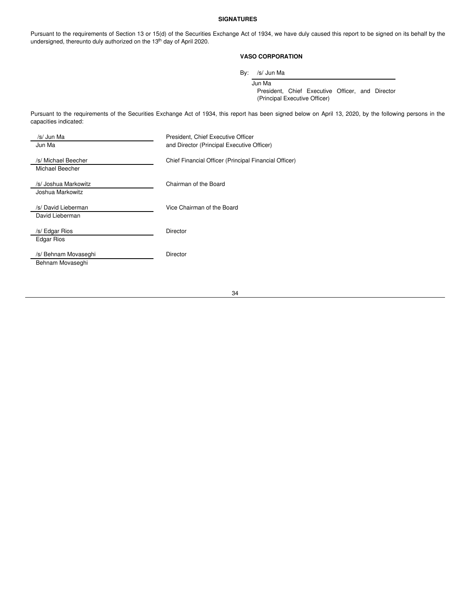## **SIGNATURES**

Pursuant to the requirements of Section 13 or 15(d) of the Securities Exchange Act of 1934, we have duly caused this report to be signed on its behalf by the undersigned, thereunto duly authorized on the 13<sup>th</sup> day of April 2020.

## **VASO CORPORATION**

By: /s/ Jun Ma

Jun Ma President, Chief Executive Officer, and Director (Principal Executive Officer)

Pursuant to the requirements of the Securities Exchange Act of 1934, this report has been signed below on April 13, 2020, by the following persons in the capacities indicated:

| President, Chief Executive Officer<br>and Director (Principal Executive Officer) |
|----------------------------------------------------------------------------------|
| Chief Financial Officer (Principal Financial Officer)                            |
|                                                                                  |
| Chairman of the Board                                                            |
|                                                                                  |
| Vice Chairman of the Board                                                       |
|                                                                                  |
| <b>Director</b>                                                                  |
| <b>Director</b>                                                                  |
|                                                                                  |

34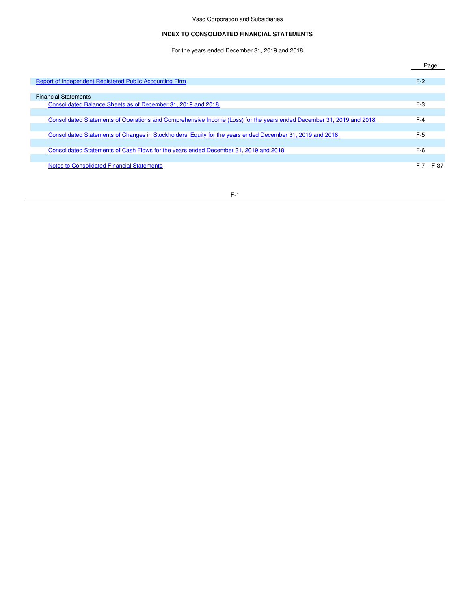# **INDEX TO CONSOLIDATED FINANCIAL STATEMENTS**

For the years ended December 31, 2019 and 2018

|                                                                                                                      | Page             |
|----------------------------------------------------------------------------------------------------------------------|------------------|
| <b>Report of Independent Registered Public Accounting Firm</b>                                                       | $F-2$            |
| <b>Financial Statements</b>                                                                                          |                  |
| Consolidated Balance Sheets as of December 31, 2019 and 2018                                                         | $F-3$            |
| Consolidated Statements of Operations and Comprehensive Income (Loss) for the years ended December 31, 2019 and 2018 | $F-4$            |
| Consolidated Statements of Changes in Stockholders' Equity for the years ended December 31, 2019 and 2018            | $F-5$            |
| Consolidated Statements of Cash Flows for the years ended December 31, 2019 and 2018                                 | $F-6$            |
| <b>Notes to Consolidated Financial Statements</b>                                                                    | $F - 7 - F - 37$ |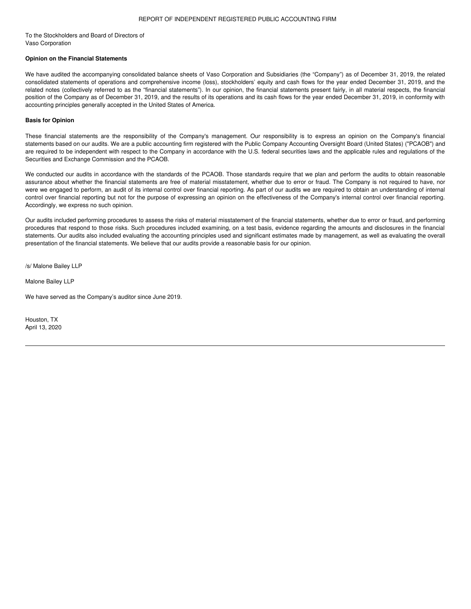## <span id="page-38-0"></span>REPORT OF INDEPENDENT REGISTERED PUBLIC ACCOUNTING FIRM

To the Stockholders and Board of Directors of Vaso Corporation

## **Opinion on the Financial Statements**

We have audited the accompanying consolidated balance sheets of Vaso Corporation and Subsidiaries (the "Company") as of December 31, 2019, the related consolidated statements of operations and comprehensive income (loss), stockholders' equity and cash flows for the year ended December 31, 2019, and the related notes (collectively referred to as the "financial statements"). In our opinion, the financial statements present fairly, in all material respects, the financial position of the Company as of December 31, 2019, and the results of its operations and its cash flows for the year ended December 31, 2019, in conformity with accounting principles generally accepted in the United States of America.

### **Basis for Opinion**

These financial statements are the responsibility of the Company's management. Our responsibility is to express an opinion on the Company's financial statements based on our audits. We are a public accounting firm registered with the Public Company Accounting Oversight Board (United States) ("PCAOB") and are required to be independent with respect to the Company in accordance with the U.S. federal securities laws and the applicable rules and regulations of the Securities and Exchange Commission and the PCAOB.

We conducted our audits in accordance with the standards of the PCAOB. Those standards require that we plan and perform the audits to obtain reasonable assurance about whether the financial statements are free of material misstatement, whether due to error or fraud. The Company is not required to have, nor were we engaged to perform, an audit of its internal control over financial reporting. As part of our audits we are required to obtain an understanding of internal control over financial reporting but not for the purpose of expressing an opinion on the effectiveness of the Company's internal control over financial reporting. Accordingly, we express no such opinion.

Our audits included performing procedures to assess the risks of material misstatement of the financial statements, whether due to error or fraud, and performing procedures that respond to those risks. Such procedures included examining, on a test basis, evidence regarding the amounts and disclosures in the financial statements. Our audits also included evaluating the accounting principles used and significant estimates made by management, as well as evaluating the overall presentation of the financial statements. We believe that our audits provide a reasonable basis for our opinion.

/s/ Malone Bailey LLP

Malone Bailey LLP

We have served as the Company's auditor since June 2019.

Houston, TX April 13, 2020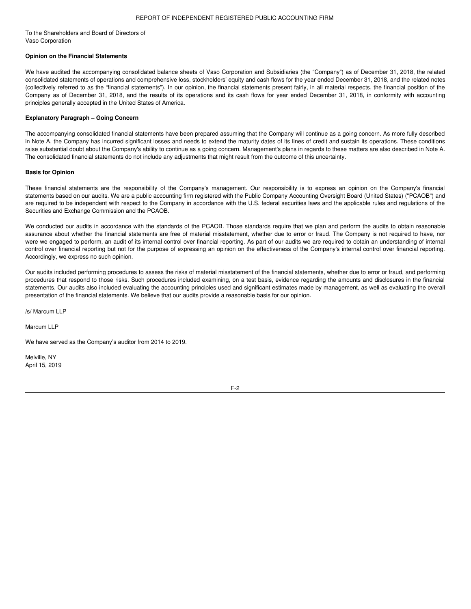## REPORT OF INDEPENDENT REGISTERED PUBLIC ACCOUNTING FIRM

To the Shareholders and Board of Directors of Vaso Corporation

### **Opinion on the Financial Statements**

We have audited the accompanying consolidated balance sheets of Vaso Corporation and Subsidiaries (the "Company") as of December 31, 2018, the related consolidated statements of operations and comprehensive loss, stockholders' equity and cash flows for the year ended December 31, 2018, and the related notes (collectively referred to as the "financial statements"). In our opinion, the financial statements present fairly, in all material respects, the financial position of the Company as of December 31, 2018, and the results of its operations and its cash flows for year ended December 31, 2018, in conformity with accounting principles generally accepted in the United States of America.

## **Explanatory Paragraph – Going Concern**

The accompanying consolidated financial statements have been prepared assuming that the Company will continue as a going concern. As more fully described in Note A, the Company has incurred significant losses and needs to extend the maturity dates of its lines of credit and sustain its operations. These conditions raise substantial doubt about the Company's ability to continue as a going concern. Management's plans in regards to these matters are also described in Note A. The consolidated financial statements do not include any adjustments that might result from the outcome of this uncertainty.

## **Basis for Opinion**

These financial statements are the responsibility of the Company's management. Our responsibility is to express an opinion on the Company's financial statements based on our audits. We are a public accounting firm registered with the Public Company Accounting Oversight Board (United States) ("PCAOB") and are required to be independent with respect to the Company in accordance with the U.S. federal securities laws and the applicable rules and regulations of the Securities and Exchange Commission and the PCAOB.

We conducted our audits in accordance with the standards of the PCAOB. Those standards require that we plan and perform the audits to obtain reasonable assurance about whether the financial statements are free of material misstatement, whether due to error or fraud. The Company is not required to have, nor were we engaged to perform, an audit of its internal control over financial reporting. As part of our audits we are required to obtain an understanding of internal control over financial reporting but not for the purpose of expressing an opinion on the effectiveness of the Company's internal control over financial reporting. Accordingly, we express no such opinion.

Our audits included performing procedures to assess the risks of material misstatement of the financial statements, whether due to error or fraud, and performing procedures that respond to those risks. Such procedures included examining, on a test basis, evidence regarding the amounts and disclosures in the financial statements. Our audits also included evaluating the accounting principles used and significant estimates made by management, as well as evaluating the overall presentation of the financial statements. We believe that our audits provide a reasonable basis for our opinion.

/s/ Marcum LLP

Marcum LLP

We have served as the Company's auditor from 2014 to 2019.

Melville, NY April 15, 2019

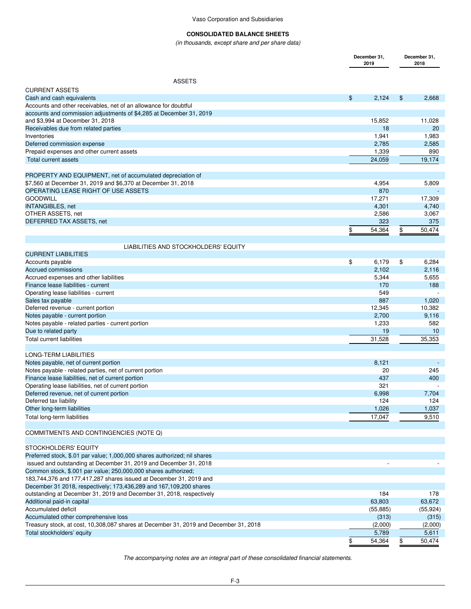# <span id="page-40-0"></span>**CONSOLIDATED BALANCE SHEETS**

*(in thousands, except share and per share data)*

|                                                                                       | December 31,<br>2019 |    |           |
|---------------------------------------------------------------------------------------|----------------------|----|-----------|
| <b>ASSETS</b>                                                                         |                      |    |           |
| <b>CURRENT ASSETS</b>                                                                 |                      |    |           |
| Cash and cash equivalents                                                             | \$<br>2,124          | \$ | 2,668     |
| Accounts and other receivables, net of an allowance for doubtful                      |                      |    |           |
| accounts and commission adjustments of \$4,285 at December 31, 2019                   |                      |    |           |
| and \$3,994 at December 31, 2018                                                      | 15,852               |    | 11,028    |
| Receivables due from related parties                                                  | 18                   |    | 20        |
| Inventories                                                                           | 1,941                |    | 1,983     |
| Deferred commission expense                                                           | 2,785                |    | 2,585     |
| Prepaid expenses and other current assets                                             | 1,339                |    | 890       |
| Total current assets                                                                  | 24,059               |    | 19,174    |
|                                                                                       |                      |    |           |
| PROPERTY AND EQUIPMENT, net of accumulated depreciation of                            |                      |    |           |
| \$7,560 at December 31, 2019 and \$6,370 at December 31, 2018                         | 4,954                |    | 5,809     |
| OPERATING LEASE RIGHT OF USE ASSETS                                                   | 870                  |    |           |
| <b>GOODWILL</b>                                                                       | 17,271               |    | 17,309    |
| <b>INTANGIBLES, net</b>                                                               | 4,301                |    | 4,740     |
| OTHER ASSETS, net                                                                     | 2,586                |    | 3,067     |
| DEFERRED TAX ASSETS, net                                                              | 323                  |    | 375       |
|                                                                                       | \$<br>54,364         | \$ | 50,474    |
|                                                                                       |                      |    |           |
| LIABILITIES AND STOCKHOLDERS' EQUITY                                                  |                      |    |           |
| <b>CURRENT LIABILITIES</b>                                                            |                      |    |           |
| Accounts payable                                                                      | \$<br>6,179          | \$ | 6,284     |
| <b>Accrued commissions</b>                                                            | 2,102                |    | 2,116     |
| Accrued expenses and other liabilities                                                | 5,344                |    | 5,655     |
| Finance lease liabilities - current                                                   | 170                  |    | 188       |
| Operating lease liabilities - current                                                 | 549                  |    |           |
| Sales tax payable                                                                     | 887                  |    | 1,020     |
| Deferred revenue - current portion                                                    | 12,345               |    | 10,382    |
| Notes payable - current portion                                                       | 2,700                |    | 9,116     |
| Notes payable - related parties - current portion                                     | 1,233                |    | 582       |
| Due to related party                                                                  | 19                   |    | 10        |
| <b>Total current liabilities</b>                                                      | 31,528               |    | 35,353    |
|                                                                                       |                      |    |           |
| <b>LONG-TERM LIABILITIES</b>                                                          |                      |    |           |
| Notes payable, net of current portion                                                 | 8,121                |    |           |
| Notes payable - related parties, net of current portion                               | 20                   |    | 245       |
| Finance lease liabilities, net of current portion                                     | 437                  |    | 400       |
| Operating lease liabilities, net of current portion                                   | 321                  |    |           |
| Deferred revenue, net of current portion                                              | 6,998                |    | 7,704     |
| Deferred tax liability                                                                | 124                  |    | 124       |
| Other long-term liabilities                                                           | 1,026                |    | 1,037     |
| Total long-term liabilities                                                           | 17,047               |    | 9,510     |
|                                                                                       |                      |    |           |
| COMMITMENTS AND CONTINGENCIES (NOTE Q)                                                |                      |    |           |
|                                                                                       |                      |    |           |
| STOCKHOLDERS' EQUITY                                                                  |                      |    |           |
| Preferred stock, \$.01 par value; 1,000,000 shares authorized; nil shares             |                      |    |           |
| issued and outstanding at December 31, 2019 and December 31, 2018                     |                      |    |           |
| Common stock, \$.001 par value; 250,000,000 shares authorized;                        |                      |    |           |
| 183,744,376 and 177,417,287 shares issued at December 31, 2019 and                    |                      |    |           |
| December 31 2018, respectively; 173,436,289 and 167,109,200 shares                    |                      |    |           |
| outstanding at December 31, 2019 and December 31, 2018, respectively                  | 184                  |    | 178       |
| Additional paid-in capital                                                            | 63,803               |    | 63,672    |
| Accumulated deficit                                                                   | (55, 885)            |    | (55, 924) |
| Accumulated other comprehensive loss                                                  | (313)                |    | (315)     |
| Treasury stock, at cost, 10,308,087 shares at December 31, 2019 and December 31, 2018 | (2,000)              |    | (2,000)   |
| Total stockholders' equity                                                            | 5,789                |    | 5,611     |
|                                                                                       | 54,364               |    | 50,474    |
|                                                                                       |                      |    |           |

*The accompanying notes are an integral part of these consolidated financial statements.*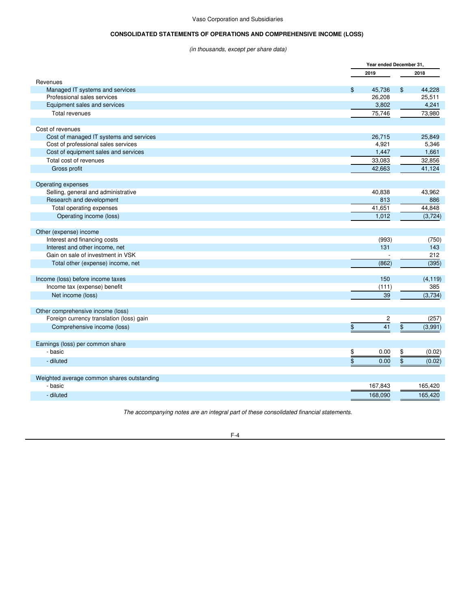# **CONSOLIDATED STATEMENTS OF OPERATIONS AND COMPREHENSIVE INCOME (LOSS)**

# <span id="page-41-0"></span>*(in thousands, except per share data)*

|                                            |                       | Year ended December 31,                              |
|--------------------------------------------|-----------------------|------------------------------------------------------|
|                                            | 2019                  | 2018                                                 |
| Revenues                                   |                       |                                                      |
| Managed IT systems and services            | \$<br>45,736          | $\$\$<br>44,228                                      |
| Professional sales services                | 26,208                | 25,511                                               |
| Equipment sales and services               | 3,802                 | 4,241                                                |
| Total revenues                             | 75,746                | 73,980                                               |
|                                            |                       |                                                      |
| Cost of revenues                           |                       |                                                      |
| Cost of managed IT systems and services    | 26,715                | 25,849                                               |
| Cost of professional sales services        | 4,921                 | 5,346                                                |
| Cost of equipment sales and services       | 1,447                 | 1,661                                                |
| Total cost of revenues                     | 33,083                | 32,856                                               |
| Gross profit                               | 42,663                | 41,124                                               |
|                                            |                       |                                                      |
| Operating expenses                         |                       |                                                      |
| Selling, general and administrative        | 40,838                | 43,962                                               |
| Research and development                   | 813                   | 886                                                  |
| Total operating expenses                   | 41,651                | 44,848                                               |
| Operating income (loss)                    | 1,012                 | (3, 724)                                             |
|                                            |                       |                                                      |
| Other (expense) income                     |                       |                                                      |
| Interest and financing costs               | (993)                 | (750)                                                |
| Interest and other income, net             | 131                   | 143                                                  |
| Gain on sale of investment in VSK          | $\sim$                | 212                                                  |
| Total other (expense) income, net          | (862)                 | (395)                                                |
|                                            |                       |                                                      |
| Income (loss) before income taxes          | 150                   | (4, 119)                                             |
| Income tax (expense) benefit               | (111)                 | 385                                                  |
| Net income (loss)                          | 39                    | (3,734)                                              |
|                                            |                       |                                                      |
| Other comprehensive income (loss)          |                       |                                                      |
| Foreign currency translation (loss) gain   | $\overline{c}$        | (257)                                                |
| Comprehensive income (loss)                | $\overline{41}$<br>\$ | $\, \, \raisebox{12pt}{$\scriptstyle \$}$<br>(3,991) |
| Earnings (loss) per common share           |                       |                                                      |
| - basic                                    | \$<br>0.00            | (0.02)                                               |
|                                            | \$                    | $\frac{1}{2}$<br>$\overline{\$}$                     |
| - diluted                                  | 0.00                  | (0.02)                                               |
| Weighted average common shares outstanding |                       |                                                      |
| - basic                                    | 167,843               | 165,420                                              |
| - diluted                                  | 168,090               | 165,420                                              |
|                                            |                       |                                                      |

*The accompanying notes are an integral part of these consolidated financial statements.*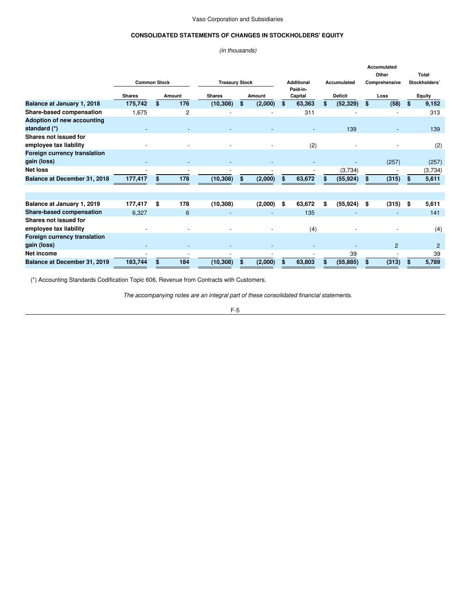## **CONSOLIDATED STATEMENTS OF CHANGES IN STOCKHOLDERS' EQUITY**

<span id="page-42-0"></span>*(in thousands)*

|                                   |               |                     |        |                       |     |         |                   |                    |               | Accumulated    |    |                               |
|-----------------------------------|---------------|---------------------|--------|-----------------------|-----|---------|-------------------|--------------------|---------------|----------------|----|-------------------------------|
|                                   |               | <b>Common Stock</b> |        | <b>Treasury Stock</b> |     |         | <b>Additional</b> | <b>Accumulated</b> |               | Other          |    | <b>Total</b><br>Stockholders' |
|                                   |               |                     |        |                       |     |         | Paid-in-          |                    | Comprehensive |                |    |                               |
|                                   | <b>Shares</b> |                     | Amount | <b>Shares</b>         |     | Amount  | Capital           | <b>Deficit</b>     |               | Loss           |    | Equity                        |
| Balance at January 1, 2018        | 175,742       | \$                  | 176    | (10, 308)             | \$  | (2,000) | \$<br>63,363      | \$<br>(52, 329)    | \$            | (58)           | \$ | 9,152                         |
| Share-based compensation          | 1,675         |                     | 2      |                       |     |         | 311               |                    |               |                |    | 313                           |
| <b>Adoption of new accounting</b> |               |                     |        |                       |     |         |                   |                    |               |                |    |                               |
| standard (*)                      |               |                     |        |                       |     |         |                   | 139                |               |                |    | 139                           |
| Shares not issued for             |               |                     |        |                       |     |         |                   |                    |               |                |    |                               |
| employee tax liability            |               |                     |        |                       |     |         | (2)               |                    |               |                |    | (2)                           |
| Foreign currency translation      |               |                     |        |                       |     |         |                   |                    |               |                |    |                               |
| gain (loss)                       |               |                     |        |                       |     |         |                   |                    |               | (257)          |    | (257)                         |
| <b>Net loss</b>                   |               |                     |        |                       |     |         |                   | (3,734)            |               |                |    | (3,734)                       |
| Balance at December 31, 2018      | 177,417       | \$                  | 178    | (10, 308)             | \$  | (2,000) | \$<br>63,672      | (55, 924)          |               | (315)          | S  | 5,611                         |
|                                   |               |                     |        |                       |     |         |                   |                    |               |                |    |                               |
|                                   |               |                     |        |                       |     |         |                   |                    |               |                |    |                               |
| Balance at January 1, 2019        | 177,417       | \$                  | 178    | (10, 308)             |     | (2,000) | \$<br>63,672      | \$<br>(55, 924)    | \$            | (315)          | \$ | 5,611                         |
| Share-based compensation          | 6,327         |                     | 6      |                       |     |         | 135               |                    |               |                |    | 141                           |
| Shares not issued for             |               |                     |        |                       |     |         |                   |                    |               |                |    |                               |
| employee tax liability            |               |                     |        |                       |     |         | (4)               |                    |               |                |    | (4)                           |
| Foreign currency translation      |               |                     |        |                       |     |         |                   |                    |               |                |    |                               |
| gain (loss)                       |               |                     |        |                       |     |         |                   |                    |               | $\overline{2}$ |    | 2                             |
| Net income                        |               |                     |        |                       |     |         |                   | 39                 |               |                |    | 39                            |
| Balance at December 31, 2019      | 183,744       | \$                  | 184    | (10, 308)             | \$. | (2,000) | \$<br>63,803      | (55, 885)          | S             | (313)          | S  | 5,789                         |

(\*) Accounting Standards Codification Topic 606, Revenue from Contracts with Customers.

*The accompanying notes are an integral part of these consolidated financial statements.*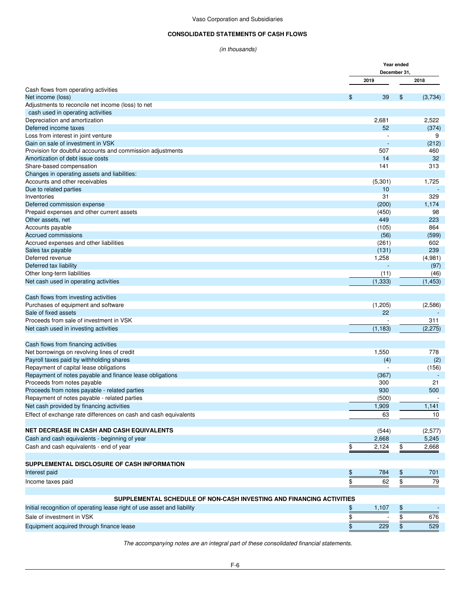# <span id="page-43-0"></span>**CONSOLIDATED STATEMENTS OF CASH FLOWS**

## *(in thousands)*

|                                                                         | Year ended<br>December 31 |          |                  |                          |
|-------------------------------------------------------------------------|---------------------------|----------|------------------|--------------------------|
|                                                                         |                           | 2019     |                  | 2018                     |
| Cash flows from operating activities                                    |                           |          |                  |                          |
| Net income (loss)                                                       | \$                        | 39       | \$               | (3,734)                  |
| Adjustments to reconcile net income (loss) to net                       |                           |          |                  |                          |
| cash used in operating activities                                       |                           |          |                  |                          |
| Depreciation and amortization                                           |                           | 2,681    |                  | 2,522                    |
| Deferred income taxes                                                   |                           | 52       |                  | (374)                    |
| Loss from interest in joint venture                                     |                           |          |                  | 9                        |
| Gain on sale of investment in VSK                                       |                           |          |                  | (212)                    |
| Provision for doubtful accounts and commission adjustments              |                           | 507      |                  | 460                      |
| Amortization of debt issue costs                                        |                           | 14       |                  | 32                       |
| Share-based compensation                                                |                           | 141      |                  | 313                      |
| Changes in operating assets and liabilities:                            |                           |          |                  |                          |
| Accounts and other receivables                                          |                           | (5,301)  |                  | 1,725                    |
| Due to related parties                                                  |                           | 10       |                  |                          |
| Inventories                                                             |                           | 31       |                  | 329                      |
| Deferred commission expense                                             |                           | (200)    |                  | 1,174                    |
| Prepaid expenses and other current assets                               |                           | (450)    |                  | 98                       |
| Other assets, net                                                       |                           | 449      |                  | 223                      |
| Accounts payable                                                        |                           | (105)    |                  | 864                      |
| Accrued commissions                                                     |                           | (56)     |                  | (599)                    |
| Accrued expenses and other liabilities                                  |                           | (261)    |                  | 602                      |
| Sales tax payable                                                       |                           | (131)    |                  | 239                      |
| Deferred revenue                                                        |                           | 1,258    |                  | (4,981)                  |
| Deferred tax liability                                                  |                           |          |                  | (97)                     |
| Other long-term liabilities                                             |                           | (11)     |                  | (46)                     |
| Net cash used in operating activities                                   |                           | (1, 333) |                  | (1, 453)                 |
|                                                                         |                           |          |                  |                          |
| Cash flows from investing activities                                    |                           |          |                  |                          |
| Purchases of equipment and software                                     |                           | (1,205)  |                  | (2,586)                  |
| Sale of fixed assets                                                    |                           | 22       |                  |                          |
| Proceeds from sale of investment in VSK                                 |                           |          |                  | 311                      |
| Net cash used in investing activities                                   |                           | (1, 183) |                  | (2, 275)                 |
|                                                                         |                           |          |                  |                          |
| Cash flows from financing activities                                    |                           |          |                  |                          |
| Net borrowings on revolving lines of credit                             |                           | 1,550    |                  | 778                      |
| Payroll taxes paid by withholding shares                                |                           | (4)      |                  | (2)                      |
| Repayment of capital lease obligations                                  |                           |          |                  | (156)                    |
| Repayment of notes payable and finance lease obligations                |                           | (367)    |                  |                          |
| Proceeds from notes payable                                             |                           | 300      |                  | 21                       |
| Proceeds from notes payable - related parties                           |                           | 930      |                  | 500                      |
| Repayment of notes payable - related parties                            |                           | (500)    |                  | $\overline{\phantom{a}}$ |
| Net cash provided by financing activities                               |                           | 1,909    |                  | 1,141                    |
| Effect of exchange rate differences on cash and cash equivalents        |                           | 63       |                  | 10                       |
|                                                                         |                           |          |                  |                          |
| NET DECREASE IN CASH AND CASH EQUIVALENTS                               |                           | (544)    |                  | (2,577)                  |
| Cash and cash equivalents - beginning of year                           |                           | 2,668    |                  | 5,245                    |
| Cash and cash equivalents - end of year                                 | \$                        | 2,124    | \$               | 2,668                    |
|                                                                         |                           |          |                  |                          |
| SUPPLEMENTAL DISCLOSURE OF CASH INFORMATION                             |                           |          |                  |                          |
| Interest paid                                                           | $\frac{1}{2}$             | 784      | \$               | 701                      |
| Income taxes paid                                                       | \$                        | 62       | $\underline{\$}$ | 79                       |
|                                                                         |                           |          |                  |                          |
| SUPPLEMENTAL SCHEDULE OF NON-CASH INVESTING AND FINANCING ACTIVITIES    |                           |          |                  |                          |
|                                                                         |                           |          |                  |                          |
| Initial recognition of operating lease right of use asset and liability | \$                        | 1,107    | \$               |                          |
| Sale of investment in VSK                                               | $\frac{3}{1}$             |          | \$               | 676                      |
| Equipment acquired through finance lease                                | $\, \, \$$                | 229      | $\frac{1}{2}$    | 529                      |

*The accompanying notes are an integral part of these consolidated financial statements.*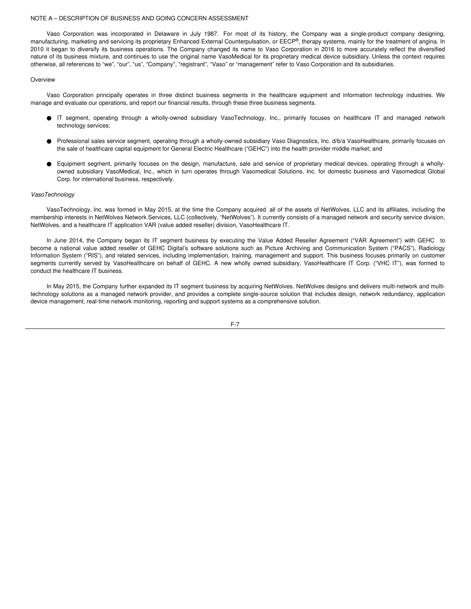### <span id="page-44-0"></span>NOTE A – DESCRIPTION OF BUSINESS AND GOING CONCERN ASSESSMENT

Vaso Corporation was incorporated in Delaware in July 1987. For most of its history, the Company was a single-product company designing, manufacturing, marketing and servicing its proprietary Enhanced External Counterpulsation, or EECP®, therapy systems, mainly for the treatment of angina. In 2010 it began to diversify its business operations. The Company changed its name to Vaso Corporation in 2016 to more accurately reflect the diversified nature of its business mixture, and continues to use the original name VasoMedical for its proprietary medical device subsidiary. Unless the context requires otherwise, all references to "we", "our", "us", "Company", "registrant", "Vaso" or "management" refer to Vaso Corporation and its subsidiaries.

## **Overview**

Vaso Corporation principally operates in three distinct business segments in the healthcare equipment and information technology industries. We manage and evaluate our operations, and report our financial results, through these three business segments.

- IT segment, operating through a wholly-owned subsidiary VasoTechnology, Inc., primarily focuses on healthcare IT and managed network technology services;
- Professional sales service segment, operating through a wholly-owned subsidiary Vaso Diagnostics, Inc. d/b/a VasoHealthcare, primarily focuses on the sale of healthcare capital equipment for General Electric Healthcare ("GEHC") into the health provider middle market; and
- Equipment segment, primarily focuses on the design, manufacture, sale and service of proprietary medical devices, operating through a whollyowned subsidiary VasoMedical, Inc., which in turn operates through Vasomedical Solutions, Inc. for domestic business and Vasomedical Global Corp. for international business, respectively.

## *VasoTechnology*

VasoTechnology, Inc. was formed in May 2015, at the time the Company acquired all of the assets of NetWolves, LLC and its affiliates, including the membership interests in NetWolves Network Services, LLC (collectively, "NetWolves"). It currently consists of a managed network and security service division, NetWolves, and a healthcare IT application VAR (value added reseller) division, VasoHealthcare IT.

In June 2014, the Company began its IT segment business by executing the Value Added Reseller Agreement ("VAR Agreement") with GEHC to become a national value added reseller of GEHC Digital's software solutions such as Picture Archiving and Communication System ("PACS"), Radiology Information System ("RIS"), and related services, including implementation, training, management and support. This business focuses primarily on customer segments currently served by VasoHealthcare on behalf of GEHC. A new wholly owned subsidiary, VasoHealthcare IT Corp. ("VHC IT"), was formed to conduct the healthcare IT business.

In May 2015, the Company further expanded its IT segment business by acquiring NetWolves. NetWolves designs and delivers multi-network and multitechnology solutions as a managed network provider, and provides a complete single-source solution that includes design, network redundancy, application device management, real-time network monitoring, reporting and support systems as a comprehensive solution.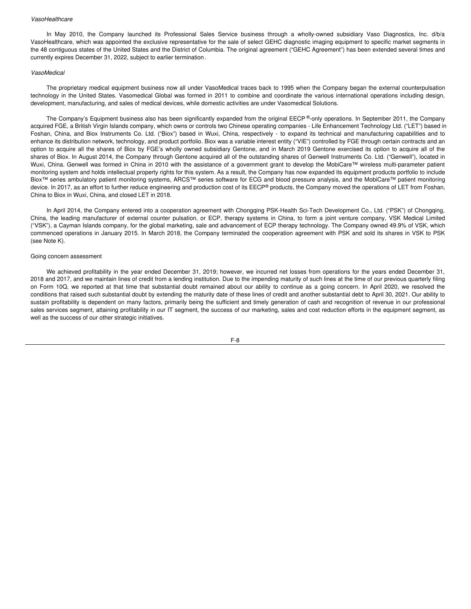#### *VasoHealthcare*

In May 2010, the Company launched its Professional Sales Service business through a wholly-owned subsidiary Vaso Diagnostics, Inc. d/b/a VasoHealthcare, which was appointed the exclusive representative for the sale of select GEHC diagnostic imaging equipment to specific market segments in the 48 contiguous states of the United States and the District of Columbia. The original agreement ("GEHC Agreement") has been extended several times and currently expires December 31, 2022, subject to earlier termination .

## *VasoMedical*

The proprietary medical equipment business now all under VasoMedical traces back to 1995 when the Company began the external counterpulsation technology in the United States. Vasomedical Global was formed in 2011 to combine and coordinate the various international operations including design, development, manufacturing, and sales of medical devices, while domestic activities are under Vasomedical Solutions.

The Company's Equipment business also has been significantly expanded from the original EECP ®-only operations. In September 2011, the Company acquired FGE, a British Virgin Islands company, which owns or controls two Chinese operating companies - Life Enhancement Technology Ltd. ("LET") based in Foshan, China, and Biox Instruments Co. Ltd. ("Biox") based in Wuxi, China, respectively - to expand its technical and manufacturing capabilities and to enhance its distribution network, technology, and product portfolio. Biox was a variable interest entity ("VIE") controlled by FGE through certain contracts and an option to acquire all the shares of Biox by FGE's wholly owned subsidiary Gentone, and in March 2019 Gentone exercised its option to acquire all of the shares of Biox. In August 2014, the Company through Gentone acquired all of the outstanding shares of Genwell Instruments Co. Ltd. ("Genwell"), located in Wuxi, China. Genwell was formed in China in 2010 with the assistance of a government grant to develop the MobiCare™ wireless multi-parameter patient monitoring system and holds intellectual property rights for this system. As a result, the Company has now expanded its equipment products portfolio to include Biox™ series ambulatory patient monitoring systems, ARCS™ series software for ECG and blood pressure analysis, and the MobiCare™ patient monitoring device. In 2017, as an effort to further reduce engineering and production cost of its EECP® products, the Company moved the operations of LET from Foshan, China to Biox in Wuxi, China, and closed LET in 2018.

In April 2014, the Company entered into a cooperation agreement with Chongqing PSK-Health Sci-Tech Development Co., Ltd. ("PSK") of Chongqing, China, the leading manufacturer of external counter pulsation, or ECP, therapy systems in China, to form a joint venture company, VSK Medical Limited ("VSK"), a Cayman Islands company, for the global marketing, sale and advancement of ECP therapy technology. The Company owned 49.9% of VSK, which commenced operations in January 2015. In March 2018, the Company terminated the cooperation agreement with PSK and sold its shares in VSK to PSK (see Note K).

#### Going concern assessment

We achieved profitability in the year ended December 31, 2019; however, we incurred net losses from operations for the years ended December 31, 2018 and 2017, and we maintain lines of credit from a lending institution. Due to the impending maturity of such lines at the time of our previous quarterly filing on Form 10Q, we reported at that time that substantial doubt remained about our ability to continue as a going concern. In April 2020, we resolved the conditions that raised such substantial doubt by extending the maturity date of these lines of credit and another substantial debt to April 30, 2021. Our ability to sustain profitability is dependent on many factors, primarily being the sufficient and timely generation of cash and recognition of revenue in our professional sales services segment, attaining profitability in our IT segment, the success of our marketing, sales and cost reduction efforts in the equipment segment, as well as the success of our other strategic initiatives.

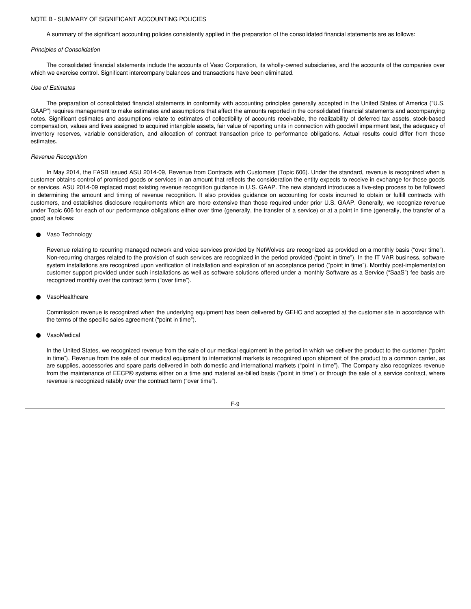## NOTE B - SUMMARY OF SIGNIFICANT ACCOUNTING POLICIES

A summary of the significant accounting policies consistently applied in the preparation of the consolidated financial statements are as follows:

#### *Principles of Consolidation*

The consolidated financial statements include the accounts of Vaso Corporation, its wholly-owned subsidiaries, and the accounts of the companies over which we exercise control. Significant intercompany balances and transactions have been eliminated.

## *Use of Estimates*

The preparation of consolidated financial statements in conformity with accounting principles generally accepted in the United States of America ("U.S. GAAP") requires management to make estimates and assumptions that affect the amounts reported in the consolidated financial statements and accompanying notes. Significant estimates and assumptions relate to estimates of collectibility of accounts receivable, the realizability of deferred tax assets, stock-based compensation, values and lives assigned to acquired intangible assets, fair value of reporting units in connection with goodwill impairment test, the adequacy of inventory reserves, variable consideration, and allocation of contract transaction price to performance obligations. Actual results could differ from those estimates.

### *Revenue Recognition*

In May 2014, the FASB issued ASU 2014-09, Revenue from Contracts with Customers (Topic 606). Under the standard, revenue is recognized when a customer obtains control of promised goods or services in an amount that reflects the consideration the entity expects to receive in exchange for those goods or services. ASU 2014-09 replaced most existing revenue recognition guidance in U.S. GAAP. The new standard introduces a five-step process to be followed in determining the amount and timing of revenue recognition. It also provides guidance on accounting for costs incurred to obtain or fulfill contracts with customers, and establishes disclosure requirements which are more extensive than those required under prior U.S. GAAP. Generally, we recognize revenue under Topic 606 for each of our performance obligations either over time (generally, the transfer of a service) or at a point in time (generally, the transfer of a good) as follows:

### Vaso Technology

Revenue relating to recurring managed network and voice services provided by NetWolves are recognized as provided on a monthly basis ("over time"). Non-recurring charges related to the provision of such services are recognized in the period provided ("point in time"). In the IT VAR business, software system installations are recognized upon verification of installation and expiration of an acceptance period ("point in time"). Monthly post-implementation customer support provided under such installations as well as software solutions offered under a monthly Software as a Service ("SaaS") fee basis are recognized monthly over the contract term ("over time").

## VasoHealthcare

Commission revenue is recognized when the underlying equipment has been delivered by GEHC and accepted at the customer site in accordance with the terms of the specific sales agreement ("point in time").

## VasoMedical

In the United States, we recognized revenue from the sale of our medical equipment in the period in which we deliver the product to the customer ("point in time"). Revenue from the sale of our medical equipment to international markets is recognized upon shipment of the product to a common carrier, as are supplies, accessories and spare parts delivered in both domestic and international markets ("point in time"). The Company also recognizes revenue from the maintenance of EECP® systems either on a time and material as-billed basis ("point in time") or through the sale of a service contract, where revenue is recognized ratably over the contract term ("over time").

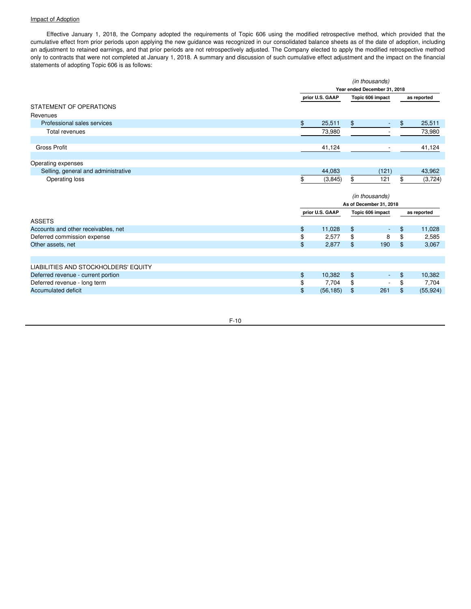## Impact of Adoption

Effective January 1, 2018, the Company adopted the requirements of Topic 606 using the modified retrospective method, which provided that the cumulative effect from prior periods upon applying the new guidance was recognized in our consolidated balance sheets as of the date of adoption, including an adjustment to retained earnings, and that prior periods are not retrospectively adjusted. The Company elected to apply the modified retrospective method only to contracts that were not completed at January 1, 2018. A summary and discussion of such cumulative effect adjustment and the impact on the financial statements of adopting Topic 606 is as follows:

|                                      | (in thousands)<br>Year ended December 31, 2018 |               |                          |    |             |  |  |  |
|--------------------------------------|------------------------------------------------|---------------|--------------------------|----|-------------|--|--|--|
|                                      | prior U.S. GAAP                                |               | Topic 606 impact         |    | as reported |  |  |  |
| STATEMENT OF OPERATIONS              |                                                |               |                          |    |             |  |  |  |
| Revenues                             |                                                |               |                          |    |             |  |  |  |
| Professional sales services          | \$<br>25,511                                   | \$            |                          | \$ | 25,511      |  |  |  |
| Total revenues                       | 73,980                                         |               |                          |    | 73,980      |  |  |  |
| <b>Gross Profit</b>                  | 41,124                                         |               | $\overline{\phantom{a}}$ |    | 41,124      |  |  |  |
|                                      |                                                |               |                          |    |             |  |  |  |
| Operating expenses                   |                                                |               |                          |    |             |  |  |  |
| Selling, general and administrative  | 44,083                                         |               | (121)                    |    | 43,962      |  |  |  |
| Operating loss                       | (3, 845)                                       | \$            | 121                      | \$ | (3,724)     |  |  |  |
|                                      |                                                |               | (in thousands)           |    |             |  |  |  |
|                                      |                                                |               | As of December 31, 2018  |    |             |  |  |  |
|                                      | prior U.S. GAAP                                |               | Topic 606 impact         |    | as reported |  |  |  |
| <b>ASSETS</b>                        |                                                |               |                          |    |             |  |  |  |
| Accounts and other receivables, net  | \$<br>11,028                                   | \$            | $\overline{\phantom{a}}$ | \$ | 11,028      |  |  |  |
| Deferred commission expense          | \$<br>2,577                                    | \$            | 8                        | \$ | 2,585       |  |  |  |
| Other assets, net                    | \$<br>2,877                                    | \$            | 190                      | \$ | 3,067       |  |  |  |
|                                      |                                                |               |                          |    |             |  |  |  |
| LIABILITIES AND STOCKHOLDERS' EQUITY |                                                |               |                          |    |             |  |  |  |
| Deferred revenue - current portion   | \$<br>10,382                                   | $\frac{1}{2}$ | $\blacksquare$           | \$ | 10,382      |  |  |  |
| Deferred revenue - long term         | \$<br>7,704                                    | \$            |                          | \$ | 7,704       |  |  |  |
| <b>Accumulated deficit</b>           | \$<br>(56, 185)                                | \$            | 261                      | \$ | (55, 924)   |  |  |  |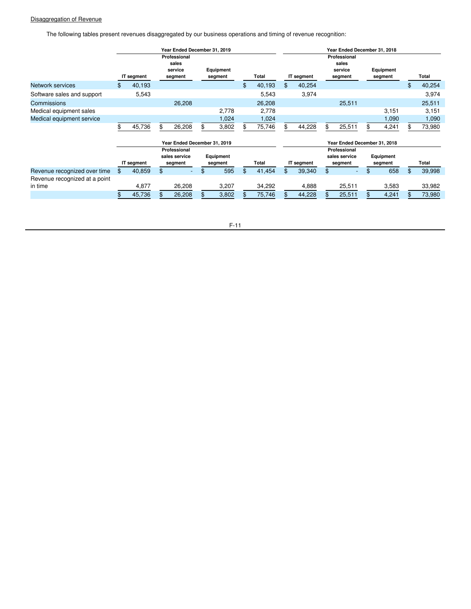# Disaggregation of Revenue

The following tables present revenues disaggregated by our business operations and timing of revenue recognition:

|                            |                   | Year Ended December 31, 2019 |                                             |  |                      |    |        |     |            |                                             |                             |              |
|----------------------------|-------------------|------------------------------|---------------------------------------------|--|----------------------|----|--------|-----|------------|---------------------------------------------|-----------------------------|--------------|
|                            | <b>IT</b> segment |                              | Professional<br>sales<br>service<br>segment |  | Equipment<br>segment |    | Total  |     | IT segment | Professional<br>sales<br>service<br>segment | <b>Equipment</b><br>segment | <b>Total</b> |
| Network services           | \$<br>40,193      |                              |                                             |  |                      | \$ | 40,193 | \$. | 40,254     |                                             |                             | \$<br>40,254 |
| Software sales and support | 5,543             |                              |                                             |  |                      |    | 5,543  |     | 3,974      |                                             |                             | 3,974        |
| <b>Commissions</b>         |                   |                              | 26,208                                      |  |                      |    | 26,208 |     |            | 25,511                                      |                             | 25,511       |
| Medical equipment sales    |                   |                              |                                             |  | 2.778                |    | 2.778  |     |            |                                             | 3.151                       | 3.151        |
| Medical equipment service  |                   |                              |                                             |  | 1,024                |    | 1,024  |     |            |                                             | 1,090                       | 1,090        |
|                            | 45,736            |                              | 26,208                                      |  | 3,802                |    | 75,746 |     | 44,228     | 25,511                                      | 4,241                       | 73,980       |
|                            |                   |                              | Voar Ended December 21, 2010                |  |                      |    |        |     |            | Voor Ended December 21, 2018                |                             |              |

|                               |            | year Ended December 31. 2019 |                               |  |           |       |        |            |        |         | 1 rear Enged December 31. 2018 |         |           |       |        |
|-------------------------------|------------|------------------------------|-------------------------------|--|-----------|-------|--------|------------|--------|---------|--------------------------------|---------|-----------|-------|--------|
|                               |            |                              | Professional<br>sales service |  | Equipment |       |        |            |        |         | Professional<br>sales service  |         | Equipment |       |        |
|                               | IT seament |                              | segment                       |  | segment   | Total |        | IT segment |        | segment |                                | segment |           | Total |        |
| Revenue recognized over time  | 40,859     |                              |                               |  | 595       |       | 41.454 |            | 39.340 |         |                                |         | 658       |       | 39,998 |
| Revenue recognized at a point |            |                              |                               |  |           |       |        |            |        |         |                                |         |           |       |        |
| in time                       | 4.877      |                              | 26.208                        |  | 3.207     |       | 34.292 |            | 4,888  |         | 25.511                         |         | 3,583     |       | 33.982 |
|                               | 45,736     |                              | 26,208                        |  | 3,802     |       | 75,746 |            | 44,228 |         | 25,511                         |         | 4,241     |       | 73,980 |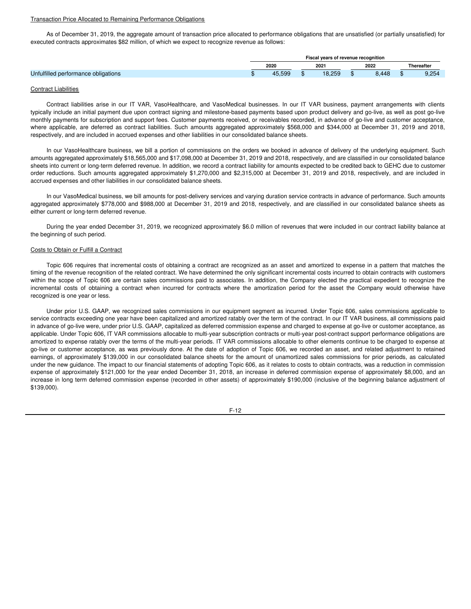### Transaction Price Allocated to Remaining Performance Obligations

As of December 31, 2019, the aggregate amount of transaction price allocated to performance obligations that are unsatisfied (or partially unsatisfied) for executed contracts approximates \$82 million, of which we expect to recognize revenue as follows:

|                                     |   | Fiscal vears of revenue recognition |  |        |  |                 |  |                  |  |  |  |
|-------------------------------------|---|-------------------------------------|--|--------|--|-----------------|--|------------------|--|--|--|
|                                     |   | 2020                                |  | 202    |  | 2022            |  | $\tau$ hereafter |  |  |  |
| Unfulfilled performance obligations | w | 45.599                              |  | 18.259 |  | $R$ $A$ $A$ $R$ |  | 9,254            |  |  |  |

## Contract Liabilities

Contract liabilities arise in our IT VAR, VasoHealthcare, and VasoMedical businesses. In our IT VAR business, payment arrangements with clients typically include an initial payment due upon contract signing and milestone-based payments based upon product delivery and go-live, as well as post go-live monthly payments for subscription and support fees. Customer payments received, or receivables recorded, in advance of go-live and customer acceptance, where applicable, are deferred as contract liabilities. Such amounts aggregated approximately \$568,000 and \$344,000 at December 31, 2019 and 2018, respectively, and are included in accrued expenses and other liabilities in our consolidated balance sheets.

In our VasoHealthcare business, we bill a portion of commissions on the orders we booked in advance of delivery of the underlying equipment. Such amounts aggregated approximately \$18,565,000 and \$17,098,000 at December 31, 2019 and 2018, respectively, and are classified in our consolidated balance sheets into current or long-term deferred revenue. In addition, we record a contract liability for amounts expected to be credited back to GEHC due to customer order reductions. Such amounts aggregated approximately \$1,270,000 and \$2,315,000 at December 31, 2019 and 2018, respectively, and are included in accrued expenses and other liabilities in our consolidated balance sheets.

In our VasoMedical business, we bill amounts for post-delivery services and varying duration service contracts in advance of performance. Such amounts aggregated approximately \$778,000 and \$988,000 at December 31, 2019 and 2018, respectively, and are classified in our consolidated balance sheets as either current or long-term deferred revenue.

During the year ended December 31, 2019, we recognized approximately \$6.0 million of revenues that were included in our contract liability balance at the beginning of such period.

## Costs to Obtain or Fulfill a Contract

Topic 606 requires that incremental costs of obtaining a contract are recognized as an asset and amortized to expense in a pattern that matches the timing of the revenue recognition of the related contract. We have determined the only significant incremental costs incurred to obtain contracts with customers within the scope of Topic 606 are certain sales commissions paid to associates. In addition, the Company elected the practical expedient to recognize the incremental costs of obtaining a contract when incurred for contracts where the amortization period for the asset the Company would otherwise have recognized is one year or less.

Under prior U.S. GAAP, we recognized sales commissions in our equipment segment as incurred. Under Topic 606, sales commissions applicable to service contracts exceeding one year have been capitalized and amortized ratably over the term of the contract. In our IT VAR business, all commissions paid in advance of go-live were, under prior U.S. GAAP, capitalized as deferred commission expense and charged to expense at go-live or customer acceptance, as applicable. Under Topic 606, IT VAR commissions allocable to multi-year subscription contracts or multi-year post-contract support performance obligations are amortized to expense ratably over the terms of the multi-year periods. IT VAR commissions allocable to other elements continue to be charged to expense at go-live or customer acceptance, as was previously done. At the date of adoption of Topic 606, we recorded an asset, and related adjustment to retained earnings, of approximately \$139,000 in our consolidated balance sheets for the amount of unamortized sales commissions for prior periods, as calculated under the new guidance. The impact to our financial statements of adopting Topic 606, as it relates to costs to obtain contracts, was a reduction in commission expense of approximately \$121,000 for the year ended December 31, 2018, an increase in deferred commission expense of approximately \$8,000, and an increase in long term deferred commission expense (recorded in other assets) of approximately \$190,000 (inclusive of the beginning balance adjustment of \$139,000).

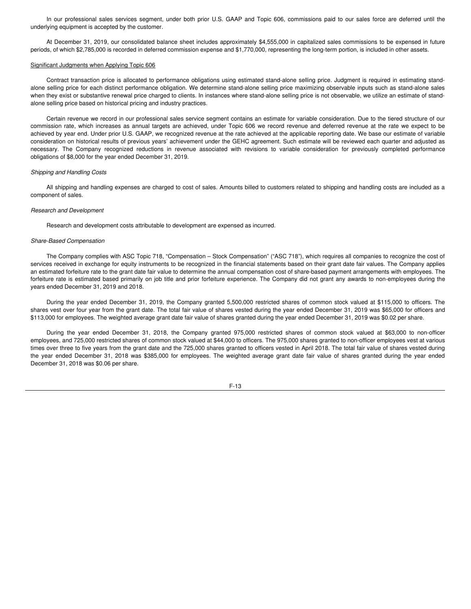In our professional sales services segment, under both prior U.S. GAAP and Topic 606, commissions paid to our sales force are deferred until the underlying equipment is accepted by the customer.

At December 31, 2019, our consolidated balance sheet includes approximately \$4,555,000 in capitalized sales commissions to be expensed in future periods, of which \$2,785,000 is recorded in deferred commission expense and \$1,770,000, representing the long-term portion, is included in other assets.

#### Significant Judgments when Applying Topic 606

Contract transaction price is allocated to performance obligations using estimated stand-alone selling price. Judgment is required in estimating standalone selling price for each distinct performance obligation. We determine stand-alone selling price maximizing observable inputs such as stand-alone sales when they exist or substantive renewal price charged to clients. In instances where stand-alone selling price is not observable, we utilize an estimate of standalone selling price based on historical pricing and industry practices.

Certain revenue we record in our professional sales service segment contains an estimate for variable consideration. Due to the tiered structure of our commission rate, which increases as annual targets are achieved, under Topic 606 we record revenue and deferred revenue at the rate we expect to be achieved by year end. Under prior U.S. GAAP, we recognized revenue at the rate achieved at the applicable reporting date. We base our estimate of variable consideration on historical results of previous years' achievement under the GEHC agreement. Such estimate will be reviewed each quarter and adjusted as necessary. The Company recognized reductions in revenue associated with revisions to variable consideration for previously completed performance obligations of \$8,000 for the year ended December 31, 2019.

## *Shipping and Handling Costs*

All shipping and handling expenses are charged to cost of sales. Amounts billed to customers related to shipping and handling costs are included as a component of sales.

### *Research and Development*

Research and development costs attributable to development are expensed as incurred.

#### *Share-Based Compensation*

The Company complies with ASC Topic 718, "Compensation – Stock Compensation" ("ASC 718"), which requires all companies to recognize the cost of services received in exchange for equity instruments to be recognized in the financial statements based on their grant date fair values. The Company applies an estimated forfeiture rate to the grant date fair value to determine the annual compensation cost of share-based payment arrangements with employees. The forfeiture rate is estimated based primarily on job title and prior forfeiture experience. The Company did not grant any awards to non-employees during the years ended December 31, 2019 and 2018.

During the year ended December 31, 2019, the Company granted 5,500,000 restricted shares of common stock valued at \$115,000 to officers. The shares vest over four year from the grant date. The total fair value of shares vested during the year ended December 31, 2019 was \$65,000 for officers and \$113,000 for employees. The weighted average grant date fair value of shares granted during the year ended December 31, 2019 was \$0.02 per share.

During the year ended December 31, 2018, the Company granted 975,000 restricted shares of common stock valued at \$63,000 to non-officer employees, and 725,000 restricted shares of common stock valued at \$44,000 to officers. The 975,000 shares granted to non-officer employees vest at various times over three to five years from the grant date and the 725,000 shares granted to officers vested in April 2018. The total fair value of shares vested during the year ended December 31, 2018 was \$385,000 for employees. The weighted average grant date fair value of shares granted during the year ended December 31, 2018 was \$0.06 per share.

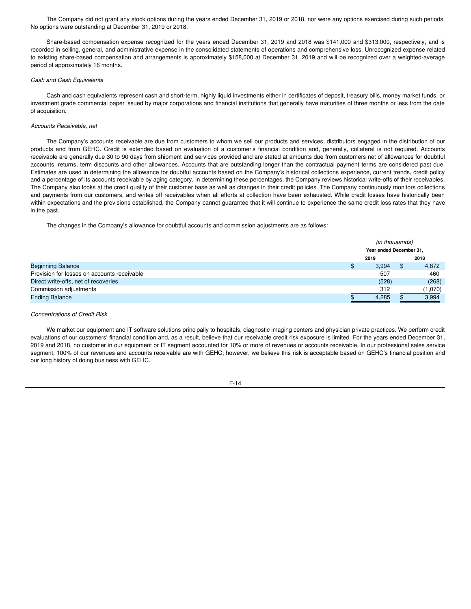The Company did not grant any stock options during the years ended December 31, 2019 or 2018, nor were any options exercised during such periods. No options were outstanding at December 31, 2019 or 2018.

Share-based compensation expense recognized for the years ended December 31, 2019 and 2018 was \$141,000 and \$313,000, respectively, and is recorded in selling, general, and administrative expense in the consolidated statements of operations and comprehensive loss. Unrecognized expense related to existing share-based compensation and arrangements is approximately \$158,000 at December 31, 2019 and will be recognized over a weighted-average period of approximately 16 months.

## *Cash and Cash Equivalents*

Cash and cash equivalents represent cash and short-term, highly liquid investments either in certificates of deposit, treasury bills, money market funds, or investment grade commercial paper issued by major corporations and financial institutions that generally have maturities of three months or less from the date of acquisition.

## *Accounts Receivable, net*

The Company's accounts receivable are due from customers to whom we sell our products and services, distributors engaged in the distribution of our products and from GEHC. Credit is extended based on evaluation of a customer's financial condition and, generally, collateral is not required. Accounts receivable are generally due 30 to 90 days from shipment and services provided and are stated at amounts due from customers net of allowances for doubtful accounts, returns, term discounts and other allowances. Accounts that are outstanding longer than the contractual payment terms are considered past due. Estimates are used in determining the allowance for doubtful accounts based on the Company's historical collections experience, current trends, credit policy and a percentage of its accounts receivable by aging category. In determining these percentages, the Company reviews historical write-offs of their receivables. The Company also looks at the credit quality of their customer base as well as changes in their credit policies. The Company continuously monitors collections and payments from our customers, and writes off receivables when all efforts at collection have been exhausted. While credit losses have historically been within expectations and the provisions established, the Company cannot guarantee that it will continue to experience the same credit loss rates that they have in the past.

The changes in the Company's allowance for doubtful accounts and commission adjustments are as follows:

|                                             |      | (in thousands)          |  |         |  |  |  |  |
|---------------------------------------------|------|-------------------------|--|---------|--|--|--|--|
|                                             |      | Year ended December 31. |  |         |  |  |  |  |
|                                             | 2019 |                         |  | 2018    |  |  |  |  |
| <b>Beginning Balance</b>                    |      | 3,994                   |  | 4,872   |  |  |  |  |
| Provision for losses on accounts receivable |      | 507                     |  | 460     |  |  |  |  |
| Direct write-offs, net of recoveries        |      | (528)                   |  | (268)   |  |  |  |  |
| Commission adjustments                      |      | 312                     |  | (1,070) |  |  |  |  |
| <b>Ending Balance</b>                       |      | 4,285                   |  | 3,994   |  |  |  |  |

### *Concentrations of Credit Risk*

We market our equipment and IT software solutions principally to hospitals, diagnostic imaging centers and physician private practices. We perform credit evaluations of our customers' financial condition and, as a result, believe that our receivable credit risk exposure is limited. For the years ended December 31, 2019 and 2018, no customer in our equipment or IT segment accounted for 10% or more of revenues or accounts receivable. In our professional sales service segment, 100% of our revenues and accounts receivable are with GEHC; however, we believe this risk is acceptable based on GEHC's financial position and our long history of doing business with GEHC.

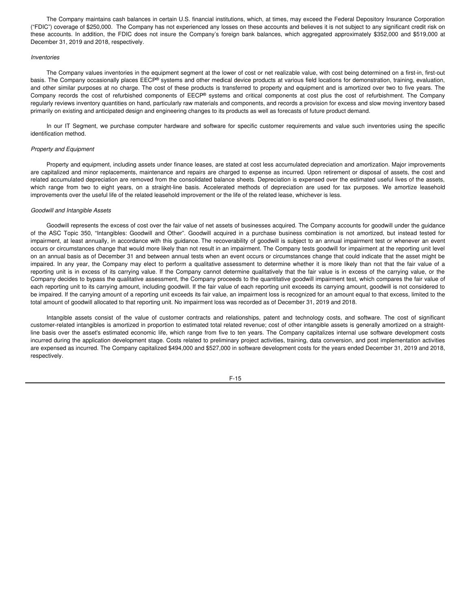The Company maintains cash balances in certain U.S. financial institutions, which, at times, may exceed the Federal Depository Insurance Corporation ("FDIC") coverage of \$250,000. The Company has not experienced any losses on these accounts and believes it is not subject to any significant credit risk on these accounts. In addition, the FDIC does not insure the Company's foreign bank balances, which aggregated approximately \$352,000 and \$519,000 at December 31, 2019 and 2018, respectively.

## *Inventories*

The Company values inventories in the equipment segment at the lower of cost or net realizable value, with cost being determined on a first-in, first-out basis. The Company occasionally places EECP® systems and other medical device products at various field locations for demonstration, training, evaluation, and other similar purposes at no charge. The cost of these products is transferred to property and equipment and is amortized over two to five years. The Company records the cost of refurbished components of EECP® systems and critical components at cost plus the cost of refurbishment. The Company regularly reviews inventory quantities on hand, particularly raw materials and components, and records a provision for excess and slow moving inventory based primarily on existing and anticipated design and engineering changes to its products as well as forecasts of future product demand.

In our IT Segment, we purchase computer hardware and software for specific customer requirements and value such inventories using the specific identification method.

#### *Property and Equipment*

Property and equipment, including assets under finance leases, are stated at cost less accumulated depreciation and amortization. Major improvements are capitalized and minor replacements, maintenance and repairs are charged to expense as incurred. Upon retirement or disposal of assets, the cost and related accumulated depreciation are removed from the consolidated balance sheets. Depreciation is expensed over the estimated useful lives of the assets, which range from two to eight years, on a straight-line basis. Accelerated methods of depreciation are used for tax purposes. We amortize leasehold improvements over the useful life of the related leasehold improvement or the life of the related lease, whichever is less.

## *Goodwill and Intangible Assets*

Goodwill represents the excess of cost over the fair value of net assets of businesses acquired. The Company accounts for goodwill under the guidance of the ASC Topic 350, "Intangibles: Goodwill and Other". Goodwill acquired in a purchase business combination is not amortized, but instead tested for impairment, at least annually, in accordance with this guidance. The recoverability of goodwill is subject to an annual impairment test or whenever an event occurs or circumstances change that would more likely than not result in an impairment. The Company tests goodwill for impairment at the reporting unit level on an annual basis as of December 31 and between annual tests when an event occurs or circumstances change that could indicate that the asset might be impaired. In any year, the Company may elect to perform a qualitative assessment to determine whether it is more likely than not that the fair value of a reporting unit is in excess of its carrying value. If the Company cannot determine qualitatively that the fair value is in excess of the carrying value, or the Company decides to bypass the qualitative assessment, the Company proceeds to the quantitative goodwill impairment test, which compares the fair value of each reporting unit to its carrying amount, including goodwill. If the fair value of each reporting unit exceeds its carrying amount, goodwill is not considered to be impaired. If the carrying amount of a reporting unit exceeds its fair value, an impairment loss is recognized for an amount equal to that excess, limited to the total amount of goodwill allocated to that reporting unit. No impairment loss was recorded as of December 31, 2019 and 2018.

Intangible assets consist of the value of customer contracts and relationships, patent and technology costs, and software. The cost of significant customer-related intangibles is amortized in proportion to estimated total related revenue; cost of other intangible assets is generally amortized on a straightline basis over the asset's estimated economic life, which range from five to ten years. The Company capitalizes internal use software development costs incurred during the application development stage. Costs related to preliminary project activities, training, data conversion, and post implementation activities are expensed as incurred. The Company capitalized \$494,000 and \$527,000 in software development costs for the years ended December 31, 2019 and 2018, respectively.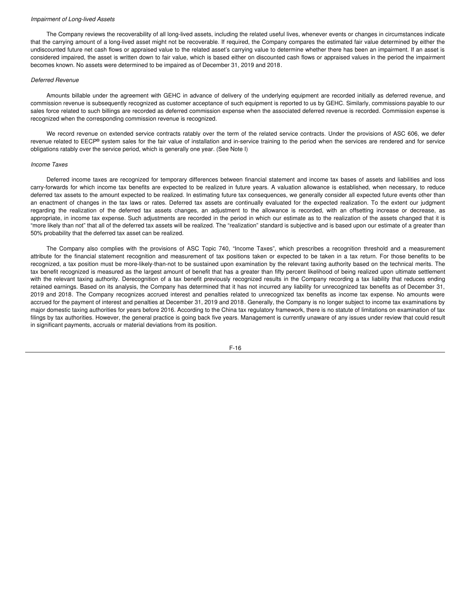#### *Impairment of Long-lived Assets*

The Company reviews the recoverability of all long-lived assets, including the related useful lives, whenever events or changes in circumstances indicate that the carrying amount of a long-lived asset might not be recoverable. If required, the Company compares the estimated fair value determined by either the undiscounted future net cash flows or appraised value to the related asset's carrying value to determine whether there has been an impairment. If an asset is considered impaired, the asset is written down to fair value, which is based either on discounted cash flows or appraised values in the period the impairment becomes known. No assets were determined to be impaired as of December 31, 2019 and 2018.

#### *Deferred Revenue*

Amounts billable under the agreement with GEHC in advance of delivery of the underlying equipment are recorded initially as deferred revenue, and commission revenue is subsequently recognized as customer acceptance of such equipment is reported to us by GEHC. Similarly, commissions payable to our sales force related to such billings are recorded as deferred commission expense when the associated deferred revenue is recorded. Commission expense is recognized when the corresponding commission revenue is recognized.

We record revenue on extended service contracts ratably over the term of the related service contracts. Under the provisions of ASC 606, we defer revenue related to EECP® system sales for the fair value of installation and in-service training to the period when the services are rendered and for service obligations ratably over the service period, which is generally one year. (See Note I)

#### *Income Taxes*

Deferred income taxes are recognized for temporary differences between financial statement and income tax bases of assets and liabilities and loss carry-forwards for which income tax benefits are expected to be realized in future years. A valuation allowance is established, when necessary, to reduce deferred tax assets to the amount expected to be realized. In estimating future tax consequences, we generally consider all expected future events other than an enactment of changes in the tax laws or rates. Deferred tax assets are continually evaluated for the expected realization. To the extent our judgment regarding the realization of the deferred tax assets changes, an adjustment to the allowance is recorded, with an offsetting increase or decrease, as appropriate, in income tax expense. Such adjustments are recorded in the period in which our estimate as to the realization of the assets changed that it is "more likely than not" that all of the deferred tax assets will be realized. The "realization" standard is subjective and is based upon our estimate of a greater than 50% probability that the deferred tax asset can be realized.

The Company also complies with the provisions of ASC Topic 740, "Income Taxes", which prescribes a recognition threshold and a measurement attribute for the financial statement recognition and measurement of tax positions taken or expected to be taken in a tax return. For those benefits to be recognized, a tax position must be more-likely-than-not to be sustained upon examination by the relevant taxing authority based on the technical merits. The tax benefit recognized is measured as the largest amount of benefit that has a greater than fifty percent likelihood of being realized upon ultimate settlement with the relevant taxing authority. Derecognition of a tax benefit previously recognized results in the Company recording a tax liability that reduces ending retained earnings. Based on its analysis, the Company has determined that it has not incurred any liability for unrecognized tax benefits as of December 31, 2019 and 2018. The Company recognizes accrued interest and penalties related to unrecognized tax benefits as income tax expense. No amounts were accrued for the payment of interest and penalties at December 31, 2019 and 2018. Generally, the Company is no longer subject to income tax examinations by major domestic taxing authorities for years before 2016. According to the China tax regulatory framework, there is no statute of limitations on examination of tax filings by tax authorities. However, the general practice is going back five years. Management is currently unaware of any issues under review that could result in significant payments, accruals or material deviations from its position.

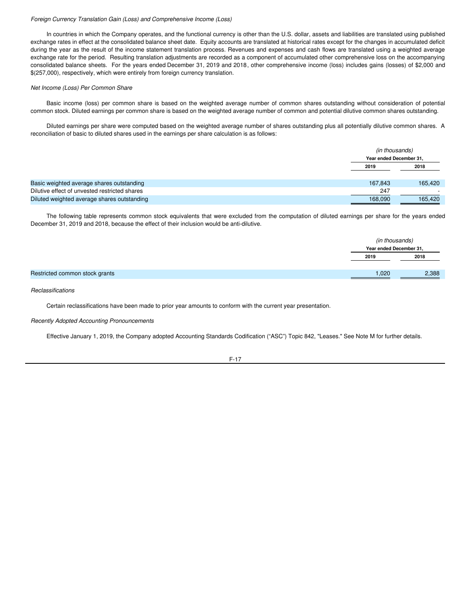## *Foreign Currency Translation Gain (Loss) and Comprehensive Income (Loss)*

In countries in which the Company operates, and the functional currency is other than the U.S. dollar, assets and liabilities are translated using published exchange rates in effect at the consolidated balance sheet date. Equity accounts are translated at historical rates except for the changes in accumulated deficit during the year as the result of the income statement translation process. Revenues and expenses and cash flows are translated using a weighted average exchange rate for the period. Resulting translation adjustments are recorded as a component of accumulated other comprehensive loss on the accompanying consolidated balance sheets. For the years ended December 31, 2019 and 2018, other comprehensive income (loss) includes gains (losses) of \$2,000 and \$(257,000), respectively, which were entirely from foreign currency translation.

## *Net Income (Loss) Per Common Share*

Basic income (loss) per common share is based on the weighted average number of common shares outstanding without consideration of potential common stock. Diluted earnings per common share is based on the weighted average number of common and potential dilutive common shares outstanding.

Diluted earnings per share were computed based on the weighted average number of shares outstanding plus all potentially dilutive common shares. A reconciliation of basic to diluted shares used in the earnings per share calculation is as follows:

|                                               | (in thousands)<br>Year ended December 31. |         |
|-----------------------------------------------|-------------------------------------------|---------|
|                                               | 2019                                      | 2018    |
| Basic weighted average shares outstanding     | 167.843                                   | 165,420 |
| Dilutive effect of unvested restricted shares | 247                                       |         |
| Diluted weighted average shares outstanding   | 168.090                                   | 165,420 |

The following table represents common stock equivalents that were excluded from the computation of diluted earnings per share for the years ended December 31, 2019 and 2018, because the effect of their inclusion would be anti-dilutive.

|                                | (in thousands)<br>Year ended December 31, |       |
|--------------------------------|-------------------------------------------|-------|
|                                | 2019                                      | 2018  |
| Restricted common stock grants | 1.020                                     | 2,388 |

## *Reclassifications*

Certain reclassifications have been made to prior year amounts to conform with the current year presentation.

*Recently Adopted Accounting Pronouncements*

Effective January 1, 2019, the Company adopted Accounting Standards Codification ("ASC") Topic 842, "Leases." See Note M for further details.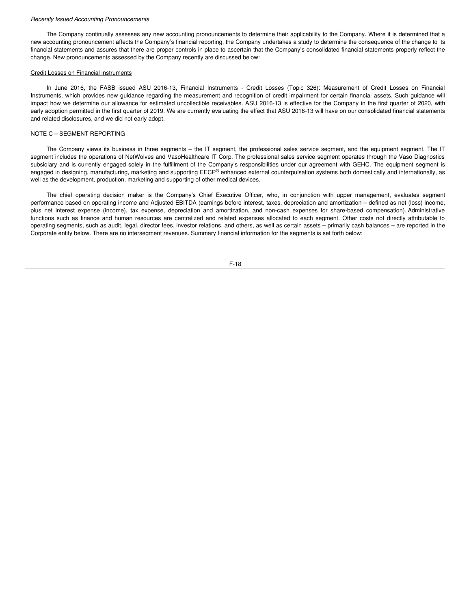#### *Recently Issued Accounting Pronouncements*

The Company continually assesses any new accounting pronouncements to determine their applicability to the Company. Where it is determined that a new accounting pronouncement affects the Company's financial reporting, the Company undertakes a study to determine the consequence of the change to its financial statements and assures that there are proper controls in place to ascertain that the Company's consolidated financial statements properly reflect the change. New pronouncements assessed by the Company recently are discussed below:

## Credit Losses on Financial instruments

In June 2016, the FASB issued ASU 2016-13, Financial Instruments - Credit Losses (Topic 326): Measurement of Credit Losses on Financial Instruments, which provides new guidance regarding the measurement and recognition of credit impairment for certain financial assets. Such guidance will impact how we determine our allowance for estimated uncollectible receivables. ASU 2016-13 is effective for the Company in the first quarter of 2020, with early adoption permitted in the first quarter of 2019. We are currently evaluating the effect that ASU 2016-13 will have on our consolidated financial statements and related disclosures, and we did not early adopt.

### NOTE C – SEGMENT REPORTING

The Company views its business in three segments – the IT segment, the professional sales service segment, and the equipment segment. The IT segment includes the operations of NetWolves and VasoHealthcare IT Corp. The professional sales service segment operates through the Vaso Diagnostics subsidiary and is currently engaged solely in the fulfillment of the Company's responsibilities under our agreement with GEHC. The equipment segment is engaged in designing, manufacturing, marketing and supporting EECP® enhanced external counterpulsation systems both domestically and internationally, as well as the development, production, marketing and supporting of other medical devices.

The chief operating decision maker is the Company's Chief Executive Officer, who, in conjunction with upper management, evaluates segment performance based on operating income and Adjusted EBITDA (earnings before interest, taxes, depreciation and amortization – defined as net (loss) income, plus net interest expense (income), tax expense, depreciation and amortization, and non-cash expenses for share-based compensation). Administrative functions such as finance and human resources are centralized and related expenses allocated to each segment. Other costs not directly attributable to operating segments, such as audit, legal, director fees, investor relations, and others, as well as certain assets – primarily cash balances – are reported in the Corporate entity below. There are no intersegment revenues. Summary financial information for the segments is set forth below: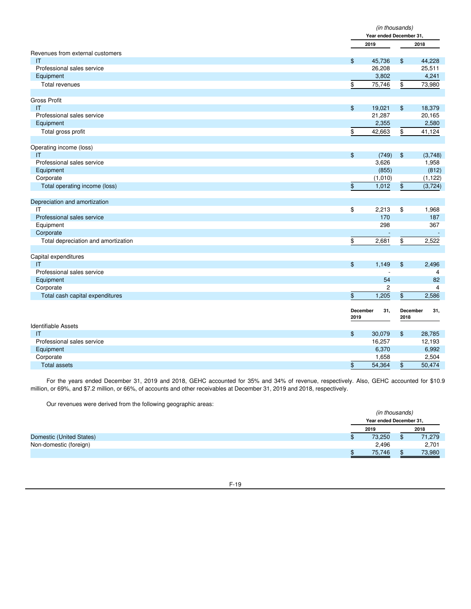|                                     |                  | (in thousands)<br>Year ended December 31, |                                                      |  |
|-------------------------------------|------------------|-------------------------------------------|------------------------------------------------------|--|
|                                     | 2019             |                                           |                                                      |  |
| Revenues from external customers    |                  |                                           |                                                      |  |
| T                                   | \$               | 45,736                                    | $\frac{1}{2}$<br>44,228                              |  |
| Professional sales service          |                  | 26,208                                    | 25,511                                               |  |
| Equipment                           |                  | 3,802                                     | 4,241                                                |  |
| Total revenues                      | \$               | 75,746                                    | \$<br>73,980                                         |  |
| <b>Gross Profit</b>                 |                  |                                           |                                                      |  |
| $\mathsf{I}\mathsf{T}$              | \$               | 19,021                                    | $\frac{1}{2}$<br>18,379                              |  |
| Professional sales service          |                  | 21,287                                    | 20,165                                               |  |
| Equipment                           |                  | 2,355                                     | 2,580                                                |  |
| Total gross profit                  | \$               | 42,663                                    | \$<br>41,124                                         |  |
| Operating income (loss)             |                  |                                           |                                                      |  |
| IT                                  | \$               | (749)                                     | \$<br>(3,748)                                        |  |
| Professional sales service          |                  | 3,626                                     | 1,958                                                |  |
| Equipment                           |                  | (855)                                     | (812)                                                |  |
| Corporate                           |                  | (1,010)                                   | (1, 122)                                             |  |
| Total operating income (loss)       | $\,$             | 1,012                                     | $\, \, \raisebox{12pt}{$\scriptstyle \$}$<br>(3,724) |  |
| Depreciation and amortization       |                  |                                           |                                                      |  |
| IT                                  | \$               | 2,213                                     | \$<br>1,968                                          |  |
| Professional sales service          |                  | 170                                       | 187                                                  |  |
| Equipment                           |                  | 298                                       | 367                                                  |  |
| Corporate                           |                  |                                           |                                                      |  |
| Total depreciation and amortization | $\overline{\$}$  | 2,681                                     | $\overline{\$}$<br>2,522                             |  |
| Capital expenditures                |                  |                                           |                                                      |  |
| IT                                  | \$               | 1,149                                     | \$<br>2,496                                          |  |
| Professional sales service          |                  | $\overline{a}$                            | 4                                                    |  |
| Equipment                           |                  | 54                                        | 82                                                   |  |
| Corporate                           |                  | 2                                         | 4                                                    |  |
| Total cash capital expenditures     | \$               | 1,205                                     | 2,586<br>\$                                          |  |
| <b>Identifiable Assets</b>          | December<br>2019 | 31,                                       | December<br>31,<br>2018                              |  |
| IT                                  | \$               | 30,079                                    | $\frac{1}{2}$<br>28,785                              |  |
| Professional sales service          |                  | 16,257                                    | 12,193                                               |  |
| Equipment                           |                  | 6,370                                     | 6,992                                                |  |
| Corporate                           |                  | 1,658                                     | 2,504                                                |  |
| <b>Total assets</b>                 | \$               | 54,364                                    | \$<br>50,474                                         |  |

For the years ended December 31, 2019 and 2018, GEHC accounted for 35% and 34% of revenue, respectively. Also, GEHC accounted for \$10.9 million, or 69%, and \$7.2 million, or 66%, of accounts and other receivables at December 31, 2019 and 2018, respectively.

Our revenues were derived from the following geographic areas:

|                          |      | (in thousands)          |      |        |
|--------------------------|------|-------------------------|------|--------|
|                          |      | Year ended December 31, |      |        |
|                          | 2019 |                         | 2018 |        |
| Domestic (United States) | Φ    | 73,250                  |      | 71,279 |
| Non-domestic (foreign)   |      | 2.496                   |      | 2,701  |
|                          |      | 75,746                  |      | 73,980 |

| _ | ۰.<br>۰,<br>× |
|---|---------------|
|---|---------------|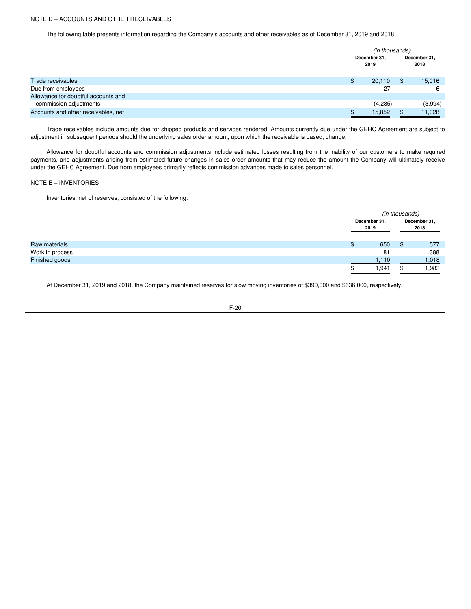## NOTE D – ACCOUNTS AND OTHER RECEIVABLES

The following table presents information regarding the Company's accounts and other receivables as of December 31, 2019 and 2018:

|                                     | (in thousands)       |    |                      |  |
|-------------------------------------|----------------------|----|----------------------|--|
|                                     | December 31,<br>2019 |    | December 31,<br>2018 |  |
| Trade receivables                   | \$<br>20,110         | \$ | 15,016               |  |
| Due from employees                  | 27                   |    | 6                    |  |
| Allowance for doubtful accounts and |                      |    |                      |  |
| commission adjustments              | (4,285)              |    | (3,994)              |  |
| Accounts and other receivables, net | 15,852               |    | 11,028               |  |

Trade receivables include amounts due for shipped products and services rendered. Amounts currently due under the GEHC Agreement are subject to adjustment in subsequent periods should the underlying sales order amount, upon which the receivable is based, change.

Allowance for doubtful accounts and commission adjustments include estimated losses resulting from the inability of our customers to make required payments, and adjustments arising from estimated future changes in sales order amounts that may reduce the amount the Company will ultimately receive under the GEHC Agreement. Due from employees primarily reflects commission advances made to sales personnel.

## NOTE E – INVENTORIES

Inventories, net of reserves, consisted of the following:

|                 | (in thousands)       |    |                      |  |
|-----------------|----------------------|----|----------------------|--|
|                 | December 31,<br>2019 |    | December 31,<br>2018 |  |
| Raw materials   | \$<br>650            | \$ | 577                  |  |
| Work in process | 181                  |    | 388                  |  |
| Finished goods  | 1,110                |    | 1,018                |  |
|                 | 1,941                |    | 983.                 |  |

At December 31, 2019 and 2018, the Company maintained reserves for slow moving inventories of \$390,000 and \$636,000, respectively.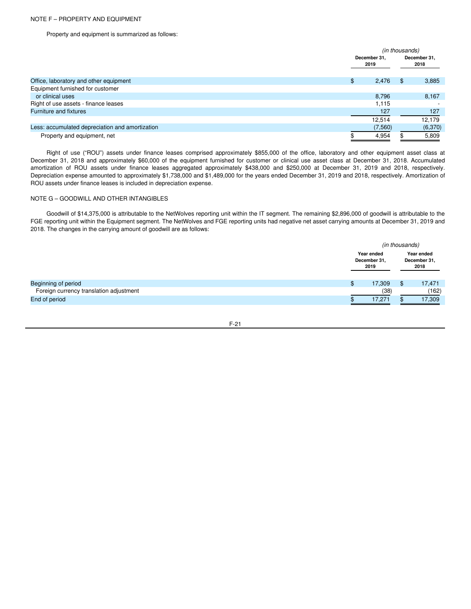Property and equipment is summarized as follows:

|                                                 |                      | (in thousands)       |
|-------------------------------------------------|----------------------|----------------------|
|                                                 | December 31.<br>2019 | December 31,<br>2018 |
| Office, laboratory and other equipment          | \$<br>2,476          | 3,885<br>\$          |
| Equipment furnished for customer                |                      |                      |
| or clinical uses                                | 8,796                | 8,167                |
| Right of use assets - finance leases            | 1,115                |                      |
| <b>Furniture and fixtures</b>                   |                      | 127<br>127           |
|                                                 | 12.514               | 12.179               |
| Less: accumulated depreciation and amortization |                      | (6,370)<br>(7,560)   |
| Property and equipment, net                     | 4,954                | 5,809                |

Right of use ("ROU") assets under finance leases comprised approximately \$855,000 of the office, laboratory and other equipment asset class at December 31, 2018 and approximately \$60,000 of the equipment furnished for customer or clinical use asset class at December 31, 2018. Accumulated amortization of ROU assets under finance leases aggregated approximately \$438,000 and \$250,000 at December 31, 2019 and 2018, respectively. Depreciation expense amounted to approximately \$1,738,000 and \$1,489,000 for the years ended December 31, 2019 and 2018, respectively. Amortization of ROU assets under finance leases is included in depreciation expense.

## NOTE G – GOODWILL AND OTHER INTANGIBLES

Goodwill of \$14,375,000 is attributable to the NetWolves reporting unit within the IT segment. The remaining \$2,896,000 of goodwill is attributable to the FGE reporting unit within the Equipment segment. The NetWolves and FGE reporting units had negative net asset carrying amounts at December 31, 2019 and 2018. The changes in the carrying amount of goodwill are as follows:

|                                         | (in thousands)                     |     |                                    |
|-----------------------------------------|------------------------------------|-----|------------------------------------|
|                                         | Year ended<br>December 31,<br>2019 |     | Year ended<br>December 31,<br>2018 |
| Beginning of period                     | \$<br>17,309                       | \$. | 17,471                             |
| Foreign currency translation adjustment | (38)                               |     | (162)                              |
| End of period                           | 17,271                             |     | 17,309                             |
|                                         |                                    |     |                                    |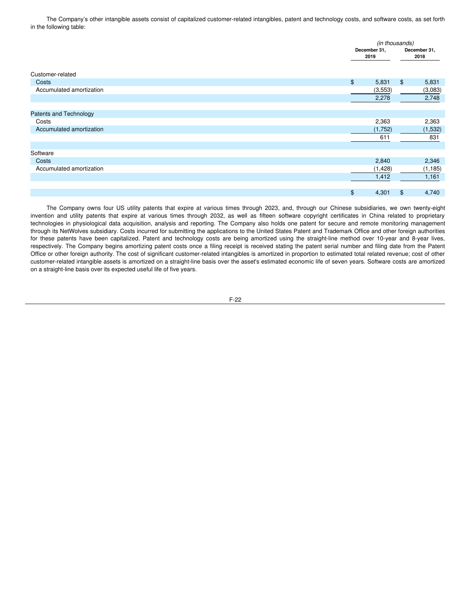The Company's other intangible assets consist of capitalized customer-related intangibles, patent and technology costs, and software costs, as set forth in the following table:

|                               | (in thousands)       |          |                      |          |  |
|-------------------------------|----------------------|----------|----------------------|----------|--|
|                               | December 31,<br>2019 |          | December 31,<br>2018 |          |  |
| Customer-related              |                      |          |                      |          |  |
| Costs                         | $\frac{1}{2}$        | 5,831    | $\mathfrak{F}$       | 5,831    |  |
| Accumulated amortization      |                      | (3, 553) |                      | (3,083)  |  |
|                               |                      | 2,278    |                      | 2,748    |  |
|                               |                      |          |                      |          |  |
| <b>Patents and Technology</b> |                      |          |                      |          |  |
| Costs                         |                      | 2,363    |                      | 2,363    |  |
| Accumulated amortization      |                      | (1,752)  |                      | (1, 532) |  |
|                               |                      | 611      |                      | 831      |  |
|                               |                      |          |                      |          |  |
| Software                      |                      |          |                      |          |  |
| Costs                         |                      | 2,840    |                      | 2,346    |  |
| Accumulated amortization      |                      | (1, 428) |                      | (1, 185) |  |
|                               |                      | 1,412    |                      | 1,161    |  |
|                               |                      |          |                      |          |  |
|                               | $\frac{1}{2}$        | 4,301    | \$                   | 4,740    |  |

The Company owns four US utility patents that expire at various times through 2023, and, through our Chinese subsidiaries, we own twenty-eight invention and utility patents that expire at various times through 2032, as well as fifteen software copyright certificates in China related to proprietary technologies in physiological data acquisition, analysis and reporting. The Company also holds one patent for secure and remote monitoring management through its NetWolves subsidiary. Costs incurred for submitting the applications to the United States Patent and Trademark Office and other foreign authorities for these patents have been capitalized. Patent and technology costs are being amortized using the straight-line method over 10-year and 8-year lives, respectively. The Company begins amortizing patent costs once a filing receipt is received stating the patent serial number and filing date from the Patent Office or other foreign authority. The cost of significant customer-related intangibles is amortized in proportion to estimated total related revenue; cost of other customer-related intangible assets is amortized on a straight-line basis over the asset's estimated economic life of seven years. Software costs are amortized on a straight-line basis over its expected useful life of five years.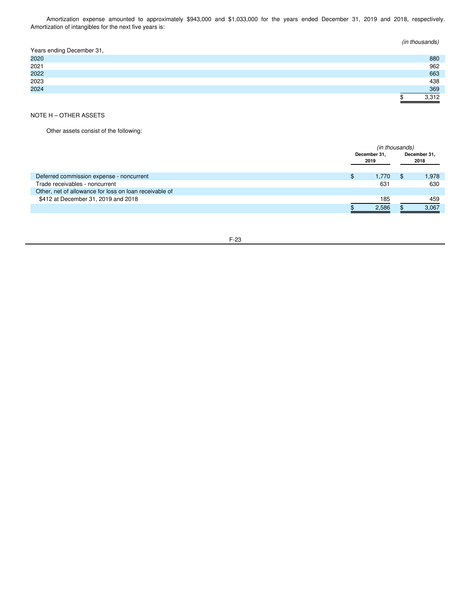Amortization expense amounted to approximately \$943,000 and \$1,033,000 for the years ended December 31, 2019 and 2018, respectively. Amortization of intangibles for the next five years is:

|                           | (in thousands) |
|---------------------------|----------------|
| Years ending December 31, |                |
| 2020                      | 880            |
| 2021                      | 962            |
| 2022                      | 663            |
| 2023                      | 438            |
| 2024                      | 369            |
|                           | 3,312          |

## NOTE H – OTHER ASSETS

Other assets consist of the following:

|                                                        | (in thousands)       |       |                      |       |
|--------------------------------------------------------|----------------------|-------|----------------------|-------|
|                                                        | December 31.<br>2019 |       | December 31,<br>2018 |       |
| Deferred commission expense - noncurrent               | \$                   | 1.770 |                      | 1.978 |
| Trade receivables - noncurrent                         |                      | 631   |                      | 630   |
| Other, net of allowance for loss on loan receivable of |                      |       |                      |       |
| \$412 at December 31, 2019 and 2018                    |                      | 185   |                      | 459   |
|                                                        |                      | 2,586 |                      | 3,067 |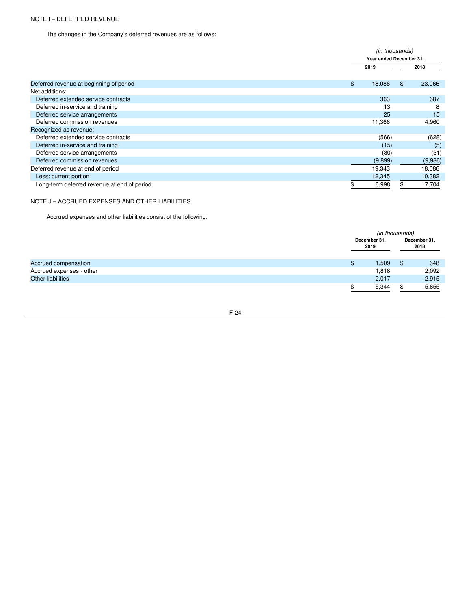The changes in the Company's deferred revenues are as follows:

|                                             |              | (in thousands)<br>Year ended December 31, |
|---------------------------------------------|--------------|-------------------------------------------|
|                                             | 2019         | 2018                                      |
| Deferred revenue at beginning of period     | \$<br>18,086 | 23,066<br>\$                              |
| Net additions:                              |              |                                           |
| Deferred extended service contracts         | 363          | 687                                       |
| Deferred in-service and training            | 13           | 8                                         |
| Deferred service arrangements               | 25           | 15                                        |
| Deferred commission revenues                | 11,366       | 4,960                                     |
| Recognized as revenue:                      |              |                                           |
| Deferred extended service contracts         | (566)        | (628)                                     |
| Deferred in-service and training            | (15)         | (5)                                       |
| Deferred service arrangements               | (30)         | (31)                                      |
| Deferred commission revenues                | (9,899)      | (9,986)                                   |
| Deferred revenue at end of period           | 19,343       | 18,086                                    |
| Less: current portion                       | 12,345       | 10,382                                    |
| Long-term deferred revenue at end of period | 6,998        | 7,704                                     |

## NOTE J – ACCRUED EXPENSES AND OTHER LIABILITIES

Accrued expenses and other liabilities consist of the following:

|                          | (in thousands)       |                      |       |
|--------------------------|----------------------|----------------------|-------|
|                          | December 31,<br>2019 | December 31,<br>2018 |       |
| Accrued compensation     | \$<br>1,509          | \$                   | 648   |
| Accrued expenses - other | 1,818                |                      | 2,092 |
| <b>Other liabilities</b> | 2,017                |                      | 2,915 |
|                          | 5,344                |                      | 5,655 |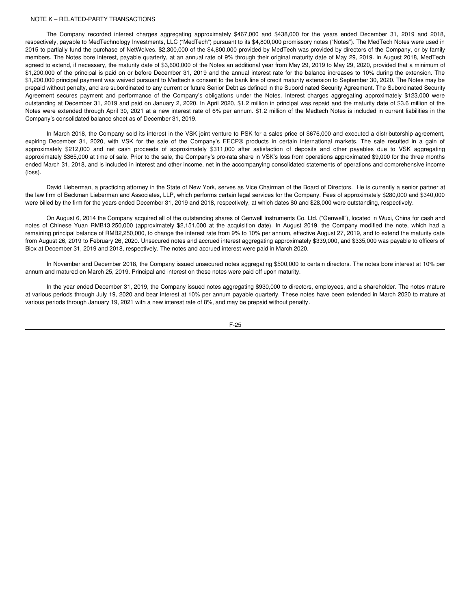## NOTE K – RELATED-PARTY TRANSACTIONS

The Company recorded interest charges aggregating approximately \$467,000 and \$438,000 for the years ended December 31, 2019 and 2018, respectively, payable to MedTechnology Investments, LLC ("MedTech") pursuant to its \$4,800,000 promissory notes ("Notes"). The MedTech Notes were used in 2015 to partially fund the purchase of NetWolves. \$2,300,000 of the \$4,800,000 provided by MedTech was provided by directors of the Company, or by family members. The Notes bore interest, payable quarterly, at an annual rate of 9% through their original maturity date of May 29, 2019. In August 2018, MedTech agreed to extend, if necessary, the maturity date of \$3,600,000 of the Notes an additional year from May 29, 2019 to May 29, 2020, provided that a minimum of \$1,200,000 of the principal is paid on or before December 31, 2019 and the annual interest rate for the balance increases to 10% during the extension. The \$1,200,000 principal payment was waived pursuant to Medtech's consent to the bank line of credit maturity extension to September 30, 2020. The Notes may be prepaid without penalty, and are subordinated to any current or future Senior Debt as defined in the Subordinated Security Agreement. The Subordinated Security Agreement secures payment and performance of the Company's obligations under the Notes. Interest charges aggregating approximately \$123,000 were outstanding at December 31, 2019 and paid on January 2, 2020. In April 2020, \$1.2 million in principal was repaid and the maturity date of \$3.6 million of the Notes were extended through April 30, 2021 at a new interest rate of 6% per annum. \$1.2 million of the Medtech Notes is included in current liabilities in the Company's consolidated balance sheet as of December 31, 2019.

In March 2018, the Company sold its interest in the VSK joint venture to PSK for a sales price of \$676,000 and executed a distributorship agreement, expiring December 31, 2020, with VSK for the sale of the Company's EECP® products in certain international markets. The sale resulted in a gain of approximately \$212,000 and net cash proceeds of approximately \$311,000 after satisfaction of deposits and other payables due to VSK aggregating approximately \$365,000 at time of sale. Prior to the sale, the Company's pro-rata share in VSK's loss from operations approximated \$9,000 for the three months ended March 31, 2018, and is included in interest and other income, net in the accompanying consolidated statements of operations and comprehensive income (loss).

David Lieberman, a practicing attorney in the State of New York, serves as Vice Chairman of the Board of Directors. He is currently a senior partner at the law firm of Beckman Lieberman and Associates, LLP, which performs certain legal services for the Company. Fees of approximately \$280,000 and \$340,000 were billed by the firm for the years ended December 31, 2019 and 2018, respectively, at which dates \$0 and \$28,000 were outstanding, respectively.

On August 6, 2014 the Company acquired all of the outstanding shares of Genwell Instruments Co. Ltd. ("Genwell"), located in Wuxi, China for cash and notes of Chinese Yuan RMB13,250,000 (approximately \$2,151,000 at the acquisition date). In August 2019, the Company modified the note, which had a remaining principal balance of RMB2,250,000, to change the interest rate from 9% to 10% per annum, effective August 27, 2019, and to extend the maturity date from August 26, 2019 to February 26, 2020. Unsecured notes and accrued interest aggregating approximately \$339,000, and \$335,000 was payable to officers of Biox at December 31, 2019 and 2018, respectively. The notes and accrued interest were paid in March 2020.

In November and December 2018, the Company issued unsecured notes aggregating \$500,000 to certain directors. The notes bore interest at 10% per annum and matured on March 25, 2019. Principal and interest on these notes were paid off upon maturity.

In the year ended December 31, 2019, the Company issued notes aggregating \$930,000 to directors, employees, and a shareholder. The notes mature at various periods through July 19, 2020 and bear interest at 10% per annum payable quarterly. These notes have been extended in March 2020 to mature at various periods through January 19, 2021 with a new interest rate of 8%, and may be prepaid without penalty .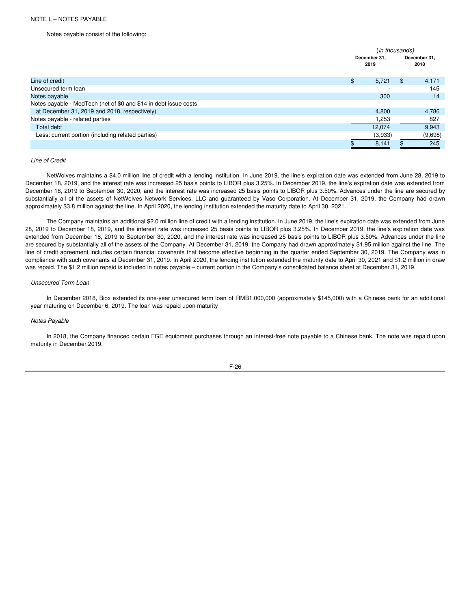## Notes payable consist of the following:

|                                                                  | (in thousands)       |         |                      |         |
|------------------------------------------------------------------|----------------------|---------|----------------------|---------|
|                                                                  | December 31.<br>2019 |         | December 31,<br>2018 |         |
| Line of credit                                                   | \$                   | 5,721   | \$.                  | 4,171   |
| Unsecured term loan                                              |                      |         |                      | 145     |
| Notes payable                                                    |                      | 300     |                      | 14      |
| Notes payable - MedTech (net of \$0 and \$14 in debt issue costs |                      |         |                      |         |
| at December 31, 2019 and 2018, respectively)                     |                      | 4,800   |                      | 4,786   |
| Notes payable - related parties                                  |                      | 1,253   |                      | 827     |
| Total debt                                                       |                      | 12,074  |                      | 9,943   |
| Less: current portion (including related parties)                |                      | (3,933) |                      | (9,698) |
|                                                                  |                      | 8,141   |                      | 245     |

## *Line of Credit*

NetWolves maintains a \$4.0 million line of credit with a lending institution. In June 2019, the line's expiration date was extended from June 28, 2019 to December 18, 2019, and the interest rate was increased 25 basis points to LIBOR plus 3.25%. In December 2019, the line's expiration date was extended from December 18, 2019 to September 30, 2020, and the interest rate was increased 25 basis points to LIBOR plus 3.50%. Advances under the line are secured by substantially all of the assets of NetWolves Network Services, LLC and guaranteed by Vaso Corporation. At December 31, 2019, the Company had drawn approximately \$3.8 million against the line. In April 2020, the lending institution extended the maturity date to April 30, 2021.

The Company maintains an additional \$2.0 million line of credit with a lending institution. In June 2019, the line's expiration date was extended from June 28, 2019 to December 18, 2019, and the interest rate was increased 25 basis points to LIBOR plus 3.25%. In December 2019, the line's expiration date was extended from December 18, 2019 to September 30, 2020, and the interest rate was increased 25 basis points to LIBOR plus 3.50%. Advances under the line are secured by substantially all of the assets of the Company. At December 31, 2019, the Company had drawn approximately \$1.95 million against the line. The line of credit agreement includes certain financial covenants that become effective beginning in the quarter ended September 30, 2019. The Company was in compliance with such covenants at December 31, 2019. In April 2020, the lending institution extended the maturity date to April 30, 2021 and \$1.2 million in draw was repaid. The \$1.2 million repaid is included in notes payable – current portion in the Company's consolidated balance sheet at December 31, 2019.

## *Unsecured Term Loan*

In December 2018, Biox extended its one-year unsecured term loan of RMB1,000,000 (approximately \$145,000) with a Chinese bank for an additional year maturing on December 6, 2019. The loan was repaid upon maturity

### *Notes Payable*

In 2018, the Company financed certain FGE equipment purchases through an interest-free note payable to a Chinese bank. The note was repaid upon maturity in December 2019.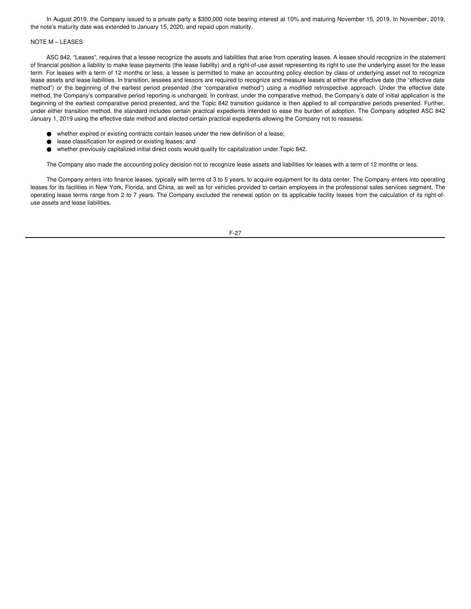In August 2019, the Company issued to a private party a \$300,000 note bearing interest at 10% and maturing November 15, 2019. In November, 2019, the note's maturity date was extended to January 15, 2020, and repaid upon maturity.

## NOTE M – LEASES

ASC 842, "Leases", requires that a lessee recognize the assets and liabilities that arise from operating leases. A lessee should recognize in the statement of financial position a liability to make lease payments (the lease liability) and a right-of-use asset representing its right to use the underlying asset for the lease term. For leases with a term of 12 months or less, a lessee is permitted to make an accounting policy election by class of underlying asset not to recognize lease assets and lease liabilities. In transition, lessees and lessors are required to recognize and measure leases at either the effective date (the "effective date method") or the beginning of the earliest period presented (the "comparative method") using a modified retrospective approach. Under the effective date method, the Company's comparative period reporting is unchanged. In contrast, under the comparative method, the Company's date of initial application is the beginning of the earliest comparative period presented, and the Topic 842 transition guidance is then applied to all comparative periods presented. Further, under either transition method, the standard includes certain practical expedients intended to ease the burden of adoption. The Company adopted ASC 842 January 1, 2019 using the effective date method and elected certain practical expedients allowing the Company not to reassess:

- whether expired or existing contracts contain leases under the new definition of a lease;
- lease classification for expired or existing leases; and
- whether previously capitalized initial direct costs would qualify for capitalization under Topic 842.

The Company also made the accounting policy decision not to recognize lease assets and liabilities for leases with a term of 12 months or less.

The Company enters into finance leases, typically with terms of 3 to 5 years, to acquire equipment for its data center. The Company enters into operating leases for its facilities in New York, Florida, and China, as well as for vehicles provided to certain employees in the professional sales services segment. The operating lease terms range from 2 to 7 years. The Company excluded the renewal option on its applicable facility leases from the calculation of its right-ofuse assets and lease liabilities.

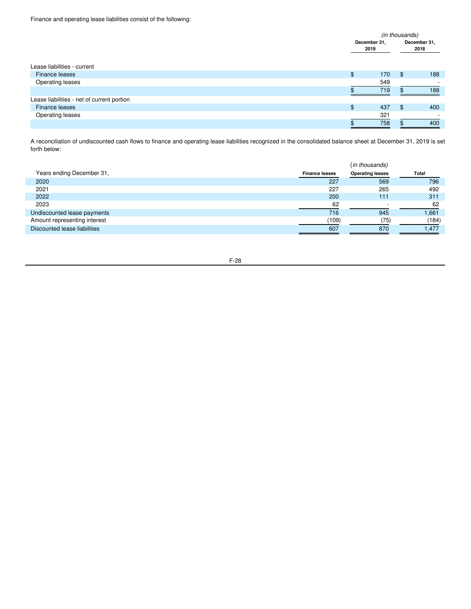Finance and operating lease liabilities consist of the following:

|                                            |                      | (in thousands) |                      |     |
|--------------------------------------------|----------------------|----------------|----------------------|-----|
|                                            | December 31,<br>2019 |                | December 31,<br>2018 |     |
| Lease liabilities - current                |                      |                |                      |     |
| Finance leases                             | \$                   | 170            | \$                   | 188 |
| Operating leases                           |                      | 549            |                      |     |
|                                            |                      | 719            |                      | 188 |
| Lease liabilities - net of current portion |                      |                |                      |     |
| Finance leases                             | $\frac{1}{2}$        | 437            | \$                   | 400 |
| Operating leases                           |                      | 321            |                      |     |
|                                            |                      | 758            |                      | 400 |

A reconciliation of undiscounted cash flows to finance and operating lease liabilities recognized in the consolidated balance sheet at December 31, 2019 is set forth below:

|                              |                       | (in thousands)          |       |
|------------------------------|-----------------------|-------------------------|-------|
| Years ending December 31,    | <b>Finance leases</b> | <b>Operating leases</b> | Total |
| 2020                         | 227                   | 569                     | 796   |
| 2021                         | 227                   | 265                     | 492   |
| 2022                         | 200                   | 111                     | 311   |
| 2023                         | 62                    |                         | 62    |
| Undiscounted lease payments  | 716                   | 945                     | 1,661 |
| Amount representing interest | (109)                 | (75)                    | (184) |
| Discounted lease liabilities | 607                   | 870                     | .477  |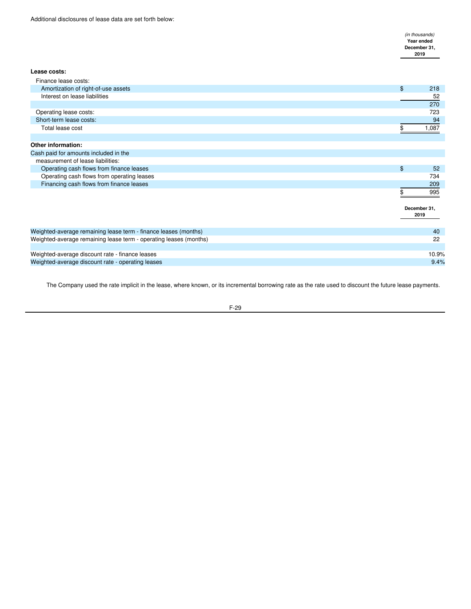*(in thousands)* **Year ended December 31, 2019**

| Lease costs:                               |                      |
|--------------------------------------------|----------------------|
| Finance lease costs:                       |                      |
| Amortization of right-of-use assets        | \$<br>218            |
| Interest on lease liabilities              | 52                   |
|                                            | 270                  |
| Operating lease costs:                     | 723                  |
| Short-term lease costs:                    | 94                   |
| Total lease cost                           | 1,087                |
|                                            |                      |
| <b>Other information:</b>                  |                      |
| Cash paid for amounts included in the      |                      |
| measurement of lease liabilities:          |                      |
| Operating cash flows from finance leases   | \$<br>52             |
| Operating cash flows from operating leases | 734                  |
| Financing cash flows from finance leases   | 209                  |
|                                            | 995                  |
|                                            | December 31,<br>2019 |

| Weighted-average remaining lease term - finance leases (months)   | 40    |
|-------------------------------------------------------------------|-------|
| Weighted-average remaining lease term - operating leases (months) | 22    |
|                                                                   |       |
| Weighted-average discount rate - finance leases                   | 10.9% |
| Weighted-average discount rate - operating leases                 | 9.4%  |
|                                                                   |       |

The Company used the rate implicit in the lease, where known, or its incremental borrowing rate as the rate used to discount the future lease payments.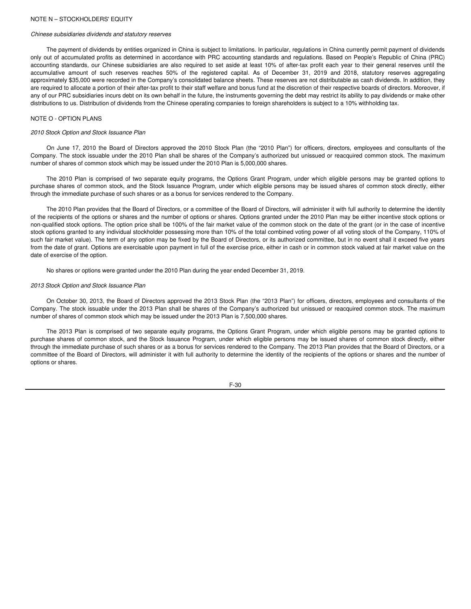## *Chinese subsidiaries dividends and statutory reserves*

The payment of dividends by entities organized in China is subject to limitations. In particular, regulations in China currently permit payment of dividends only out of accumulated profits as determined in accordance with PRC accounting standards and regulations. Based on People's Republic of China (PRC) accounting standards, our Chinese subsidiaries are also required to set aside at least 10% of after-tax profit each year to their general reserves until the accumulative amount of such reserves reaches 50% of the registered capital. As of December 31, 2019 and 2018, statutory reserves aggregating approximately \$35,000 were recorded in the Company's consolidated balance sheets. These reserves are not distributable as cash dividends. In addition, they are required to allocate a portion of their after-tax profit to their staff welfare and bonus fund at the discretion of their respective boards of directors. Moreover, if any of our PRC subsidiaries incurs debt on its own behalf in the future, the instruments governing the debt may restrict its ability to pay dividends or make other distributions to us. Distribution of dividends from the Chinese operating companies to foreign shareholders is subject to a 10% withholding tax.

## NOTE O - OPTION PLANS

## *2010 Stock Option and Stock Issuance Plan*

On June 17, 2010 the Board of Directors approved the 2010 Stock Plan (the "2010 Plan") for officers, directors, employees and consultants of the Company. The stock issuable under the 2010 Plan shall be shares of the Company's authorized but unissued or reacquired common stock. The maximum number of shares of common stock which may be issued under the 2010 Plan is 5,000,000 shares.

The 2010 Plan is comprised of two separate equity programs, the Options Grant Program, under which eligible persons may be granted options to purchase shares of common stock, and the Stock Issuance Program, under which eligible persons may be issued shares of common stock directly, either through the immediate purchase of such shares or as a bonus for services rendered to the Company.

The 2010 Plan provides that the Board of Directors, or a committee of the Board of Directors, will administer it with full authority to determine the identity of the recipients of the options or shares and the number of options or shares. Options granted under the 2010 Plan may be either incentive stock options or non-qualified stock options. The option price shall be 100% of the fair market value of the common stock on the date of the grant (or in the case of incentive stock options granted to any individual stockholder possessing more than 10% of the total combined voting power of all voting stock of the Company, 110% of such fair market value). The term of any option may be fixed by the Board of Directors, or its authorized committee, but in no event shall it exceed five years from the date of grant. Options are exercisable upon payment in full of the exercise price, either in cash or in common stock valued at fair market value on the date of exercise of the option.

No shares or options were granted under the 2010 Plan during the year ended December 31, 2019.

#### *2013 Stock Option and Stock Issuance Plan*

On October 30, 2013, the Board of Directors approved the 2013 Stock Plan (the "2013 Plan") for officers, directors, employees and consultants of the Company. The stock issuable under the 2013 Plan shall be shares of the Company's authorized but unissued or reacquired common stock. The maximum number of shares of common stock which may be issued under the 2013 Plan is 7,500,000 shares.

The 2013 Plan is comprised of two separate equity programs, the Options Grant Program, under which eligible persons may be granted options to purchase shares of common stock, and the Stock Issuance Program, under which eligible persons may be issued shares of common stock directly, either through the immediate purchase of such shares or as a bonus for services rendered to the Company. The 2013 Plan provides that the Board of Directors, or a committee of the Board of Directors, will administer it with full authority to determine the identity of the recipients of the options or shares and the number of options or shares.

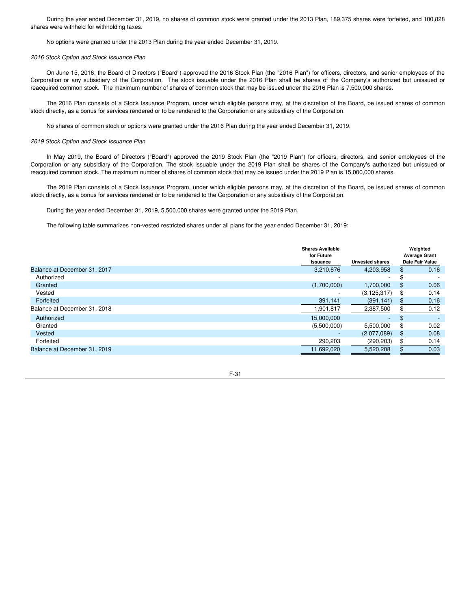During the year ended December 31, 2019, no shares of common stock were granted under the 2013 Plan, 189,375 shares were forfeited, and 100,828 shares were withheld for withholding taxes.

No options were granted under the 2013 Plan during the year ended December 31, 2019.

### *2016 Stock Option and Stock Issuance Plan*

On June 15, 2016, the Board of Directors ("Board") approved the 2016 Stock Plan (the "2016 Plan") for officers, directors, and senior employees of the Corporation or any subsidiary of the Corporation. The stock issuable under the 2016 Plan shall be shares of the Company's authorized but unissued or reacquired common stock. The maximum number of shares of common stock that may be issued under the 2016 Plan is 7,500,000 shares.

The 2016 Plan consists of a Stock Issuance Program, under which eligible persons may, at the discretion of the Board, be issued shares of common stock directly, as a bonus for services rendered or to be rendered to the Corporation or any subsidiary of the Corporation.

No shares of common stock or options were granted under the 2016 Plan during the year ended December 31, 2019.

#### *2019 Stock Option and Stock Issuance Plan*

In May 2019, the Board of Directors ("Board") approved the 2019 Stock Plan (the "2019 Plan") for officers, directors, and senior employees of the Corporation or any subsidiary of the Corporation. The stock issuable under the 2019 Plan shall be shares of the Company's authorized but unissued or reacquired common stock. The maximum number of shares of common stock that may be issued under the 2019 Plan is 15,000,000 shares.

The 2019 Plan consists of a Stock Issuance Program, under which eligible persons may, at the discretion of the Board, be issued shares of common stock directly, as a bonus for services rendered or to be rendered to the Corporation or any subsidiary of the Corporation.

During the year ended December 31, 2019, 5,500,000 shares were granted under the 2019 Plan.

The following table summarizes non-vested restricted shares under all plans for the year ended December 31, 2019:

|                              | <b>Shares Available</b><br>for Future<br>Issuance | <b>Unvested shares</b>   |     | Weighted<br><b>Average Grant</b><br>Date Fair Value |
|------------------------------|---------------------------------------------------|--------------------------|-----|-----------------------------------------------------|
| Balance at December 31, 2017 | 3,210,676                                         | 4,203,958                | \$  | 0.16                                                |
| Authorized                   |                                                   | $\overline{\phantom{0}}$ | ß.  |                                                     |
| Granted                      | (1,700,000)                                       | 1,700,000                | \$  | 0.06                                                |
| Vested                       |                                                   | (3, 125, 317)            | \$  | 0.14                                                |
| Forfeited                    | 391,141                                           | (391, 141)               | \$. | 0.16                                                |
| Balance at December 31, 2018 | 1,901,817                                         | 2,387,500                |     | 0.12                                                |
| Authorized                   | 15,000,000                                        | -                        |     |                                                     |
| Granted                      | (5,500,000)                                       | 5,500,000                | \$  | 0.02                                                |
| Vested                       |                                                   | (2,077,089)              | \$  | 0.08                                                |
| Forfeited                    | 290,203                                           | (290, 203)               | \$  | 0.14                                                |
| Balance at December 31, 2019 | 11,692,020                                        | 5,520,208                |     | 0.03                                                |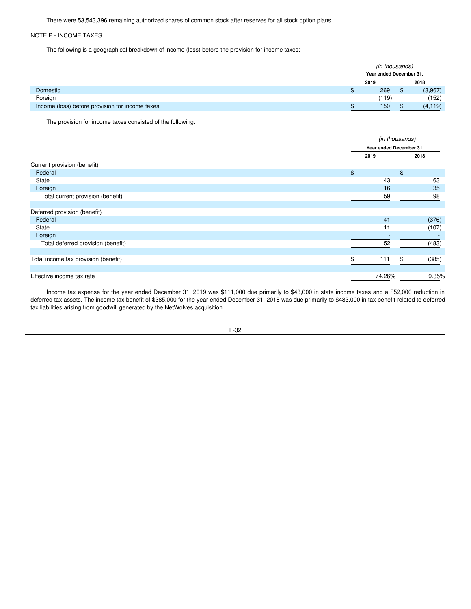There were 53,543,396 remaining authorized shares of common stock after reserves for all stock option plans.

## NOTE P - INCOME TAXES

The following is a geographical breakdown of income (loss) before the provision for income taxes:

|                                                 | (in thousands)          |  |          |
|-------------------------------------------------|-------------------------|--|----------|
|                                                 | Year ended December 31, |  |          |
|                                                 | 2019                    |  | 2018     |
| Domestic                                        | 269                     |  | (3,967)  |
| Foreign                                         | (119)                   |  | (152)    |
| Income (loss) before provision for income taxes | 150                     |  | (4, 119) |

The provision for income taxes consisted of the following:

|                                      |                                           | (in thousands) |
|--------------------------------------|-------------------------------------------|----------------|
|                                      | Year ended December 31,                   |                |
|                                      | 2019                                      | 2018           |
| Current provision (benefit)          |                                           |                |
| Federal                              | $\frac{2}{3}$<br>$\overline{\phantom{a}}$ | $\mathfrak{F}$ |
| State                                | 43                                        | 63             |
| Foreign                              | 16                                        | 35             |
| Total current provision (benefit)    | 59                                        | 98             |
|                                      |                                           |                |
| Deferred provision (benefit)         |                                           |                |
| Federal                              | 41                                        | (376)          |
| State                                | 11                                        | (107)          |
| Foreign                              |                                           |                |
| Total deferred provision (benefit)   | 52                                        | (483)          |
|                                      |                                           |                |
| Total income tax provision (benefit) | 111                                       | (385)          |
| Effective income tax rate            | 74.26%                                    | 9.35%          |

Income tax expense for the year ended December 31, 2019 was \$111,000 due primarily to \$43,000 in state income taxes and a \$52,000 reduction in deferred tax assets. The income tax benefit of \$385,000 for the year ended December 31, 2018 was due primarily to \$483,000 in tax benefit related to deferred tax liabilities arising from goodwill generated by the NetWolves acquisition.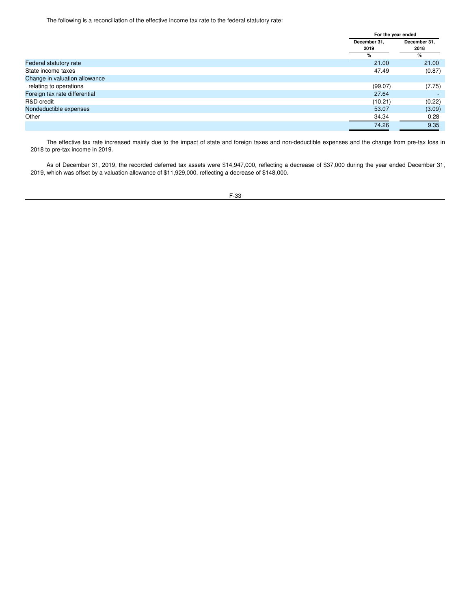The following is a reconciliation of the effective income tax rate to the federal statutory rate:

| December 31,<br>2019 | December 31,<br>2018 |
|----------------------|----------------------|
| %                    | %                    |
| 21.00                | 21.00                |
| 47.49                | (0.87)               |
|                      |                      |
| (99.07)              | (7.75)               |
| 27.64                |                      |
| (10.21)              | (0.22)               |
| 53.07                | (3.09)               |
| 34.34                | 0.28                 |
| 74.26                | 9.35                 |
|                      | For the year ended   |

The effective tax rate increased mainly due to the impact of state and foreign taxes and non-deductible expenses and the change from pre-tax loss in 2018 to pre-tax income in 2019.

As of December 31, 2019, the recorded deferred tax assets were \$14,947,000, reflecting a decrease of \$37,000 during the year ended December 31, 2019, which was offset by a valuation allowance of \$11,929,000, reflecting a decrease of \$148,000.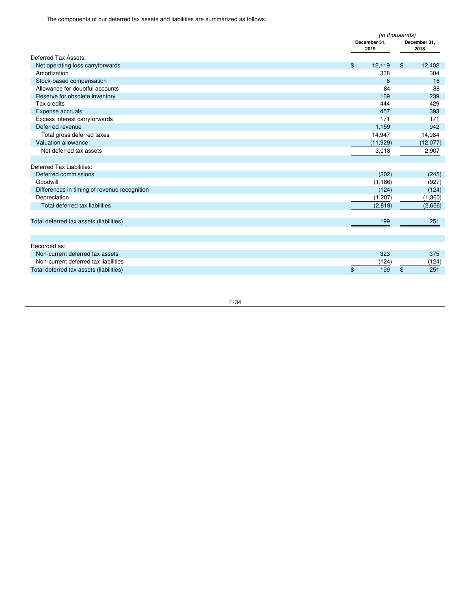The components of our deferred tax assets and liabilities are summarized as follows:

|                                                             | (in thousands)<br>December 31, |                | December 31, |
|-------------------------------------------------------------|--------------------------------|----------------|--------------|
|                                                             | 2019                           |                | 2018         |
| Deferred Tax Assets:                                        |                                |                |              |
| Net operating loss carryforwards<br>Amortization            | \$<br>12,119<br>338            | $\mathfrak{L}$ | 12,402       |
|                                                             |                                |                | 304          |
| Stock-based compensation<br>Allowance for doubtful accounts | 6<br>84                        |                | 16<br>88     |
|                                                             | 169                            |                |              |
| Reserve for obsolete inventory<br>Tax credits               | 444                            |                | 239<br>429   |
| <b>Expense accruals</b>                                     | 457                            |                | 393          |
| Excess interest carryforwards                               | 171                            |                | 171          |
| Deferred revenue                                            | 1,159                          |                | 942          |
| Total gross deferred taxes                                  | 14,947                         |                | 14,984       |
| Valuation allowance                                         | (11, 929)                      |                | (12,077)     |
| Net deferred tax assets                                     | 3,018                          |                | 2,907        |
|                                                             |                                |                |              |
| Deferred Tax Liabilities:                                   |                                |                |              |
| Deferred commissions                                        | (302)                          |                | (245)        |
| Goodwill                                                    | (1, 186)                       |                | (927)        |
| Differences in timing of revenue recognition                | (124)                          |                | (124)        |
| Depreciation                                                | (1, 207)                       |                | (1,360)      |
| Total deferred tax liabilities                              | (2, 819)                       |                | (2,656)      |
|                                                             |                                |                |              |
| Total deferred tax assets (liabilities)                     | 199                            |                | 251          |
|                                                             |                                |                |              |
|                                                             |                                |                |              |
| Recorded as:                                                |                                |                |              |
| Non-current deferred tax assets                             | 323                            |                | 375          |
| Non-current deferred tax liabilities                        | (124)                          |                | (124)        |
| Total deferred tax assets (liabilities)                     | \$<br>199                      | \$             | 251          |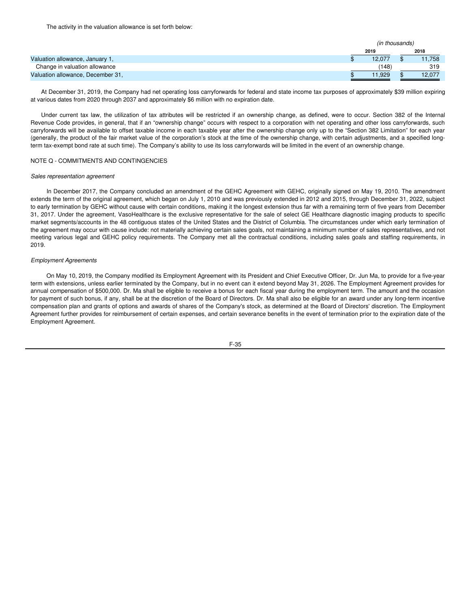The activity in the valuation allowance is set forth below:

|                                   | (in thousands) |  |        |  |
|-----------------------------------|----------------|--|--------|--|
|                                   | 2019           |  | 2018   |  |
| Valuation allowance, January 1,   | 12.077         |  | 11.758 |  |
| Change in valuation allowance     | (148)          |  | 319    |  |
| Valuation allowance, December 31, | 11.929         |  | 12.077 |  |

At December 31, 2019, the Company had net operating loss carryforwards for federal and state income tax purposes of approximately \$39 million expiring at various dates from 2020 through 2037 and approximately \$6 million with no expiration date.

Under current tax law, the utilization of tax attributes will be restricted if an ownership change, as defined, were to occur. Section 382 of the Internal Revenue Code provides, in general, that if an "ownership change" occurs with respect to a corporation with net operating and other loss carryforwards, such carryforwards will be available to offset taxable income in each taxable year after the ownership change only up to the "Section 382 Limitation" for each year (generally, the product of the fair market value of the corporation's stock at the time of the ownership change, with certain adjustments, and a specified longterm tax-exempt bond rate at such time). The Company's ability to use its loss carryforwards will be limited in the event of an ownership change.

# NOTE Q - COMMITMENTS AND CONTINGENCIES

#### *Sales representation agreement*

In December 2017, the Company concluded an amendment of the GEHC Agreement with GEHC, originally signed on May 19, 2010. The amendment extends the term of the original agreement, which began on July 1, 2010 and was previously extended in 2012 and 2015, through December 31, 2022, subject to early termination by GEHC without cause with certain conditions, making it the longest extension thus far with a remaining term of five years from December 31, 2017. Under the agreement, VasoHealthcare is the exclusive representative for the sale of select GE Healthcare diagnostic imaging products to specific market segments/accounts in the 48 contiguous states of the United States and the District of Columbia. The circumstances under which early termination of the agreement may occur with cause include: not materially achieving certain sales goals, not maintaining a minimum number of sales representatives, and not meeting various legal and GEHC policy requirements. The Company met all the contractual conditions, including sales goals and staffing requirements, in 2019.

#### *Employment Agreements*

On May 10, 2019, the Company modified its Employment Agreement with its President and Chief Executive Officer, Dr. Jun Ma, to provide for a five-year term with extensions, unless earlier terminated by the Company, but in no event can it extend beyond May 31, 2026. The Employment Agreement provides for annual compensation of \$500,000. Dr. Ma shall be eligible to receive a bonus for each fiscal year during the employment term. The amount and the occasion for payment of such bonus, if any, shall be at the discretion of the Board of Directors. Dr. Ma shall also be eligible for an award under any long-term incentive compensation plan and grants of options and awards of shares of the Company's stock, as determined at the Board of Directors' discretion. The Employment Agreement further provides for reimbursement of certain expenses, and certain severance benefits in the event of termination prior to the expiration date of the Employment Agreement.

#### F-35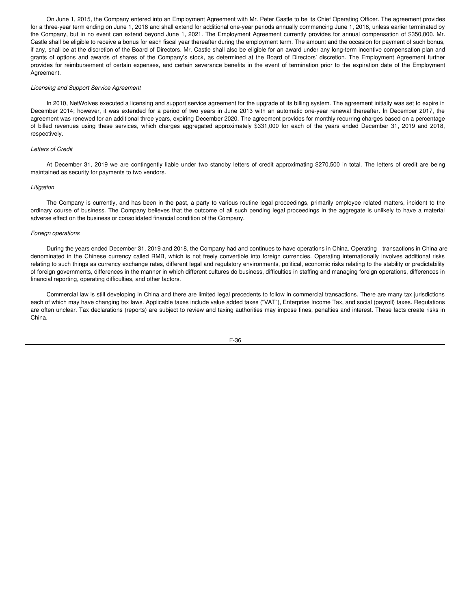On June 1, 2015, the Company entered into an Employment Agreement with Mr. Peter Castle to be its Chief Operating Officer. The agreement provides for a three-year term ending on June 1, 2018 and shall extend for additional one-year periods annually commencing June 1, 2018, unless earlier terminated by the Company, but in no event can extend beyond June 1, 2021. The Employment Agreement currently provides for annual compensation of \$350,000. Mr. Castle shall be eligible to receive a bonus for each fiscal year thereafter during the employment term. The amount and the occasion for payment of such bonus, if any, shall be at the discretion of the Board of Directors. Mr. Castle shall also be eligible for an award under any long-term incentive compensation plan and grants of options and awards of shares of the Company's stock, as determined at the Board of Directors' discretion. The Employment Agreement further provides for reimbursement of certain expenses, and certain severance benefits in the event of termination prior to the expiration date of the Employment Agreement.

#### *Licensing and Support Service Agreement*

In 2010, NetWolves executed a licensing and support service agreement for the upgrade of its billing system. The agreement initially was set to expire in December 2014; however, it was extended for a period of two years in June 2013 with an automatic one-year renewal thereafter. In December 2017, the agreement was renewed for an additional three years, expiring December 2020. The agreement provides for monthly recurring charges based on a percentage of billed revenues using these services, which charges aggregated approximately \$331,000 for each of the years ended December 31, 2019 and 2018, respectively.

#### *Letters of Credit*

At December 31, 2019 we are contingently liable under two standby letters of credit approximating \$270,500 in total. The letters of credit are being maintained as security for payments to two vendors.

#### *Litigation*

The Company is currently, and has been in the past, a party to various routine legal proceedings, primarily employee related matters, incident to the ordinary course of business. The Company believes that the outcome of all such pending legal proceedings in the aggregate is unlikely to have a material adverse effect on the business or consolidated financial condition of the Company.

### *Foreign operations*

During the years ended December 31, 2019 and 2018, the Company had and continues to have operations in China. Operating transactions in China are denominated in the Chinese currency called RMB, which is not freely convertible into foreign currencies. Operating internationally involves additional risks relating to such things as currency exchange rates, different legal and regulatory environments, political, economic risks relating to the stability or predictability of foreign governments, differences in the manner in which different cultures do business, difficulties in staffing and managing foreign operations, differences in financial reporting, operating difficulties, and other factors.

Commercial law is still developing in China and there are limited legal precedents to follow in commercial transactions. There are many tax jurisdictions each of which may have changing tax laws. Applicable taxes include value added taxes ("VAT"), Enterprise Income Tax, and social (payroll) taxes. Regulations are often unclear. Tax declarations (reports) are subject to review and taxing authorities may impose fines, penalties and interest. These facts create risks in China.

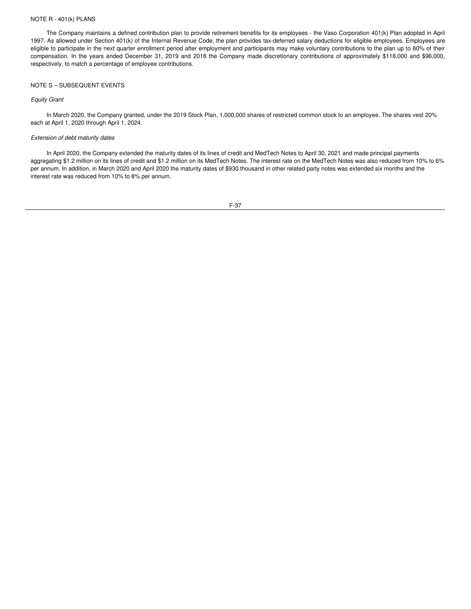# NOTE R - 401(k) PLANS

The Company maintains a defined contribution plan to provide retirement benefits for its employees - the Vaso Corporation 401(k) Plan adopted in April 1997. As allowed under Section 401(k) of the Internal Revenue Code, the plan provides tax-deferred salary deductions for eligible employees. Employees are eligible to participate in the next quarter enrollment period after employment and participants may make voluntary contributions to the plan up to 80% of their compensation. In the years ended December 31, 2019 and 2018 the Company made discretionary contributions of approximately \$118,000 and \$96,000, respectively, to match a percentage of employee contributions.

# NOTE S – SUBSEQUENT EVENTS

### *Equity Grant*

In March 2020, the Company granted, under the 2019 Stock Plan, 1,000,000 shares of restricted common stock to an employee. The shares vest 20% each at April 1, 2020 through April 1, 2024.

### *Extension of debt maturity dates*

In April 2020, the Company extended the maturity dates of its lines of credit and MedTech Notes to April 30, 2021 and made principal payments aggregating \$1.2 million on its lines of credit and \$1.2 million on its MedTech Notes. The interest rate on the MedTech Notes was also reduced from 10% to 6% per annum. In addition, in March 2020 and April 2020 the maturity dates of \$930 thousand in other related party notes was extended six months and the interest rate was reduced from 10% to 8% per annum.

F-37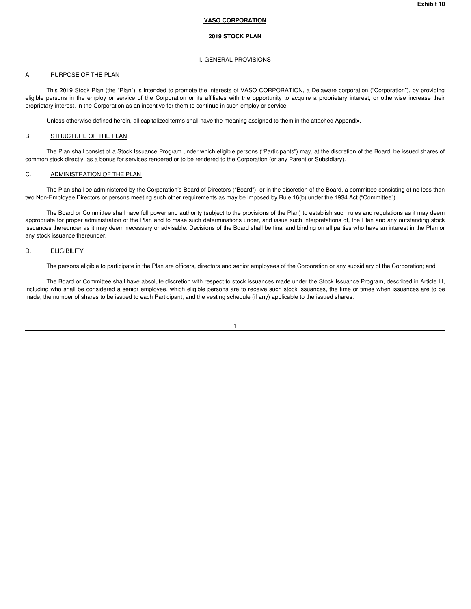# **VASO CORPORATION**

#### **2019 STOCK PLAN**

### I. GENERAL PROVISIONS

### A. PURPOSE OF THE PLAN

This 2019 Stock Plan (the "Plan") is intended to promote the interests of VASO CORPORATION, a Delaware corporation ("Corporation"), by providing eligible persons in the employ or service of the Corporation or its affiliates with the opportunity to acquire a proprietary interest, or otherwise increase their proprietary interest, in the Corporation as an incentive for them to continue in such employ or service.

Unless otherwise defined herein, all capitalized terms shall have the meaning assigned to them in the attached Appendix.

### B. STRUCTURE OF THE PLAN

The Plan shall consist of a Stock Issuance Program under which eligible persons ("Participants") may, at the discretion of the Board, be issued shares of common stock directly, as a bonus for services rendered or to be rendered to the Corporation (or any Parent or Subsidiary).

#### C. ADMINISTRATION OF THE PLAN

The Plan shall be administered by the Corporation's Board of Directors ("Board"), or in the discretion of the Board, a committee consisting of no less than two Non-Employee Directors or persons meeting such other requirements as may be imposed by Rule 16(b) under the 1934 Act ("Committee").

The Board or Committee shall have full power and authority (subject to the provisions of the Plan) to establish such rules and regulations as it may deem appropriate for proper administration of the Plan and to make such determinations under, and issue such interpretations of, the Plan and any outstanding stock issuances thereunder as it may deem necessary or advisable. Decisions of the Board shall be final and binding on all parties who have an interest in the Plan or any stock issuance thereunder.

# D. ELIGIBILITY

The persons eligible to participate in the Plan are officers, directors and senior employees of the Corporation or any subsidiary of the Corporation; and

The Board or Committee shall have absolute discretion with respect to stock issuances made under the Stock Issuance Program, described in Article III, including who shall be considered a senior employee, which eligible persons are to receive such stock issuances, the time or times when issuances are to be made, the number of shares to be issued to each Participant, and the vesting schedule (if any) applicable to the issued shares.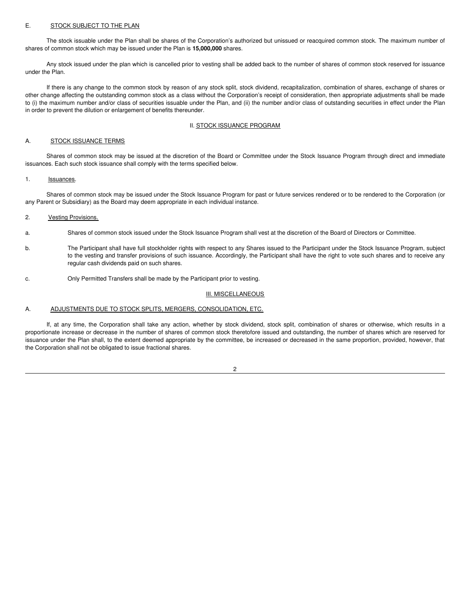# E. STOCK SUBJECT TO THE PLAN

The stock issuable under the Plan shall be shares of the Corporation's authorized but unissued or reacquired common stock. The maximum number of shares of common stock which may be issued under the Plan is **15,000,000** shares.

Any stock issued under the plan which is cancelled prior to vesting shall be added back to the number of shares of common stock reserved for issuance under the Plan.

If there is any change to the common stock by reason of any stock split, stock dividend, recapitalization, combination of shares, exchange of shares or other change affecting the outstanding common stock as a class without the Corporation's receipt of consideration, then appropriate adjustments shall be made to (i) the maximum number and/or class of securities issuable under the Plan, and (ii) the number and/or class of outstanding securities in effect under the Plan in order to prevent the dilution or enlargement of benefits thereunder.

### II. STOCK ISSUANCE PROGRAM

# A. STOCK ISSUANCE TERMS

Shares of common stock may be issued at the discretion of the Board or Committee under the Stock Issuance Program through direct and immediate issuances. Each such stock issuance shall comply with the terms specified below.

#### 1. **Issuances**.

Shares of common stock may be issued under the Stock Issuance Program for past or future services rendered or to be rendered to the Corporation (or any Parent or Subsidiary) as the Board may deem appropriate in each individual instance.

### 2. Vesting Provisions.

- a. Shares of common stock issued under the Stock Issuance Program shall vest at the discretion of the Board of Directors or Committee.
- b. The Participant shall have full stockholder rights with respect to any Shares issued to the Participant under the Stock Issuance Program, subject to the vesting and transfer provisions of such issuance. Accordingly, the Participant shall have the right to vote such shares and to receive any regular cash dividends paid on such shares.
- c. Only Permitted Transfers shall be made by the Participant prior to vesting.

### III. MISCELLANEOUS

# A. ADJUSTMENTS DUE TO STOCK SPLITS, MERGERS, CONSOLIDATION, ETC.

If, at any time, the Corporation shall take any action, whether by stock dividend, stock split, combination of shares or otherwise, which results in a proportionate increase or decrease in the number of shares of common stock theretofore issued and outstanding, the number of shares which are reserved for issuance under the Plan shall, to the extent deemed appropriate by the committee, be increased or decreased in the same proportion, provided, however, that the Corporation shall not be obligated to issue fractional shares.

### $\mathfrak{p}$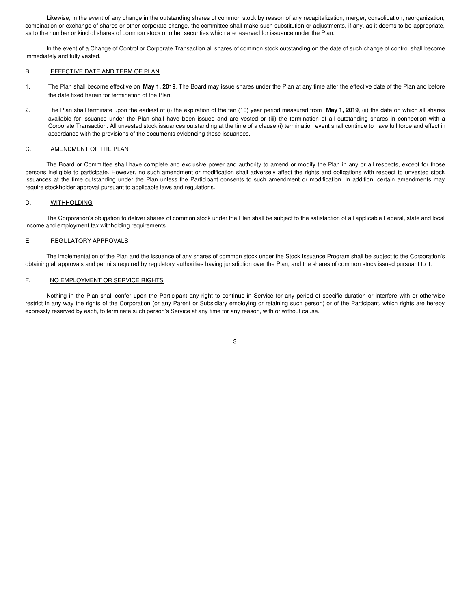Likewise, in the event of any change in the outstanding shares of common stock by reason of any recapitalization, merger, consolidation, reorganization, combination or exchange of shares or other corporate change, the committee shall make such substitution or adjustments, if any, as it deems to be appropriate, as to the number or kind of shares of common stock or other securities which are reserved for issuance under the Plan.

In the event of a Change of Control or Corporate Transaction all shares of common stock outstanding on the date of such change of control shall become immediately and fully vested.

# B. EFFECTIVE DATE AND TERM OF PLAN

- 1. The Plan shall become effective on **May 1, 2019**. The Board may issue shares under the Plan at any time after the effective date of the Plan and before the date fixed herein for termination of the Plan.
- 2. The Plan shall terminate upon the earliest of (i) the expiration of the ten (10) year period measured from **May 1, 2019**, (ii) the date on which all shares available for issuance under the Plan shall have been issued and are vested or (iii) the termination of all outstanding shares in connection with a Corporate Transaction. All unvested stock issuances outstanding at the time of a clause (i) termination event shall continue to have full force and effect in accordance with the provisions of the documents evidencing those issuances.

# C. AMENDMENT OF THE PLAN

The Board or Committee shall have complete and exclusive power and authority to amend or modify the Plan in any or all respects, except for those persons ineligible to participate. However, no such amendment or modification shall adversely affect the rights and obligations with respect to unvested stock issuances at the time outstanding under the Plan unless the Participant consents to such amendment or modification. In addition, certain amendments may require stockholder approval pursuant to applicable laws and regulations.

# D. WITHHOLDING

The Corporation's obligation to deliver shares of common stock under the Plan shall be subject to the satisfaction of all applicable Federal, state and local income and employment tax withholding requirements.

### E. REGULATORY APPROVALS

The implementation of the Plan and the issuance of any shares of common stock under the Stock Issuance Program shall be subject to the Corporation's obtaining all approvals and permits required by regulatory authorities having jurisdiction over the Plan, and the shares of common stock issued pursuant to it.

# F. NO EMPLOYMENT OR SERVICE RIGHTS

Nothing in the Plan shall confer upon the Participant any right to continue in Service for any period of specific duration or interfere with or otherwise restrict in any way the rights of the Corporation (or any Parent or Subsidiary employing or retaining such person) or of the Participant, which rights are hereby expressly reserved by each, to terminate such person's Service at any time for any reason, with or without cause.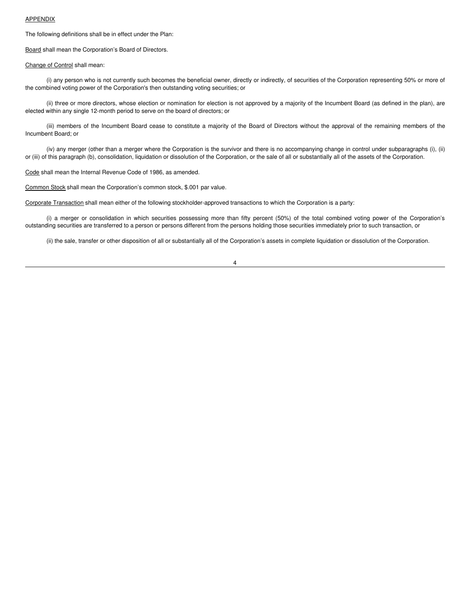### **APPENDIX**

The following definitions shall be in effect under the Plan:

Board shall mean the Corporation's Board of Directors.

Change of Control shall mean:

(i) any person who is not currently such becomes the beneficial owner, directly or indirectly, of securities of the Corporation representing 50% or more of the combined voting power of the Corporation's then outstanding voting securities; or

(ii) three or more directors, whose election or nomination for election is not approved by a majority of the Incumbent Board (as defined in the plan), are elected within any single 12-month period to serve on the board of directors; or

(iii) members of the Incumbent Board cease to constitute a majority of the Board of Directors without the approval of the remaining members of the Incumbent Board; or

(iv) any merger (other than a merger where the Corporation is the survivor and there is no accompanying change in control under subparagraphs (i), (ii) or (iii) of this paragraph (b), consolidation, liquidation or dissolution of the Corporation, or the sale of all or substantially all of the assets of the Corporation.

Code shall mean the Internal Revenue Code of 1986, as amended.

Common Stock shall mean the Corporation's common stock, \$.001 par value.

Corporate Transaction shall mean either of the following stockholder-approved transactions to which the Corporation is a party:

(i) a merger or consolidation in which securities possessing more than fifty percent (50%) of the total combined voting power of the Corporation's outstanding securities are transferred to a person or persons different from the persons holding those securities immediately prior to such transaction, or

(ii) the sale, transfer or other disposition of all or substantially all of the Corporation's assets in complete liquidation or dissolution of the Corporation.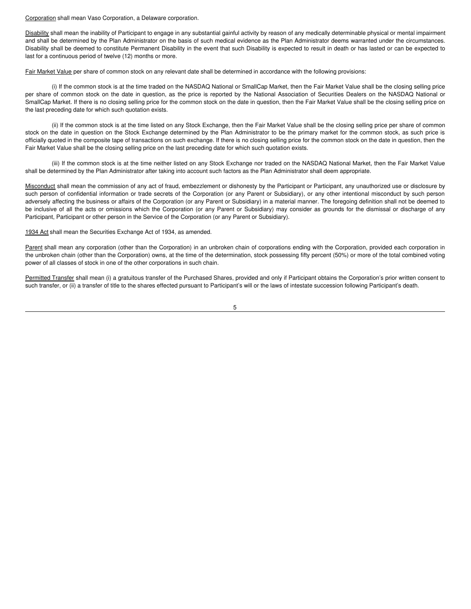Corporation shall mean Vaso Corporation, a Delaware corporation.

Disability shall mean the inability of Participant to engage in any substantial gainful activity by reason of any medically determinable physical or mental impairment and shall be determined by the Plan Administrator on the basis of such medical evidence as the Plan Administrator deems warranted under the circumstances. Disability shall be deemed to constitute Permanent Disability in the event that such Disability is expected to result in death or has lasted or can be expected to last for a continuous period of twelve (12) months or more.

Fair Market Value per share of common stock on any relevant date shall be determined in accordance with the following provisions:

(i) If the common stock is at the time traded on the NASDAQ National or SmallCap Market, then the Fair Market Value shall be the closing selling price per share of common stock on the date in question, as the price is reported by the National Association of Securities Dealers on the NASDAQ National or SmallCap Market. If there is no closing selling price for the common stock on the date in question, then the Fair Market Value shall be the closing selling price on the last preceding date for which such quotation exists.

(ii) If the common stock is at the time listed on any Stock Exchange, then the Fair Market Value shall be the closing selling price per share of common stock on the date in question on the Stock Exchange determined by the Plan Administrator to be the primary market for the common stock, as such price is officially quoted in the composite tape of transactions on such exchange. If there is no closing selling price for the common stock on the date in question, then the Fair Market Value shall be the closing selling price on the last preceding date for which such quotation exists.

(iii) If the common stock is at the time neither listed on any Stock Exchange nor traded on the NASDAQ National Market, then the Fair Market Value shall be determined by the Plan Administrator after taking into account such factors as the Plan Administrator shall deem appropriate.

Misconduct shall mean the commission of any act of fraud, embezzlement or dishonesty by the Participant or Participant, any unauthorized use or disclosure by such person of confidential information or trade secrets of the Corporation (or any Parent or Subsidiary), or any other intentional misconduct by such person adversely affecting the business or affairs of the Corporation (or any Parent or Subsidiary) in a material manner. The foregoing definition shall not be deemed to be inclusive of all the acts or omissions which the Corporation (or any Parent or Subsidiary) may consider as grounds for the dismissal or discharge of any Participant, Participant or other person in the Service of the Corporation (or any Parent or Subsidiary).

#### 1934 Act shall mean the Securities Exchange Act of 1934, as amended.

Parent shall mean any corporation (other than the Corporation) in an unbroken chain of corporations ending with the Corporation, provided each corporation in the unbroken chain (other than the Corporation) owns, at the time of the determination, stock possessing fifty percent (50%) or more of the total combined voting power of all classes of stock in one of the other corporations in such chain.

Permitted Transfer shall mean (i) a gratuitous transfer of the Purchased Shares, provided and only if Participant obtains the Corporation's prior written consent to such transfer, or (ii) a transfer of title to the shares effected pursuant to Participant's will or the laws of intestate succession following Participant's death.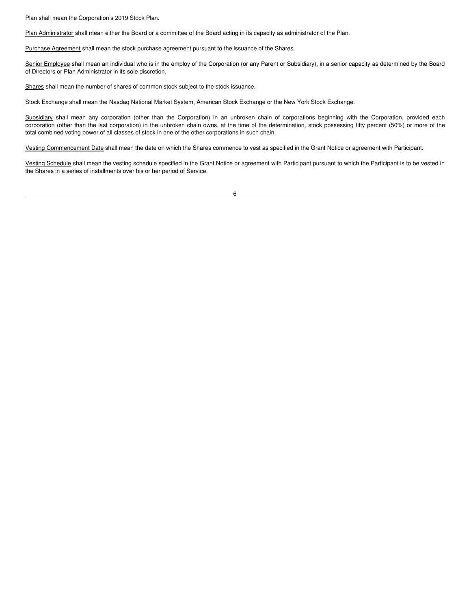Plan shall mean the Corporation's 2019 Stock Plan.

Plan Administrator shall mean either the Board or a committee of the Board acting in its capacity as administrator of the Plan.

Purchase Agreement shall mean the stock purchase agreement pursuant to the issuance of the Shares.

Senior Employee shall mean an individual who is in the employ of the Corporation (or any Parent or Subsidiary), in a senior capacity as determined by the Board of Directors or Plan Administrator in its sole discretion.

Shares shall mean the number of shares of common stock subject to the stock issuance.

Stock Exchange shall mean the Nasdaq National Market System, American Stock Exchange or the New York Stock Exchange.

Subsidiary shall mean any corporation (other than the Corporation) in an unbroken chain of corporations beginning with the Corporation, provided each corporation (other than the last corporation) in the unbroken chain owns, at the time of the determination, stock possessing fifty percent (50%) or more of the total combined voting power of all classes of stock in one of the other corporations in such chain.

Vesting Commencement Date shall mean the date on which the Shares commence to vest as specified in the Grant Notice or agreement with Participant.

Vesting Schedule shall mean the vesting schedule specified in the Grant Notice or agreement with Participant pursuant to which the Participant is to be vested in the Shares in a series of installments over his or her period of Service.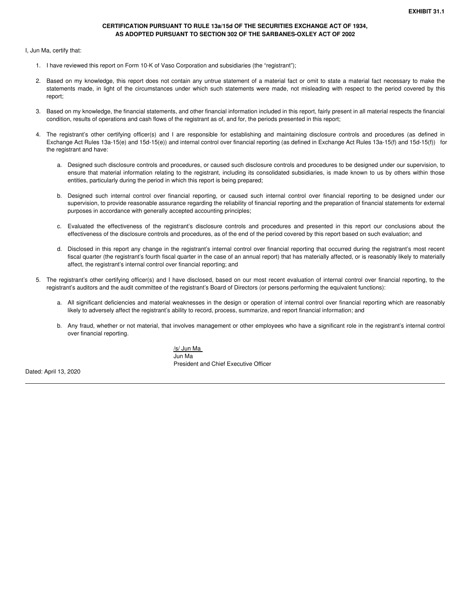### **CERTIFICATION PURSUANT TO RULE 13a/15d OF THE SECURITIES EXCHANGE ACT OF 1934, AS ADOPTED PURSUANT TO SECTION 302 OF THE SARBANES-OXLEY ACT OF 2002**

I, Jun Ma, certify that:

- 1. I have reviewed this report on Form 10-K of Vaso Corporation and subsidiaries (the "registrant");
- 2. Based on my knowledge, this report does not contain any untrue statement of a material fact or omit to state a material fact necessary to make the statements made, in light of the circumstances under which such statements were made, not misleading with respect to the period covered by this report;
- 3. Based on my knowledge, the financial statements, and other financial information included in this report, fairly present in all material respects the financial condition, results of operations and cash flows of the registrant as of, and for, the periods presented in this report;
- 4. The registrant's other certifying officer(s) and I are responsible for establishing and maintaining disclosure controls and procedures (as defined in Exchange Act Rules 13a-15(e) and 15d-15(e)) and internal control over financial reporting (as defined in Exchange Act Rules 13a-15(f) and 15d-15(f)) for the registrant and have:
	- a. Designed such disclosure controls and procedures, or caused such disclosure controls and procedures to be designed under our supervision, to ensure that material information relating to the registrant, including its consolidated subsidiaries, is made known to us by others within those entities, particularly during the period in which this report is being prepared;
	- b. Designed such internal control over financial reporting, or caused such internal control over financial reporting to be designed under our supervision, to provide reasonable assurance regarding the reliability of financial reporting and the preparation of financial statements for external purposes in accordance with generally accepted accounting principles;
	- c. Evaluated the effectiveness of the registrant's disclosure controls and procedures and presented in this report our conclusions about the effectiveness of the disclosure controls and procedures, as of the end of the period covered by this report based on such evaluation; and
	- d. Disclosed in this report any change in the registrant's internal control over financial reporting that occurred during the registrant's most recent fiscal quarter (the registrant's fourth fiscal quarter in the case of an annual report) that has materially affected, or is reasonably likely to materially affect, the registrant's internal control over financial reporting; and
- 5. The registrant's other certifying officer(s) and I have disclosed, based on our most recent evaluation of internal control over financial reporting, to the registrant's auditors and the audit committee of the registrant's Board of Directors (or persons performing the equivalent functions):
	- a. All significant deficiencies and material weaknesses in the design or operation of internal control over financial reporting which are reasonably likely to adversely affect the registrant's ability to record, process, summarize, and report financial information; and
	- b. Any fraud, whether or not material, that involves management or other employees who have a significant role in the registrant's internal control over financial reporting.

/s/ Jun Ma . Jun Ma President and Chief Executive Officer

Dated: April 13, 2020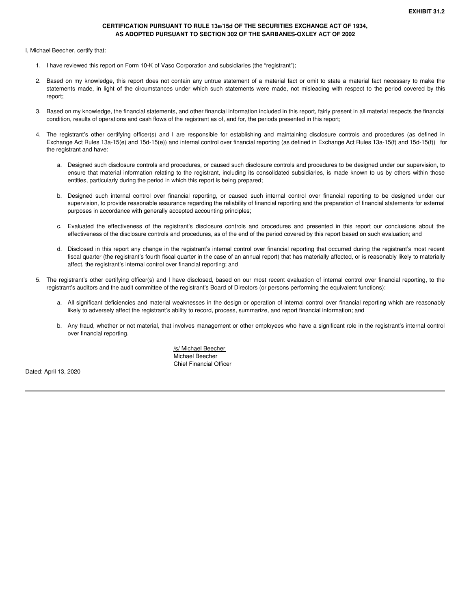### **CERTIFICATION PURSUANT TO RULE 13a/15d OF THE SECURITIES EXCHANGE ACT OF 1934, AS ADOPTED PURSUANT TO SECTION 302 OF THE SARBANES-OXLEY ACT OF 2002**

I, Michael Beecher, certify that:

- 1. I have reviewed this report on Form 10-K of Vaso Corporation and subsidiaries (the "registrant");
- 2. Based on my knowledge, this report does not contain any untrue statement of a material fact or omit to state a material fact necessary to make the statements made, in light of the circumstances under which such statements were made, not misleading with respect to the period covered by this report;
- 3. Based on my knowledge, the financial statements, and other financial information included in this report, fairly present in all material respects the financial condition, results of operations and cash flows of the registrant as of, and for, the periods presented in this report;
- 4. The registrant's other certifying officer(s) and I are responsible for establishing and maintaining disclosure controls and procedures (as defined in Exchange Act Rules 13a-15(e) and 15d-15(e)) and internal control over financial reporting (as defined in Exchange Act Rules 13a-15(f) and 15d-15(f)) for the registrant and have:
	- a. Designed such disclosure controls and procedures, or caused such disclosure controls and procedures to be designed under our supervision, to ensure that material information relating to the registrant, including its consolidated subsidiaries, is made known to us by others within those entities, particularly during the period in which this report is being prepared;
	- b. Designed such internal control over financial reporting, or caused such internal control over financial reporting to be designed under our supervision, to provide reasonable assurance regarding the reliability of financial reporting and the preparation of financial statements for external purposes in accordance with generally accepted accounting principles;
	- c. Evaluated the effectiveness of the registrant's disclosure controls and procedures and presented in this report our conclusions about the effectiveness of the disclosure controls and procedures, as of the end of the period covered by this report based on such evaluation; and
	- d. Disclosed in this report any change in the registrant's internal control over financial reporting that occurred during the registrant's most recent fiscal quarter (the registrant's fourth fiscal quarter in the case of an annual report) that has materially affected, or is reasonably likely to materially affect, the registrant's internal control over financial reporting; and
- 5. The registrant's other certifying officer(s) and I have disclosed, based on our most recent evaluation of internal control over financial reporting, to the registrant's auditors and the audit committee of the registrant's Board of Directors (or persons performing the equivalent functions):
	- a. All significant deficiencies and material weaknesses in the design or operation of internal control over financial reporting which are reasonably likely to adversely affect the registrant's ability to record, process, summarize, and report financial information; and
	- b. Any fraud, whether or not material, that involves management or other employees who have a significant role in the registrant's internal control over financial reporting.

/s/ Michael Beecher Michael Beecher Chief Financial Officer

Dated: April 13, 2020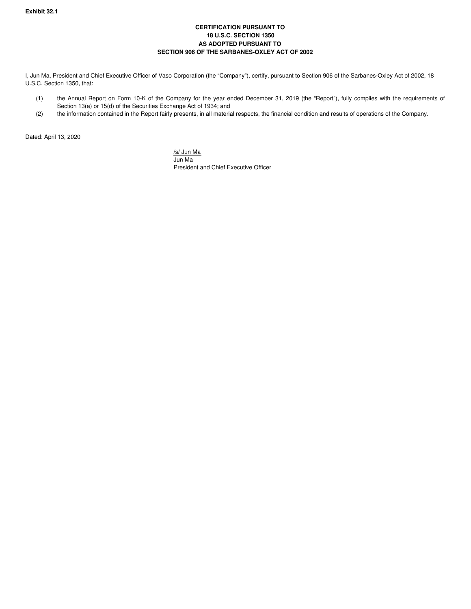# **CERTIFICATION PURSUANT TO 18 U.S.C. SECTION 1350 AS ADOPTED PURSUANT TO SECTION 906 OF THE SARBANES-OXLEY ACT OF 2002**

I, Jun Ma, President and Chief Executive Officer of Vaso Corporation (the "Company"), certify, pursuant to Section 906 of the Sarbanes-Oxley Act of 2002, 18 U.S.C. Section 1350, that:

- (1) the Annual Report on Form 10-K of the Company for the year ended December 31, 2019 (the "Report"), fully complies with the requirements of Section 13(a) or 15(d) of the Securities Exchange Act of 1934; and
- (2) the information contained in the Report fairly presents, in all material respects, the financial condition and results of operations of the Company.

Dated: April 13, 2020

/s/ Jun Ma Jun Ma President and Chief Executive Officer